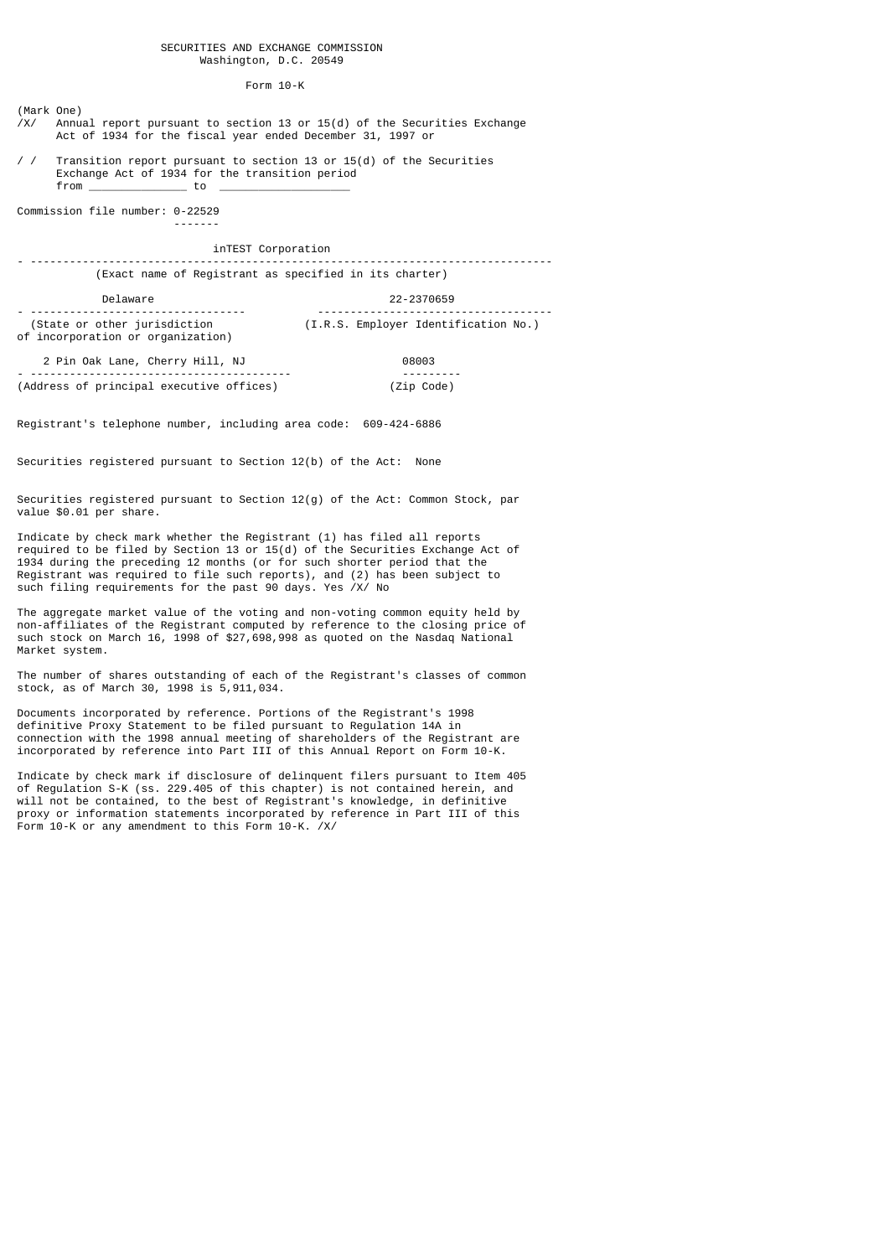#### Form 10-K

(Mark One)  $\frac{X}{x}$  Annual report pursuant to section 13 or 15(d) of the Securities Exchange Act of 1934 for the fiscal year ended December 31, 1997 or

/ / Transition report pursuant to section 13 or 15(d) of the Securities Exchange Act of 1934 for the transition period from \_\_\_\_\_\_\_\_\_\_\_\_\_\_\_ to \_\_\_\_\_\_\_\_\_\_\_\_\_\_\_\_\_\_\_\_

Commission file number: 0-22529 -------

inTEST Corporation

- -------------------------------------------------------------------------------- (Exact name of Registrant as specified in its charter)

Delaware 22-2370659

- --------------------------------- ------------------------------------ (I.R.S. Employer Identification No.) of incorporation or organization)

 2 Pin Oak Lane, Cherry Hill, NJ 08003 - ---------------------------------------- --------- (Address of principal executive offices)

Registrant's telephone number, including area code: 609-424-6886

Securities registered pursuant to Section 12(b) of the Act: None

Securities registered pursuant to Section 12(g) of the Act: Common Stock, par value \$0.01 per share.

Indicate by check mark whether the Registrant (1) has filed all reports required to be filed by Section 13 or 15(d) of the Securities Exchange Act of 1934 during the preceding 12 months (or for such shorter period that the Registrant was required to file such reports), and (2) has been subject to such filing requirements for the past 90 days. Yes /X/ No

The aggregate market value of the voting and non-voting common equity held by non-affiliates of the Registrant computed by reference to the closing price of such stock on March 16, 1998 of \$27,698,998 as quoted on the Nasdaq National Market system.

The number of shares outstanding of each of the Registrant's classes of common stock, as of March 30, 1998 is 5,911,034.

Documents incorporated by reference. Portions of the Registrant's 1998 definitive Proxy Statement to be filed pursuant to Regulation 14A in connection with the 1998 annual meeting of shareholders of the Registrant are incorporated by reference into Part III of this Annual Report on Form 10-K.

Indicate by check mark if disclosure of delinquent filers pursuant to Item 405 of Regulation S-K (ss. 229.405 of this chapter) is not contained herein, and will not be contained, to the best of Registrant's knowledge, in definitive proxy or information statements incorporated by reference in Part III of this Form 10-K or any amendment to this Form 10-K. /X/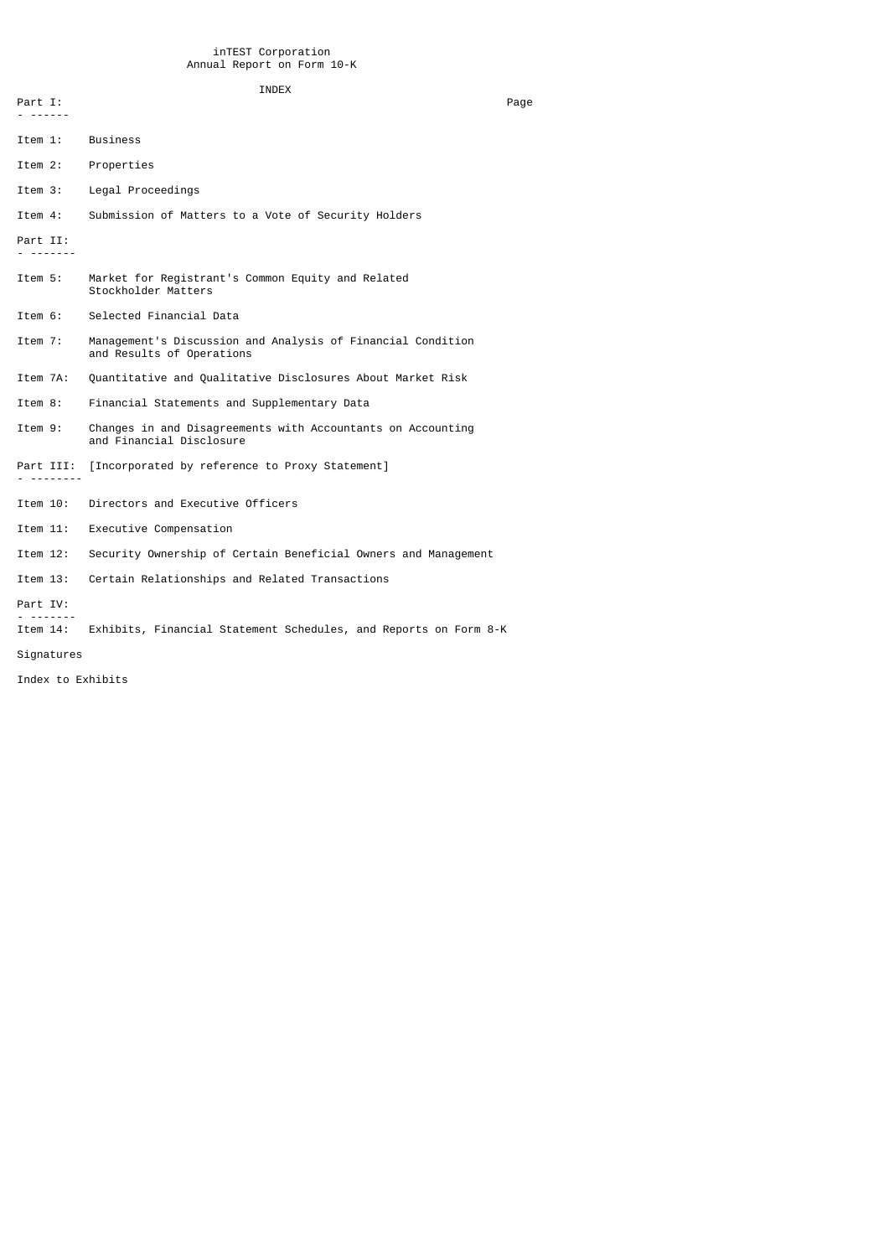# INDEX

| Part I:<br>- -------   |                                                                                          | Page |
|------------------------|------------------------------------------------------------------------------------------|------|
| Item 1:                | <b>Business</b>                                                                          |      |
| Item 2:                | Properties                                                                               |      |
| Item 3:                | Legal Proceedings                                                                        |      |
| Item 4:                | Submission of Matters to a Vote of Security Holders                                      |      |
| Part II:<br>--------   |                                                                                          |      |
| Item 5:                | Market for Registrant's Common Equity and Related<br>Stockholder Matters                 |      |
| Item 6:                | Selected Financial Data                                                                  |      |
| Item 7:                | Management's Discussion and Analysis of Financial Condition<br>and Results of Operations |      |
| Item 7A:               | Quantitative and Qualitative Disclosures About Market Risk                               |      |
| Item 8:                | Financial Statements and Supplementary Data                                              |      |
| Item 9:                | Changes in and Disagreements with Accountants on Accounting<br>and Financial Disclosure  |      |
| Part III:<br>--------- | [Incorporated by reference to Proxy Statement]                                           |      |
| Item 10:               | Directors and Executive Officers                                                         |      |
| Item 11:               | Executive Compensation                                                                   |      |
| Item 12:               | Security Ownership of Certain Beneficial Owners and Management                           |      |
| Item 13:               | Certain Relationships and Related Transactions                                           |      |
| Part IV:               |                                                                                          |      |
| Item 14:               | Exhibits, Financial Statement Schedules, and Reports on Form 8-K                         |      |
| Signatures             |                                                                                          |      |
|                        |                                                                                          |      |

Index to Exhibits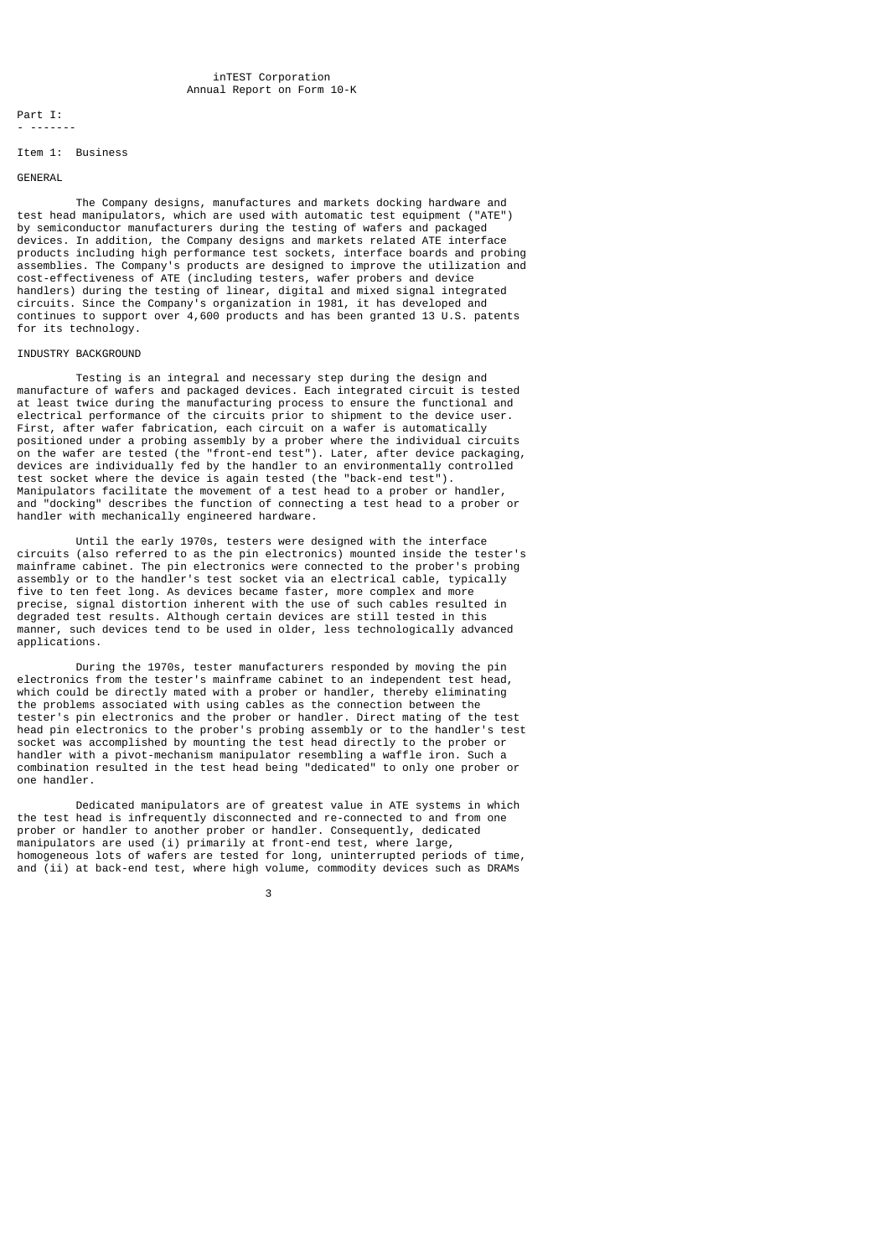Part I: - -------

#### Item 1: Business

#### GENERAL

 The Company designs, manufactures and markets docking hardware and test head manipulators, which are used with automatic test equipment ("ATE") by semiconductor manufacturers during the testing of wafers and packaged devices. In addition, the Company designs and markets related ATE interface products including high performance test sockets, interface boards and probing assemblies. The Company's products are designed to improve the utilization and cost-effectiveness of ATE (including testers, wafer probers and device handlers) during the testing of linear, digital and mixed signal integrated circuits. Since the Company's organization in 1981, it has developed and continues to support over 4,600 products and has been granted 13 U.S. patents for its technology.

### INDUSTRY BACKGROUND

 Testing is an integral and necessary step during the design and manufacture of wafers and packaged devices. Each integrated circuit is tested at least twice during the manufacturing process to ensure the functional and electrical performance of the circuits prior to shipment to the device user. First, after wafer fabrication, each circuit on a wafer is automatically positioned under a probing assembly by a prober where the individual circuits on the wafer are tested (the "front-end test"). Later, after device packaging, devices are individually fed by the handler to an environmentally controlled test socket where the device is again tested (the "back-end test"). Manipulators facilitate the movement of a test head to a prober or handler, and "docking" describes the function of connecting a test head to a prober or handler with mechanically engineered hardware.

 Until the early 1970s, testers were designed with the interface circuits (also referred to as the pin electronics) mounted inside the tester's mainframe cabinet. The pin electronics were connected to the prober's probing assembly or to the handler's test socket via an electrical cable, typically five to ten feet long. As devices became faster, more complex and more precise, signal distortion inherent with the use of such cables resulted in degraded test results. Although certain devices are still tested in this manner, such devices tend to be used in older, less technologically advanced applications.

 During the 1970s, tester manufacturers responded by moving the pin electronics from the tester's mainframe cabinet to an independent test head, which could be directly mated with a prober or handler, thereby eliminating the problems associated with using cables as the connection between the tester's pin electronics and the prober or handler. Direct mating of the test head pin electronics to the prober's probing assembly or to the handler's test socket was accomplished by mounting the test head directly to the prober or handler with a pivot-mechanism manipulator resembling a waffle iron. Such a combination resulted in the test head being "dedicated" to only one prober or one handler.

 Dedicated manipulators are of greatest value in ATE systems in which the test head is infrequently disconnected and re-connected to and from one prober or handler to another prober or handler. Consequently, dedicated manipulators are used (i) primarily at front-end test, where large, homogeneous lots of wafers are tested for long, uninterrupted periods of time, and (ii) at back-end test, where high volume, commodity devices such as DRAMs

 $\sim$  3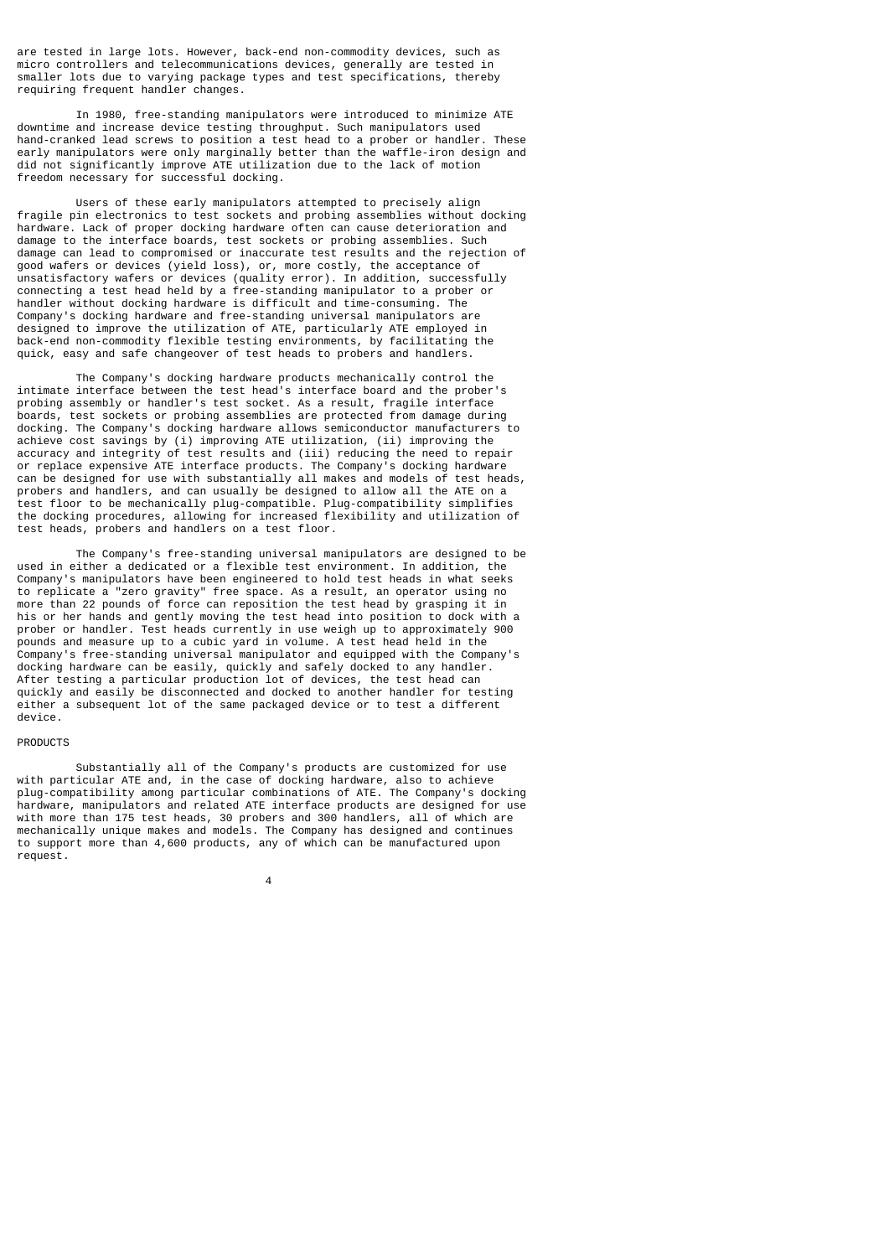are tested in large lots. However, back-end non-commodity devices, such as micro controllers and telecommunications devices, generally are tested in smaller lots due to varying package types and test specifications, thereby requiring frequent handler changes.

 In 1980, free-standing manipulators were introduced to minimize ATE downtime and increase device testing throughput. Such manipulators used hand-cranked lead screws to position a test head to a prober or handler. These early manipulators were only marginally better than the waffle-iron design and did not significantly improve ATE utilization due to the lack of motion freedom necessary for successful docking.

 Users of these early manipulators attempted to precisely align fragile pin electronics to test sockets and probing assemblies without docking hardware. Lack of proper docking hardware often can cause deterioration and damage to the interface boards, test sockets or probing assemblies. Such damage can lead to compromised or inaccurate test results and the rejection of good wafers or devices (yield loss), or, more costly, the acceptance of unsatisfactory wafers or devices (quality error). In addition, successfully connecting a test head held by a free-standing manipulator to a prober or handler without docking hardware is difficult and time-consuming. The Company's docking hardware and free-standing universal manipulators are designed to improve the utilization of ATE, particularly ATE employed in back-end non-commodity flexible testing environments, by facilitating the quick, easy and safe changeover of test heads to probers and handlers.

 The Company's docking hardware products mechanically control the intimate interface between the test head's interface board and the prober's probing assembly or handler's test socket. As a result, fragile interface boards, test sockets or probing assemblies are protected from damage during docking. The Company's docking hardware allows semiconductor manufacturers to achieve cost savings by (i) improving ATE utilization, (ii) improving the accuracy and integrity of test results and (iii) reducing the need to repair or replace expensive ATE interface products. The Company's docking hardware can be designed for use with substantially all makes and models of test heads, probers and handlers, and can usually be designed to allow all the ATE on a test floor to be mechanically plug-compatible. Plug-compatibility simplifies the docking procedures, allowing for increased flexibility and utilization of test heads, probers and handlers on a test floor.

 The Company's free-standing universal manipulators are designed to be used in either a dedicated or a flexible test environment. In addition, the Company's manipulators have been engineered to hold test heads in what seeks to replicate a "zero gravity" free space. As a result, an operator using no more than 22 pounds of force can reposition the test head by grasping it in his or her hands and gently moving the test head into position to dock with a prober or handler. Test heads currently in use weigh up to approximately 900 pounds and measure up to a cubic yard in volume. A test head held in the Company's free-standing universal manipulator and equipped with the Company's docking hardware can be easily, quickly and safely docked to any handler. After testing a particular production lot of devices, the test head can quickly and easily be disconnected and docked to another handler for testing either a subsequent lot of the same packaged device or to test a different device.

### PRODUCTS

4

 Substantially all of the Company's products are customized for use with particular ATE and, in the case of docking hardware, also to achieve plug-compatibility among particular combinations of ATE. The Company's docking hardware, manipulators and related ATE interface products are designed for use with more than 175 test heads, 30 probers and 300 handlers, all of which are mechanically unique makes and models. The Company has designed and continues to support more than 4,600 products, any of which can be manufactured upon request.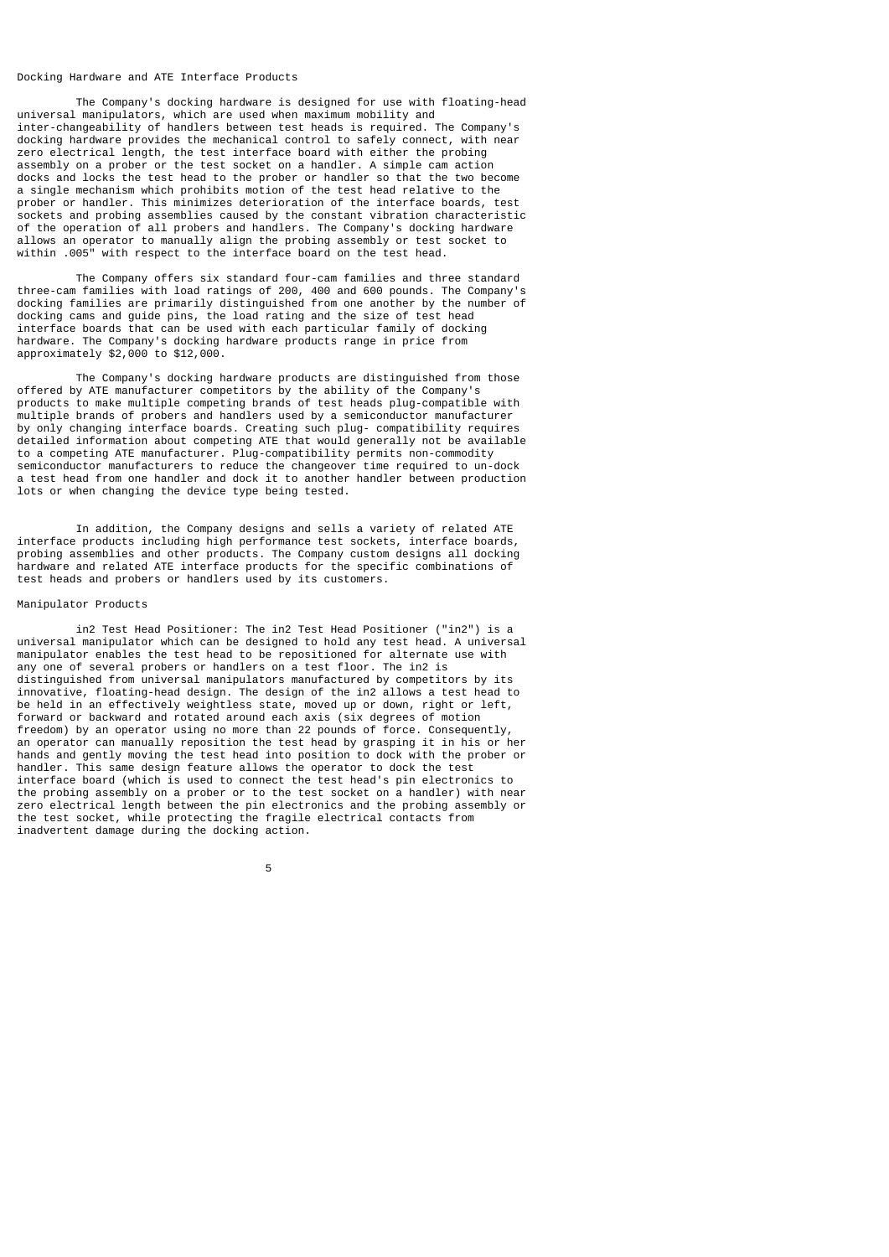#### Docking Hardware and ATE Interface Products

 The Company's docking hardware is designed for use with floating-head universal manipulators, which are used when maximum mobility and inter-changeability of handlers between test heads is required. The Company's docking hardware provides the mechanical control to safely connect, with near zero electrical length, the test interface board with either the probing assembly on a prober or the test socket on a handler. A simple cam action docks and locks the test head to the prober or handler so that the two become a single mechanism which prohibits motion of the test head relative to the prober or handler. This minimizes deterioration of the interface boards, test sockets and probing assemblies caused by the constant vibration characteristic of the operation of all probers and handlers. The Company's docking hardware allows an operator to manually align the probing assembly or test socket to within .005" with respect to the interface board on the test head.

 The Company offers six standard four-cam families and three standard three-cam families with load ratings of 200, 400 and 600 pounds. The Company's docking families are primarily distinguished from one another by the number of docking cams and guide pins, the load rating and the size of test head interface boards that can be used with each particular family of docking hardware. The Company's docking hardware products range in price from approximately \$2,000 to \$12,000.

 The Company's docking hardware products are distinguished from those offered by ATE manufacturer competitors by the ability of the Company's products to make multiple competing brands of test heads plug-compatible with multiple brands of probers and handlers used by a semiconductor manufacturer by only changing interface boards. Creating such plug- compatibility requires detailed information about competing ATE that would generally not be available to a competing ATE manufacturer. Plug-compatibility permits non-commodity semiconductor manufacturers to reduce the changeover time required to un-dock a test head from one handler and dock it to another handler between production lots or when changing the device type being tested.

 In addition, the Company designs and sells a variety of related ATE interface products including high performance test sockets, interface boards, probing assemblies and other products. The Company custom designs all docking hardware and related ATE interface products for the specific combinations of test heads and probers or handlers used by its customers.

## Manipulator Products

 in2 Test Head Positioner: The in2 Test Head Positioner ("in2") is a universal manipulator which can be designed to hold any test head. A universal manipulator enables the test head to be repositioned for alternate use with any one of several probers or handlers on a test floor. The in2 is distinguished from universal manipulators manufactured by competitors by its innovative, floating-head design. The design of the in2 allows a test head to be held in an effectively weightless state, moved up or down, right or left, forward or backward and rotated around each axis (six degrees of motion freedom) by an operator using no more than 22 pounds of force. Consequently, an operator can manually reposition the test head by grasping it in his or her hands and gently moving the test head into position to dock with the prober or handler. This same design feature allows the operator to dock the test interface board (which is used to connect the test head's pin electronics to the probing assembly on a prober or to the test socket on a handler) with near zero electrical length between the pin electronics and the probing assembly or the test socket, while protecting the fragile electrical contacts from inadvertent damage during the docking action.

the contract of the contract of the contract of the contract of the contract of the contract of the contract o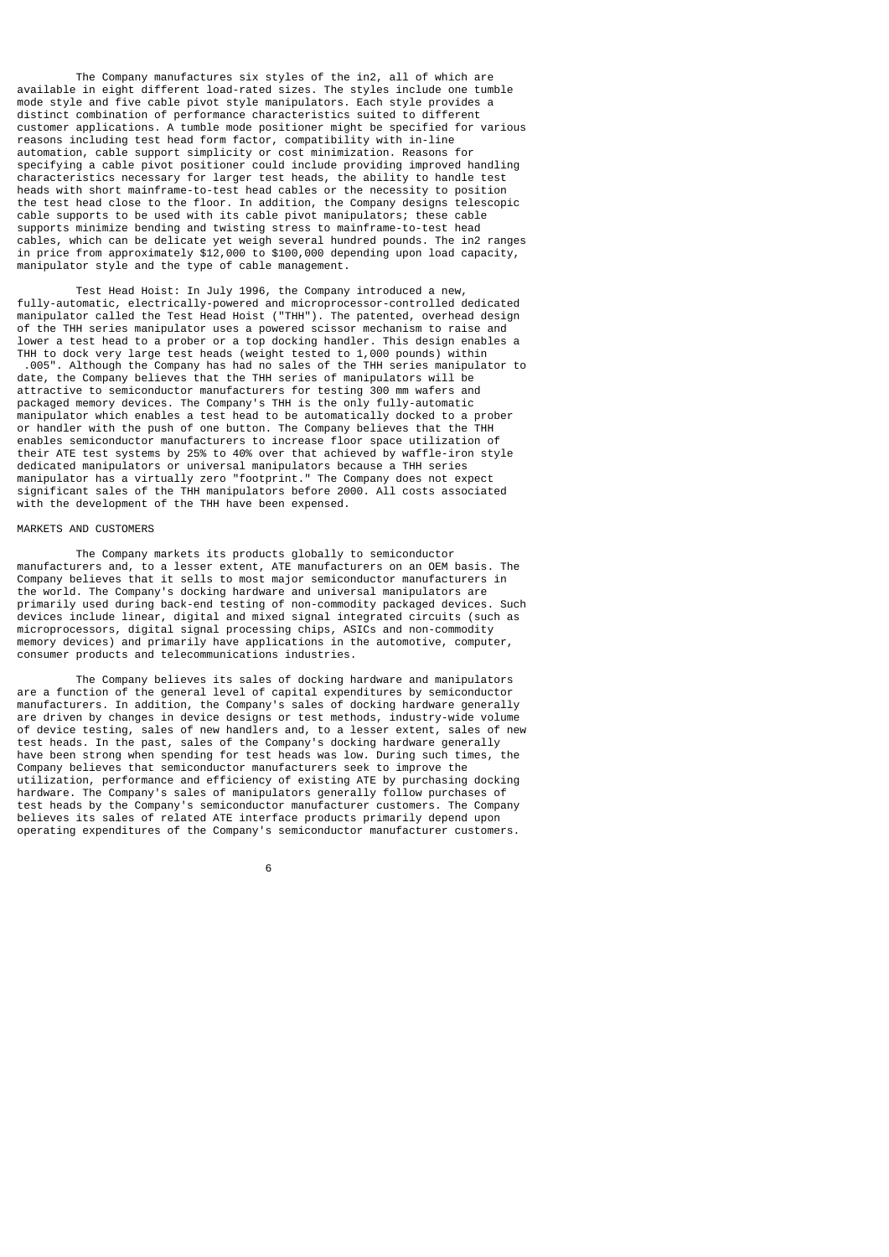The Company manufactures six styles of the in2, all of which are available in eight different load-rated sizes. The styles include one tumble mode style and five cable pivot style manipulators. Each style provides a distinct combination of performance characteristics suited to different customer applications. A tumble mode positioner might be specified for various reasons including test head form factor, compatibility with in-line automation, cable support simplicity or cost minimization. Reasons for specifying a cable pivot positioner could include providing improved handling characteristics necessary for larger test heads, the ability to handle test heads with short mainframe-to-test head cables or the necessity to position the test head close to the floor. In addition, the Company designs telescopic cable supports to be used with its cable pivot manipulators; these cable supports minimize bending and twisting stress to mainframe-to-test head cables, which can be delicate yet weigh several hundred pounds. The in2 ranges in price from approximately \$12,000 to \$100,000 depending upon load capacity, manipulator style and the type of cable management.

 Test Head Hoist: In July 1996, the Company introduced a new, fully-automatic, electrically-powered and microprocessor-controlled dedicated manipulator called the Test Head Hoist ("THH"). The patented, overhead design of the THH series manipulator uses a powered scissor mechanism to raise and lower a test head to a prober or a top docking handler. This design enables a THH to dock very large test heads (weight tested to 1,000 pounds) within .005". Although the Company has had no sales of the THH series manipulator to date, the Company believes that the THH series of manipulators will be attractive to semiconductor manufacturers for testing 300 mm wafers and packaged memory devices. The Company's THH is the only fully-automatic manipulator which enables a test head to be automatically docked to a prober or handler with the push of one button. The Company believes that the THH enables semiconductor manufacturers to increase floor space utilization of their ATE test systems by 25% to 40% over that achieved by waffle-iron style dedicated manipulators or universal manipulators because a THH series manipulator has a virtually zero "footprint." The Company does not expect significant sales of the THH manipulators before 2000. All costs associated with the development of the THH have been expensed.

## MARKETS AND CUSTOMERS

 The Company markets its products globally to semiconductor manufacturers and, to a lesser extent, ATE manufacturers on an OEM basis. The Company believes that it sells to most major semiconductor manufacturers in the world. The Company's docking hardware and universal manipulators are primarily used during back-end testing of non-commodity packaged devices. Such devices include linear, digital and mixed signal integrated circuits (such as microprocessors, digital signal processing chips, ASICs and non-commodity memory devices) and primarily have applications in the automotive, computer, consumer products and telecommunications industries.

 The Company believes its sales of docking hardware and manipulators are a function of the general level of capital expenditures by semiconductor manufacturers. In addition, the Company's sales of docking hardware generally are driven by changes in device designs or test methods, industry-wide volume of device testing, sales of new handlers and, to a lesser extent, sales of new test heads. In the past, sales of the Company's docking hardware generally have been strong when spending for test heads was low. During such times, the Company believes that semiconductor manufacturers seek to improve the utilization, performance and efficiency of existing ATE by purchasing docking hardware. The Company's sales of manipulators generally follow purchases of test heads by the Company's semiconductor manufacturer customers. The Company believes its sales of related ATE interface products primarily depend upon operating expenditures of the Company's semiconductor manufacturer customers.

 $\sim$  6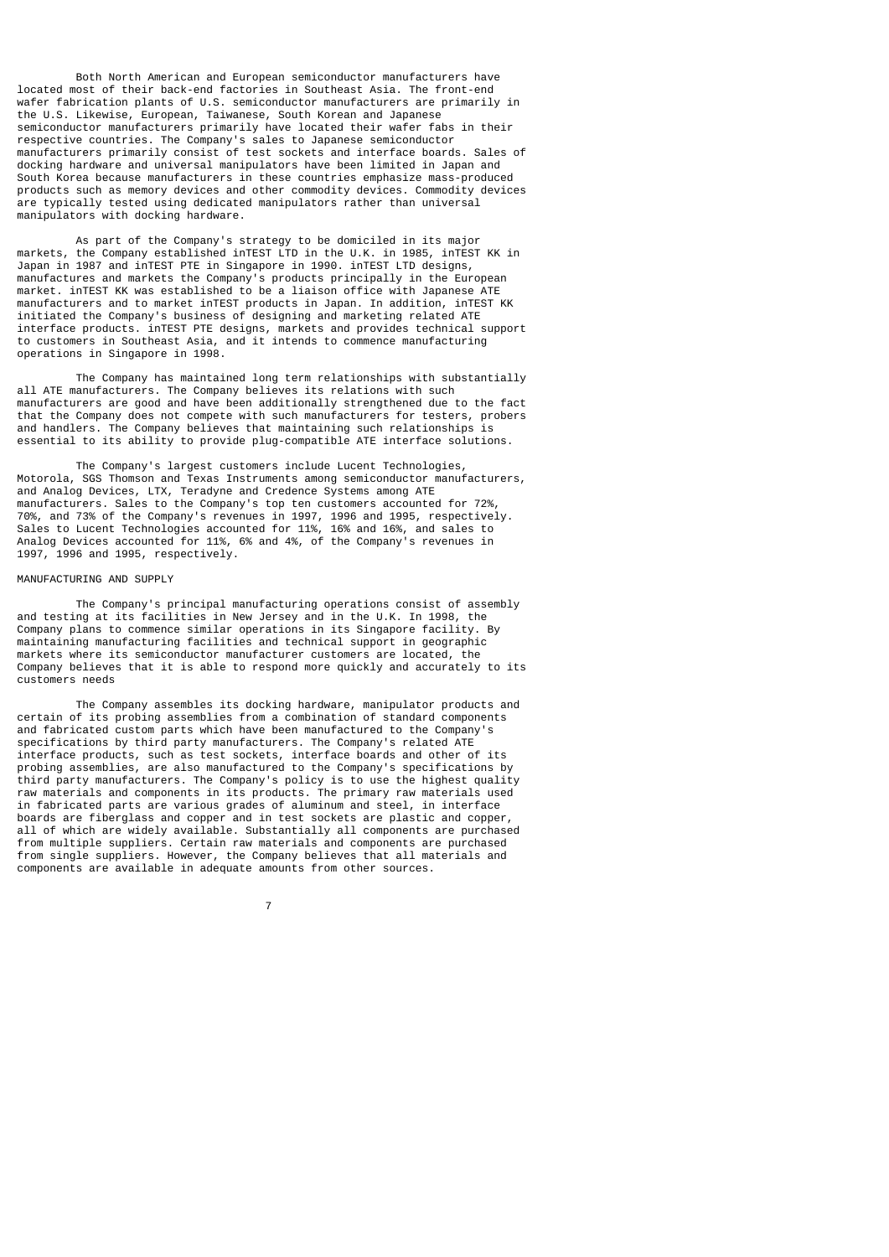Both North American and European semiconductor manufacturers have located most of their back-end factories in Southeast Asia. The front-end wafer fabrication plants of U.S. semiconductor manufacturers are primarily in the U.S. Likewise, European, Taiwanese, South Korean and Japanese semiconductor manufacturers primarily have located their wafer fabs in their respective countries. The Company's sales to Japanese semiconductor manufacturers primarily consist of test sockets and interface boards. Sales of docking hardware and universal manipulators have been limited in Japan and South Korea because manufacturers in these countries emphasize mass-produced products such as memory devices and other commodity devices. Commodity devices are typically tested using dedicated manipulators rather than universal manipulators with docking hardware.

 As part of the Company's strategy to be domiciled in its major markets, the Company established inTEST LTD in the U.K. in 1985, inTEST KK in Japan in 1987 and inTEST PTE in Singapore in 1990. inTEST LTD designs, manufactures and markets the Company's products principally in the European market. inTEST KK was established to be a liaison office with Japanese ATE manufacturers and to market inTEST products in Japan. In addition, inTEST KK initiated the Company's business of designing and marketing related ATE interface products. inTEST PTE designs, markets and provides technical support to customers in Southeast Asia, and it intends to commence manufacturing operations in Singapore in 1998.

 The Company has maintained long term relationships with substantially all ATE manufacturers. The Company believes its relations with such manufacturers are good and have been additionally strengthened due to the fact that the Company does not compete with such manufacturers for testers, probers and handlers. The Company believes that maintaining such relationships is essential to its ability to provide plug-compatible ATE interface solutions.

 The Company's largest customers include Lucent Technologies, Motorola, SGS Thomson and Texas Instruments among semiconductor manufacturers, and Analog Devices, LTX, Teradyne and Credence Systems among ATE manufacturers. Sales to the Company's top ten customers accounted for 72%, 70%, and 73% of the Company's revenues in 1997, 1996 and 1995, respectively. Sales to Lucent Technologies accounted for 11%, 16% and 16%, and sales to Analog Devices accounted for 11%, 6% and 4%, of the Company's revenues in 1997, 1996 and 1995, respectively.

## MANUFACTURING AND SUPPLY

7

 The Company's principal manufacturing operations consist of assembly and testing at its facilities in New Jersey and in the U.K. In 1998, the Company plans to commence similar operations in its Singapore facility. By maintaining manufacturing facilities and technical support in geographic markets where its semiconductor manufacturer customers are located, the Company believes that it is able to respond more quickly and accurately to its customers needs

 The Company assembles its docking hardware, manipulator products and certain of its probing assemblies from a combination of standard components and fabricated custom parts which have been manufactured to the Company's specifications by third party manufacturers. The Company's related ATE interface products, such as test sockets, interface boards and other of its probing assemblies, are also manufactured to the Company's specifications by third party manufacturers. The Company's policy is to use the highest quality raw materials and components in its products. The primary raw materials used in fabricated parts are various grades of aluminum and steel, in interface boards are fiberglass and copper and in test sockets are plastic and copper, all of which are widely available. Substantially all components are purchased from multiple suppliers. Certain raw materials and components are purchased from single suppliers. However, the Company believes that all materials and components are available in adequate amounts from other sources.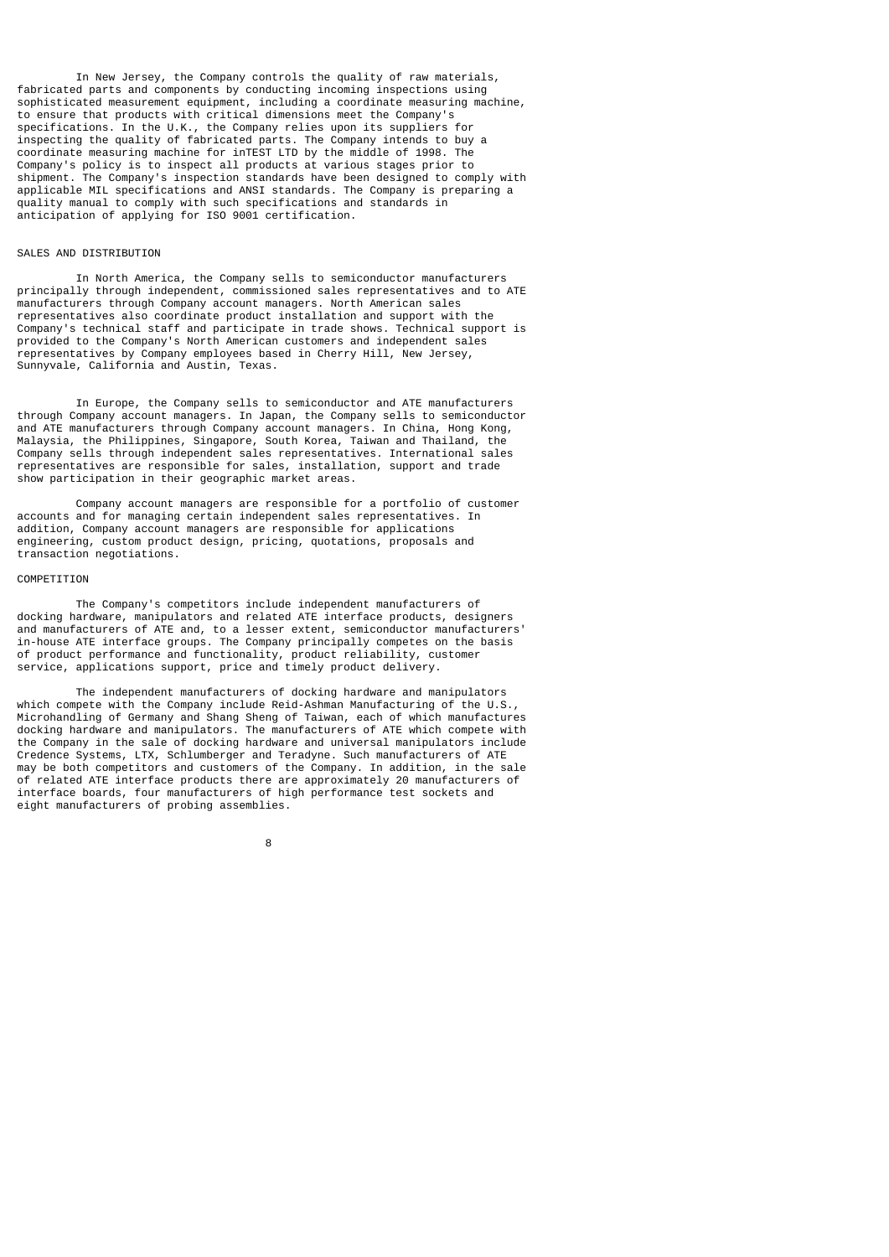In New Jersey, the Company controls the quality of raw materials, fabricated parts and components by conducting incoming inspections using sophisticated measurement equipment, including a coordinate measuring machine, to ensure that products with critical dimensions meet the Company's specifications. In the U.K., the Company relies upon its suppliers for inspecting the quality of fabricated parts. The Company intends to buy a coordinate measuring machine for inTEST LTD by the middle of 1998. The Company's policy is to inspect all products at various stages prior to shipment. The Company's inspection standards have been designed to comply with applicable MIL specifications and ANSI standards. The Company is preparing a quality manual to comply with such specifications and standards in anticipation of applying for ISO 9001 certification.

## SALES AND DISTRIBUTION

 In North America, the Company sells to semiconductor manufacturers principally through independent, commissioned sales representatives and to ATE manufacturers through Company account managers. North American sales representatives also coordinate product installation and support with the Company's technical staff and participate in trade shows. Technical support is provided to the Company's North American customers and independent sales representatives by Company employees based in Cherry Hill, New Jersey, Sunnyvale, California and Austin, Texas.

 In Europe, the Company sells to semiconductor and ATE manufacturers through Company account managers. In Japan, the Company sells to semiconductor and ATE manufacturers through Company account managers. In China, Hong Kong, Malaysia, the Philippines, Singapore, South Korea, Taiwan and Thailand, the Company sells through independent sales representatives. International sales representatives are responsible for sales, installation, support and trade show participation in their geographic market areas.

 Company account managers are responsible for a portfolio of customer accounts and for managing certain independent sales representatives. In addition, Company account managers are responsible for applications engineering, custom product design, pricing, quotations, proposals and transaction negotiations.

### COMPETITION

 The Company's competitors include independent manufacturers of docking hardware, manipulators and related ATE interface products, designers and manufacturers of ATE and, to a lesser extent, semiconductor manufacturers' in-house ATE interface groups. The Company principally competes on the basis of product performance and functionality, product reliability, customer service, applications support, price and timely product delivery.

 The independent manufacturers of docking hardware and manipulators which compete with the Company include Reid-Ashman Manufacturing of the U.S., Microhandling of Germany and Shang Sheng of Taiwan, each of which manufactures docking hardware and manipulators. The manufacturers of ATE which compete with the Company in the sale of docking hardware and universal manipulators include Credence Systems, LTX, Schlumberger and Teradyne. Such manufacturers of ATE may be both competitors and customers of the Company. In addition, in the sale of related ATE interface products there are approximately 20 manufacturers of interface boards, four manufacturers of high performance test sockets and eight manufacturers of probing assemblies.

8 and 2012 and 2013 and 2014 and 2014 and 2014 and 2014 and 2014 and 2014 and 2014 and 2014 and 2014 and 2014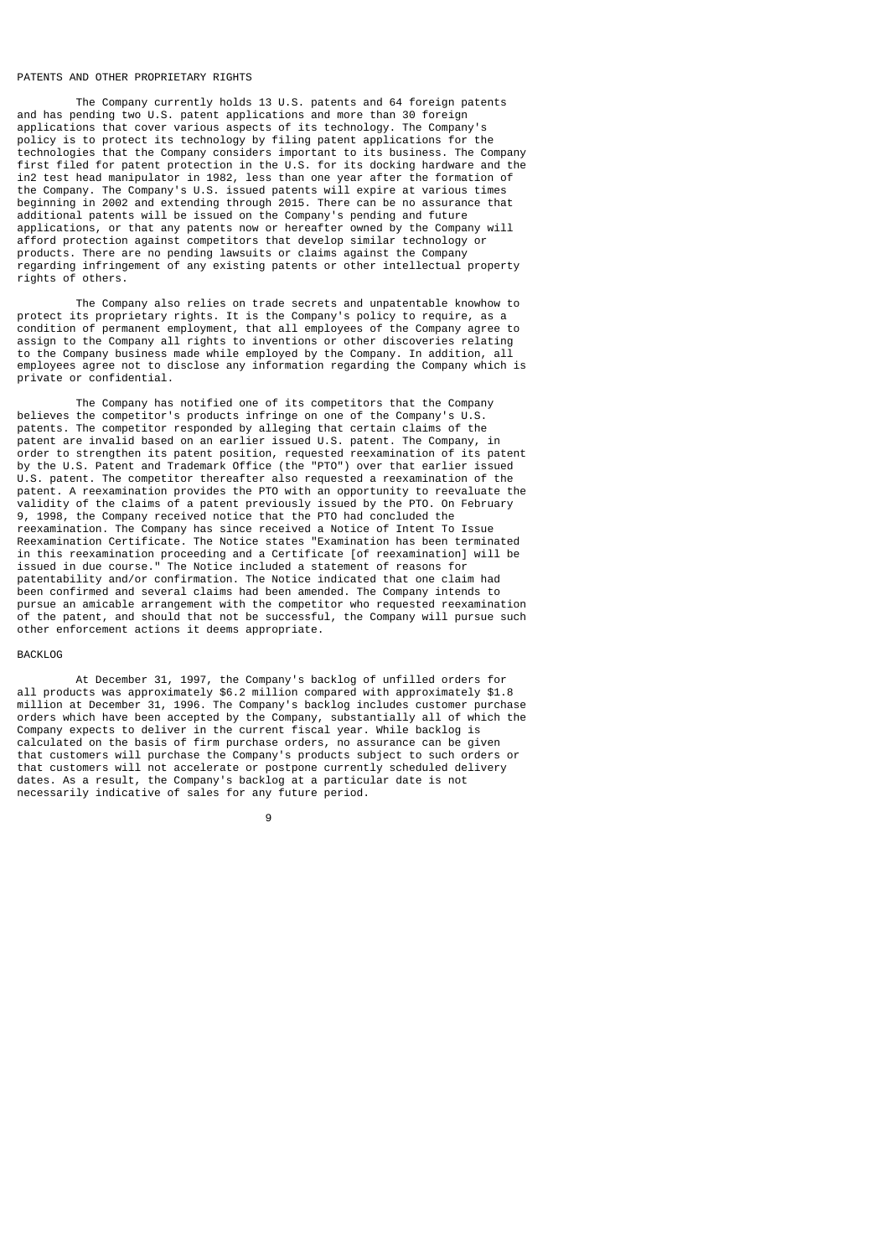### PATENTS AND OTHER PROPRIETARY RIGHTS

 The Company currently holds 13 U.S. patents and 64 foreign patents and has pending two U.S. patent applications and more than 30 foreign applications that cover various aspects of its technology. The Company's policy is to protect its technology by filing patent applications for the technologies that the Company considers important to its business. The Company first filed for patent protection in the U.S. for its docking hardware and the in2 test head manipulator in 1982, less than one year after the formation of the Company. The Company's U.S. issued patents will expire at various times beginning in 2002 and extending through 2015. There can be no assurance that additional patents will be issued on the Company's pending and future applications, or that any patents now or hereafter owned by the Company will afford protection against competitors that develop similar technology or products. There are no pending lawsuits or claims against the Company regarding infringement of any existing patents or other intellectual property rights of others.

 The Company also relies on trade secrets and unpatentable knowhow to protect its proprietary rights. It is the Company's policy to require, as a condition of permanent employment, that all employees of the Company agree to assign to the Company all rights to inventions or other discoveries relating to the Company business made while employed by the Company. In addition, all employees agree not to disclose any information regarding the Company which is private or confidential.

 The Company has notified one of its competitors that the Company believes the competitor's products infringe on one of the Company's U.S. patents. The competitor responded by alleging that certain claims of the patents. The sempetition isspective by the setting of the Company, in patent. The Company, in order to strengthen its patent position, requested reexamination of its patent by the U.S. Patent and Trademark Office (the "PTO") over that earlier issued U.S. patent. The competitor thereafter also requested a reexamination of the patent. A reexamination provides the PTO with an opportunity to reevaluate the validity of the claims of a patent previously issued by the PTO. On February 9, 1998, the Company received notice that the PTO had concluded the reexamination. The Company has since received a Notice of Intent To Issue Reexamination Certificate. The Notice states "Examination has been terminated in this reexamination proceeding and a Certificate [of reexamination] will be issued in due course." The Notice included a statement of reasons for patentability and/or confirmation. The Notice indicated that one claim had been confirmed and several claims had been amended. The Company intends to pursue an amicable arrangement with the competitor who requested reexamination of the patent, and should that not be successful, the Company will pursue such other enforcement actions it deems appropriate.

### BACKLOG

 At December 31, 1997, the Company's backlog of unfilled orders for all products was approximately \$6.2 million compared with approximately \$1.8 million at December 31, 1996. The Company's backlog includes customer purchase orders which have been accepted by the Company, substantially all of which the Company expects to deliver in the current fiscal year. While backlog is calculated on the basis of firm purchase orders, no assurance can be given that customers will purchase the Company's products subject to such orders or that customers will not accelerate or postpone currently scheduled delivery dates. As a result, the Company's backlog at a particular date is not necessarily indicative of sales for any future period.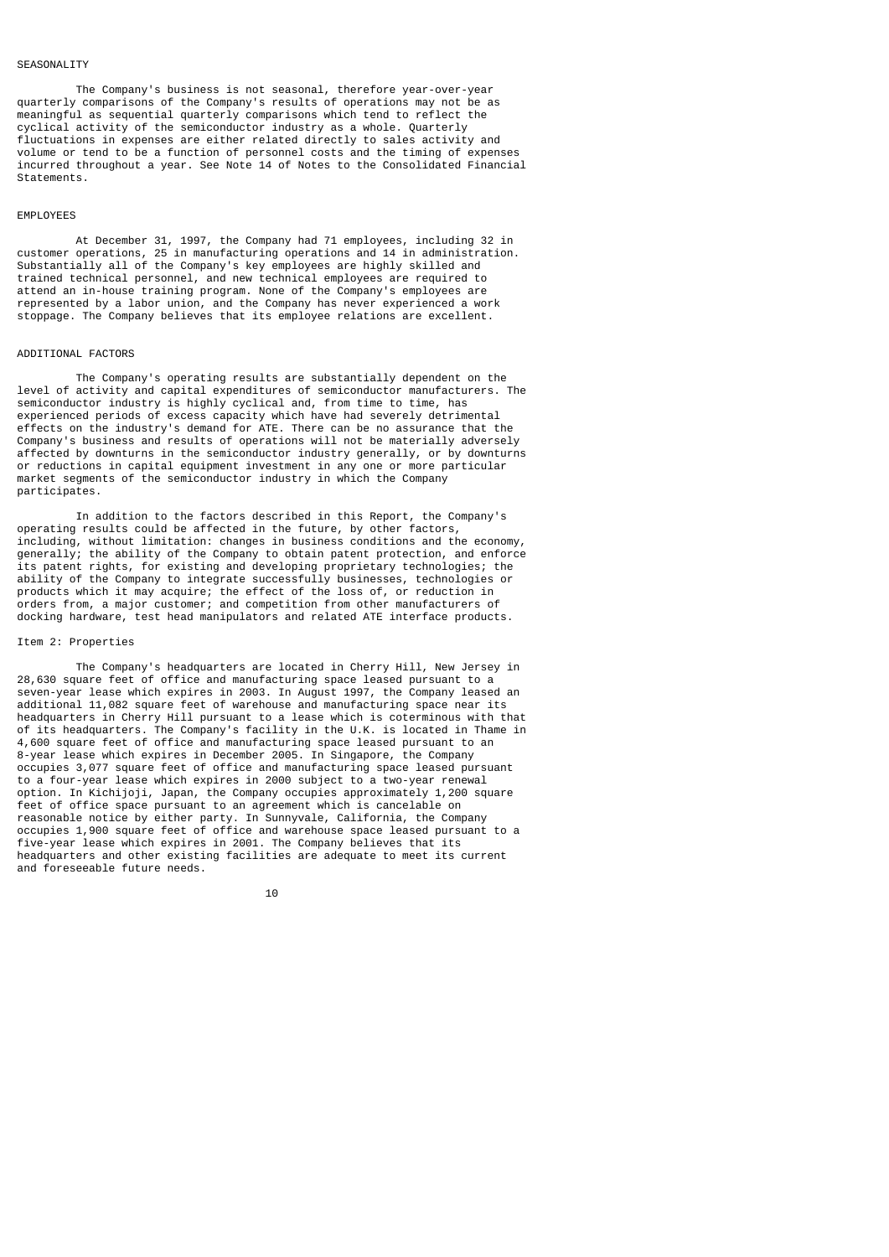### SEASONAL TTY

 The Company's business is not seasonal, therefore year-over-year quarterly comparisons of the Company's results of operations may not be as meaningful as sequential quarterly comparisons which tend to reflect the cyclical activity of the semiconductor industry as a whole. Quarterly fluctuations in expenses are either related directly to sales activity and volume or tend to be a function of personnel costs and the timing of expenses incurred throughout a year. See Note 14 of Notes to the Consolidated Financial Statements.

## EMPLOYEES

 At December 31, 1997, the Company had 71 employees, including 32 in customer operations, 25 in manufacturing operations and 14 in administration. Substantially all of the Company's key employees are highly skilled and trained technical personnel, and new technical employees are required to attend an in-house training program. None of the Company's employees are represented by a labor union, and the Company has never experienced a work stoppage. The Company believes that its employee relations are excellent.

### ADDITIONAL FACTORS

 The Company's operating results are substantially dependent on the level of activity and capital expenditures of semiconductor manufacturers. The semiconductor industry is highly cyclical and, from time to time, has experienced periods of excess capacity which have had severely detrimental effects on the industry's demand for ATE. There can be no assurance that the Company's business and results of operations will not be materially adversely affected by downturns in the semiconductor industry generally, or by downturns or reductions in capital equipment investment in any one or more particular market segments of the semiconductor industry in which the Company participates.

 In addition to the factors described in this Report, the Company's operating results could be affected in the future, by other factors, including, without limitation: changes in business conditions and the economy, generally; the ability of the Company to obtain patent protection, and enforce its patent rights, for existing and developing proprietary technologies; the ability of the Company to integrate successfully businesses, technologies or products which it may acquire; the effect of the loss of, or reduction in orders from, a major customer; and competition from other manufacturers of docking hardware, test head manipulators and related ATE interface products.

### Item 2: Properties

 The Company's headquarters are located in Cherry Hill, New Jersey in 28,630 square feet of office and manufacturing space leased pursuant to a seven-year lease which expires in 2003. In August 1997, the Company leased an additional 11,082 square feet of warehouse and manufacturing space near its headquarters in Cherry Hill pursuant to a lease which is coterminous with that of its headquarters. The Company's facility in the U.K. is located in Thame in 4,600 square feet of office and manufacturing space leased pursuant to an 8-year lease which expires in December 2005. In Singapore, the Company occupies 3,077 square feet of office and manufacturing space leased pursuant to a four-year lease which expires in 2000 subject to a two-year renewal option. In Kichijoji, Japan, the Company occupies approximately 1,200 square feet of office space pursuant to an agreement which is cancelable on reasonable notice by either party. In Sunnyvale, California, the Company occupies 1,900 square feet of office and warehouse space leased pursuant to a five-year lease which expires in 2001. The Company believes that its headquarters and other existing facilities are adequate to meet its current and foreseeable future needs.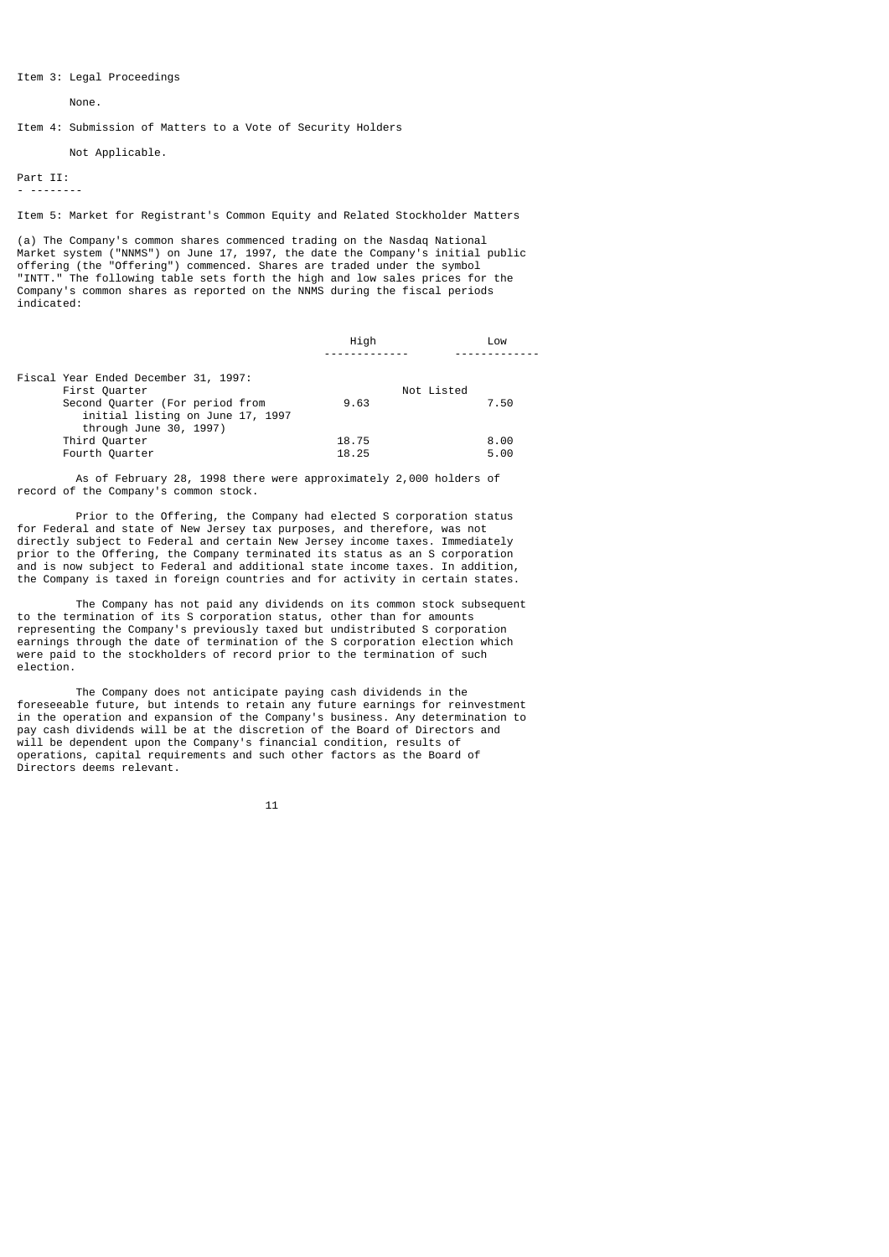Item 3: Legal Proceedings

None.

Item 4: Submission of Matters to a Vote of Security Holders

Not Applicable.

Part II:

- --------

Item 5: Market for Registrant's Common Equity and Related Stockholder Matters

(a) The Company's common shares commenced trading on the Nasdaq National Market system ("NNMS") on June 17, 1997, the date the Company's initial public offering (the "Offering") commenced. Shares are traded under the symbol "INTT." The following table sets forth the high and low sales prices for the Company's common shares as reported on the NNMS during the fiscal periods indicated:

|                                      | Hiah  | Low        |
|--------------------------------------|-------|------------|
|                                      |       |            |
| Fiscal Year Ended December 31, 1997: |       |            |
| First Quarter                        |       | Not Listed |
| Second Quarter (For period from      | 9.63  | 7.50       |
| initial listing on June 17, 1997     |       |            |
| through June 30, 1997)               |       |            |
| Third Quarter                        | 18.75 | 8.00       |
| Fourth Quarter                       | 18.25 | 5.00       |

 As of February 28, 1998 there were approximately 2,000 holders of record of the Company's common stock.

 Prior to the Offering, the Company had elected S corporation status for Federal and state of New Jersey tax purposes, and therefore, was not directly subject to Federal and certain New Jersey income taxes. Immediately prior to the Offering, the Company terminated its status as an S corporation and is now subject to Federal and additional state income taxes. In addition, the Company is taxed in foreign countries and for activity in certain states.

 The Company has not paid any dividends on its common stock subsequent to the termination of its S corporation status, other than for amounts representing the Company's previously taxed but undistributed S corporation earnings through the date of termination of the S corporation election which were paid to the stockholders of record prior to the termination of such election.

 The Company does not anticipate paying cash dividends in the foreseeable future, but intends to retain any future earnings for reinvestment in the operation and expansion of the Company's business. Any determination to pay cash dividends will be at the discretion of the Board of Directors and will be dependent upon the Company's financial condition, results of operations, capital requirements and such other factors as the Board of Directors deems relevant.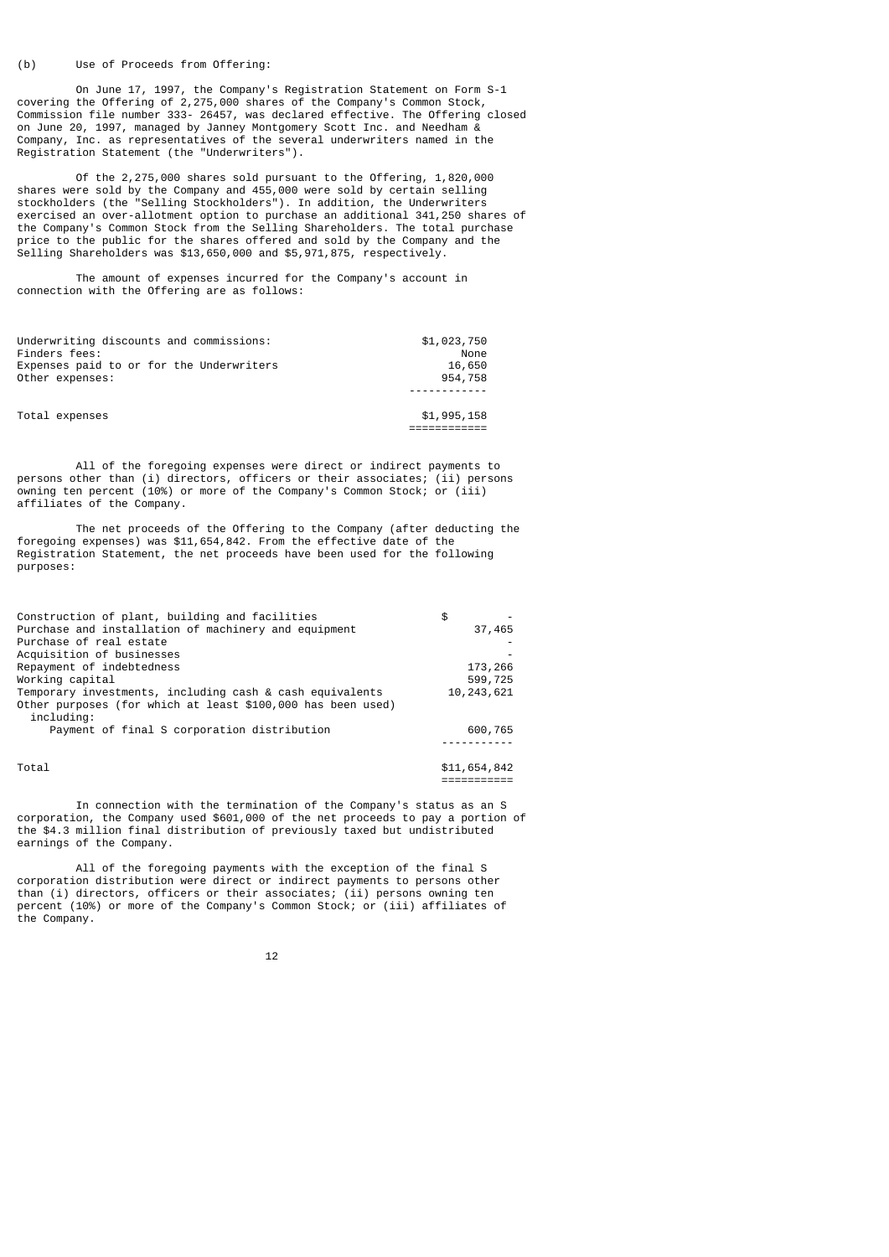#### (b) Use of Proceeds from Offering:

 On June 17, 1997, the Company's Registration Statement on Form S-1 covering the Offering of 2,275,000 shares of the Company's Common Stock, Commission file number 333- 26457, was declared effective. The Offering closed on June 20, 1997, managed by Janney Montgomery Scott Inc. and Needham & Company, Inc. as representatives of the several underwriters named in the Registration Statement (the "Underwriters").

 Of the 2,275,000 shares sold pursuant to the Offering, 1,820,000 shares were sold by the Company and 455,000 were sold by certain selling stockholders (the "Selling Stockholders"). In addition, the Underwriters exercised an over-allotment option to purchase an additional 341,250 shares of the Company's Common Stock from the Selling Shareholders. The total purchase price to the public for the shares offered and sold by the Company and the Selling Shareholders was \$13,650,000 and \$5,971,875, respectively.

 The amount of expenses incurred for the Company's account in connection with the Offering are as follows:

| Underwriting discounts and commissions:  | \$1,023,750 |
|------------------------------------------|-------------|
| Finders fees:                            | None        |
| Expenses paid to or for the Underwriters | 16,650      |
| Other expenses:                          | 954,758     |
|                                          |             |
|                                          |             |
| Total expenses                           | \$1,995,158 |
|                                          |             |

 All of the foregoing expenses were direct or indirect payments to persons other than (i) directors, officers or their associates; (ii) persons owning ten percent (10%) or more of the Company's Common Stock; or (iii) affiliates of the Company.

 The net proceeds of the Offering to the Company (after deducting the foregoing expenses) was \$11,654,842. From the effective date of the Registration Statement, the net proceeds have been used for the following purposes:

| Construction of plant, building and facilities              | \$           |
|-------------------------------------------------------------|--------------|
| Purchase and installation of machinery and equipment        | 37,465       |
| Purchase of real estate                                     |              |
| Acquisition of businesses                                   |              |
| Repayment of indebtedness                                   | 173,266      |
| Working capital                                             | 599,725      |
| Temporary investments, including cash & cash equivalents    | 10, 243, 621 |
| Other purposes (for which at least \$100,000 has been used) |              |
| including:                                                  |              |
| Payment of final S corporation distribution                 | 600,765      |
|                                                             |              |
| Total                                                       | \$11,654,842 |

===========

 In connection with the termination of the Company's status as an S corporation, the Company used \$601,000 of the net proceeds to pay a portion of the \$4.3 million final distribution of previously taxed but undistributed earnings of the Company.

 All of the foregoing payments with the exception of the final S corporation distribution were direct or indirect payments to persons other than (i) directors, officers or their associates; (ii) persons owning ten percent (10%) or more of the Company's Common Stock; or (iii) affiliates of the Company.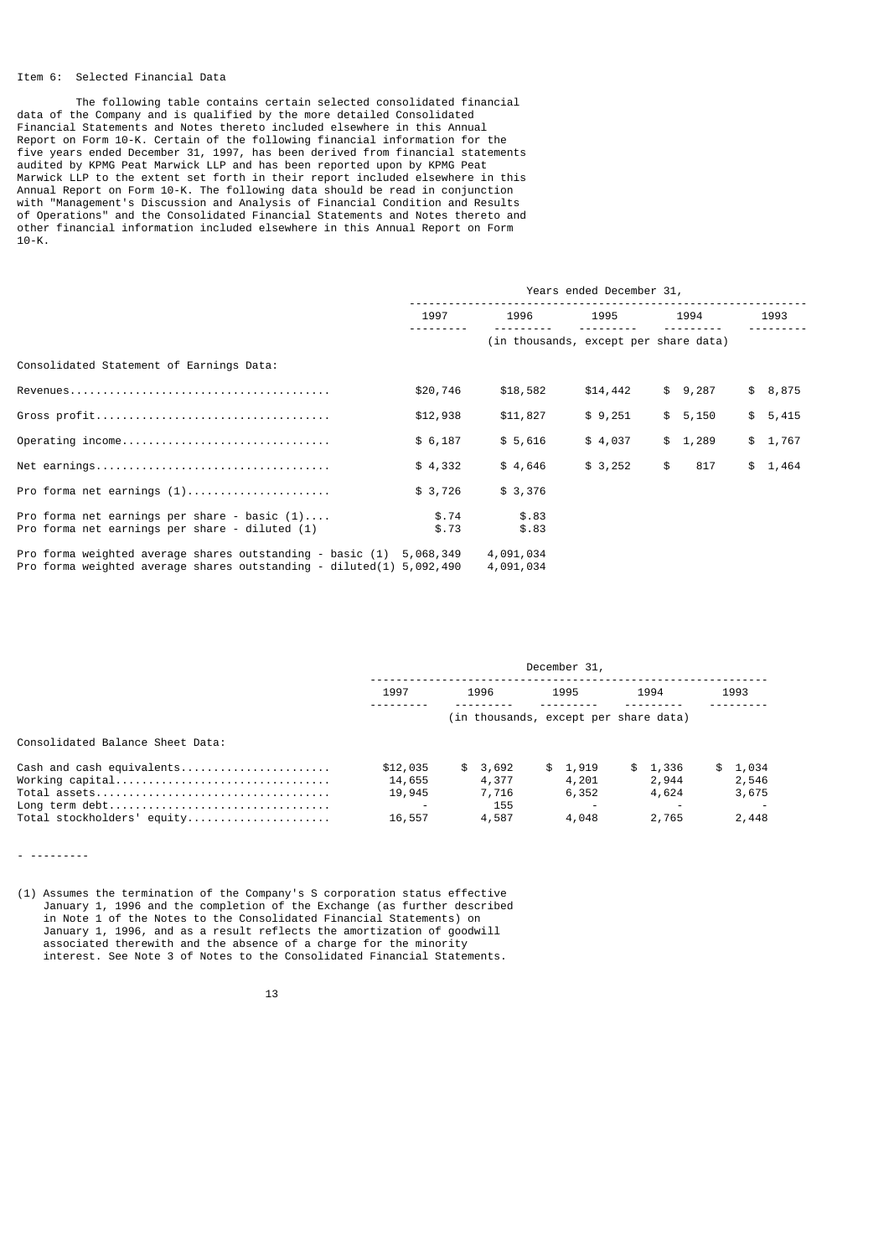## Item 6: Selected Financial Data

 The following table contains certain selected consolidated financial data of the Company and is qualified by the more detailed Consolidated Financial Statements and Notes thereto included elsewhere in this Annual Report on Form 10-K. Certain of the following financial information for the five years ended December 31, 1997, has been derived from financial statements audited by KPMG Peat Marwick LLP and has been reported upon by KPMG Peat Marwick LLP to the extent set forth in their report included elsewhere in this Annual Report on Form 10-K. The following data should be read in conjunction with "Management's Discussion and Analysis of Financial Condition and Results of Operations" and the Consolidated Financial Statements and Notes thereto and other financial information included elsewhere in this Annual Report on Form  $10 - K$ .

|                                                                                                                                       | Years ended December 31, |                                       |          |           |         |
|---------------------------------------------------------------------------------------------------------------------------------------|--------------------------|---------------------------------------|----------|-----------|---------|
|                                                                                                                                       | 1997                     | 1996                                  | 1995     | 1994      | 1993    |
|                                                                                                                                       |                          | (in thousands, except per share data) |          |           |         |
| Consolidated Statement of Earnings Data:                                                                                              |                          |                                       |          |           |         |
|                                                                                                                                       | \$20,746                 | \$18,582                              | \$14,442 | \$9,287   | \$8,875 |
|                                                                                                                                       | \$12,938                 | \$11,827                              | \$9,251  | \$5,150   | \$5,415 |
| Operating income                                                                                                                      | \$6,187                  | \$5,616                               | \$4,037  | \$1,289   | \$1,767 |
|                                                                                                                                       | \$4,332                  | \$4,646                               | \$3,252  | \$<br>817 | \$1,464 |
| Pro forma net earnings $(1)$                                                                                                          | \$3,726                  | \$3,376                               |          |           |         |
| Pro forma net earnings per share - basic $(1)$<br>Pro forma net earnings per share - diluted (1)                                      | \$.74<br>\$.73           | \$.83<br>\$.83                        |          |           |         |
| Pro forma weighted average shares outstanding - basic $(1)$<br>Pro forma weighted average shares outstanding - diluted(1) $5,092,490$ | 5,068,349                | 4,091,034<br>4,091,034                |          |           |         |

|                                                                                              | December 31,                           |                                           |                                    |                                    |                                         |
|----------------------------------------------------------------------------------------------|----------------------------------------|-------------------------------------------|------------------------------------|------------------------------------|-----------------------------------------|
|                                                                                              | 1997                                   | 1996                                      | 1995                               | 1994                               | 1993                                    |
|                                                                                              |                                        | (in thousands, except per share data)     |                                    |                                    |                                         |
| Consolidated Balance Sheet Data:                                                             |                                        |                                           |                                    |                                    |                                         |
| Cash and cash equivalents<br>Working capital<br>Long term debt<br>Total stockholders' equity | \$12,035<br>14,655<br>19,945<br>16,557 | \$3,692<br>4,377<br>7,716<br>155<br>4,587 | \$1.919<br>4,201<br>6,352<br>4,048 | \$1,336<br>2,944<br>4,624<br>2,765 | 1,034<br>SS.<br>2,546<br>3,675<br>2,448 |

- ---------

(1) Assumes the termination of the Company's S corporation status effective January 1, 1996 and the completion of the Exchange (as further described in Note 1 of the Notes to the Consolidated Financial Statements) on January 1, 1996, and as a result reflects the amortization of goodwill associated therewith and the absence of a charge for the minority interest. See Note 3 of Notes to the Consolidated Financial Statements.

<u>13</u>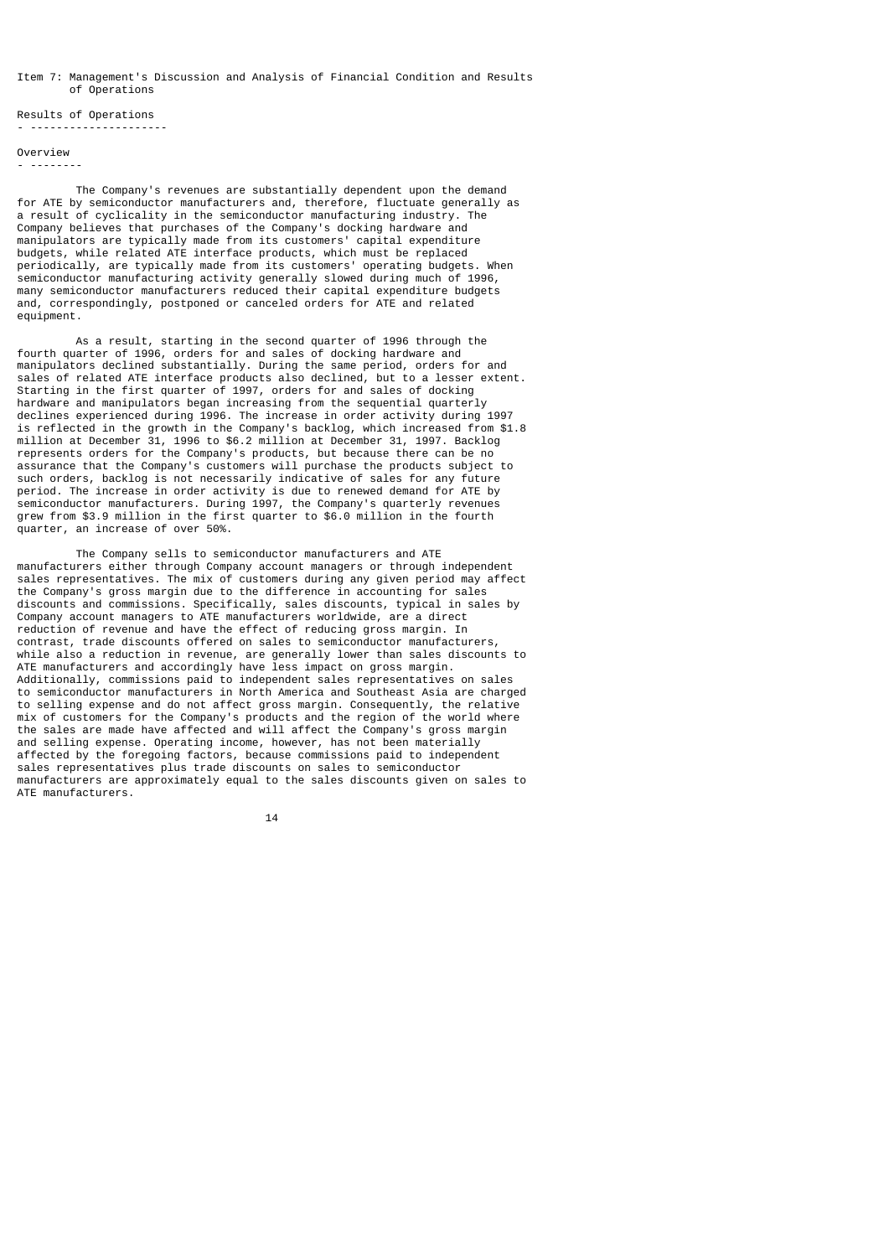## Item 7: Management's Discussion and Analysis of Financial Condition and Results of Operations

Results of Operations - ---------------------

Overview

#### - --------

 The Company's revenues are substantially dependent upon the demand for ATE by semiconductor manufacturers and, therefore, fluctuate generally as a result of cyclicality in the semiconductor manufacturing industry. The Company believes that purchases of the Company's docking hardware and manipulators are typically made from its customers' capital expenditure budgets, while related ATE interface products, which must be replaced periodically, are typically made from its customers' operating budgets. When semiconductor manufacturing activity generally slowed during much of 1996, many semiconductor manufacturers reduced their capital expenditure budgets and, correspondingly, postponed or canceled orders for ATE and related equipment.

 As a result, starting in the second quarter of 1996 through the fourth quarter of 1996, orders for and sales of docking hardware and manipulators declined substantially. During the same period, orders for and sales of related ATE interface products also declined, but to a lesser extent. Starting in the first quarter of 1997, orders for and sales of docking hardware and manipulators began increasing from the sequential quarterly declines experienced during 1996. The increase in order activity during 1997 is reflected in the growth in the Company's backlog, which increased from \$1.8 million at December 31, 1996 to \$6.2 million at December 31, 1997. Backlog represents orders for the Company's products, but because there can be no assurance that the Company's customers will purchase the products subject to such orders, backlog is not necessarily indicative of sales for any future period. The increase in order activity is due to renewed demand for ATE by semiconductor manufacturers. During 1997, the Company's quarterly revenues grew from \$3.9 million in the first quarter to \$6.0 million in the fourth quarter, an increase of over 50%.

 The Company sells to semiconductor manufacturers and ATE manufacturers either through Company account managers or through independent sales representatives. The mix of customers during any given period may affect the Company's gross margin due to the difference in accounting for sales discounts and commissions. Specifically, sales discounts, typical in sales by Company account managers to ATE manufacturers worldwide, are a direct reduction of revenue and have the effect of reducing gross margin. In contrast, trade discounts offered on sales to semiconductor manufacturers, while also a reduction in revenue, are generally lower than sales discounts to ATE manufacturers and accordingly have less impact on gross margin. Additionally, commissions paid to independent sales representatives on sales to semiconductor manufacturers in North America and Southeast Asia are charged to selling expense and do not affect gross margin. Consequently, the relative mix of customers for the Company's products and the region of the world where the sales are made have affected and will affect the Company's gross margin and selling expense. Operating income, however, has not been materially affected by the foregoing factors, because commissions paid to independent sales representatives plus trade discounts on sales to semiconductor manufacturers are approximately equal to the sales discounts given on sales to ATE manufacturers.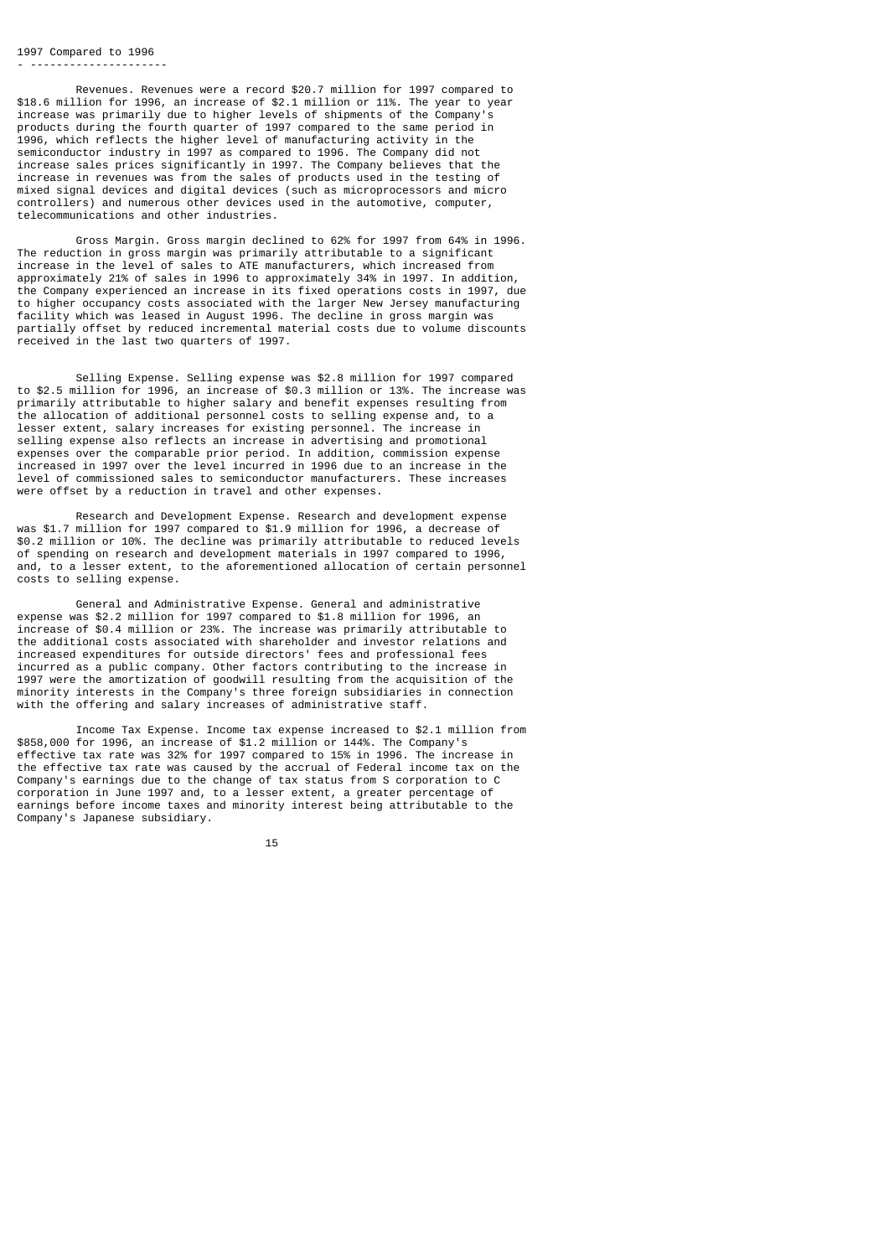#### 1997 Compared to 1996 - ---------------------

 Revenues. Revenues were a record \$20.7 million for 1997 compared to \$18.6 million for 1996, an increase of \$2.1 million or 11%. The year to year increase was primarily due to higher levels of shipments of the Company's products during the fourth quarter of 1997 compared to the same period in 1996, which reflects the higher level of manufacturing activity in the semiconductor industry in 1997 as compared to 1996. The Company did not increase sales prices significantly in 1997. The Company believes that the increase in revenues was from the sales of products used in the testing of mixed signal devices and digital devices (such as microprocessors and micro) controllers) and numerous other devices used in the automotive, computer, telecommunications and other industries.

 Gross Margin. Gross margin declined to 62% for 1997 from 64% in 1996. The reduction in gross margin was primarily attributable to a significant increase in the level of sales to ATE manufacturers, which increased from approximately 21% of sales in 1996 to approximately 34% in 1997. In addition, the Company experienced an increase in its fixed operations costs in 1997, due to higher occupancy costs associated with the larger New Jersey manufacturing facility which was leased in August 1996. The decline in gross margin was partially offset by reduced incremental material costs due to volume discounts received in the last two quarters of 1997.

 Selling Expense. Selling expense was \$2.8 million for 1997 compared to \$2.5 million for 1996, an increase of \$0.3 million or 13%. The increase was primarily attributable to higher salary and benefit expenses resulting from the allocation of additional personnel costs to selling expense and, to a lesser extent, salary increases for existing personnel. The increase in selling expense also reflects an increase in advertising and promotional expenses over the comparable prior period. In addition, commission expense increased in 1997 over the level incurred in 1996 due to an increase in the level of commissioned sales to semiconductor manufacturers. These increases were offset by a reduction in travel and other expenses.

 Research and Development Expense. Research and development expense was \$1.7 million for 1997 compared to \$1.9 million for 1996, a decrease of \$0.2 million or 10%. The decline was primarily attributable to reduced levels of spending on research and development materials in 1997 compared to 1996, and, to a lesser extent, to the aforementioned allocation of certain personnel costs to selling expense.

 General and Administrative Expense. General and administrative expense was \$2.2 million for 1997 compared to \$1.8 million for 1996, an increase of \$0.4 million or 23%. The increase was primarily attributable to the additional costs associated with shareholder and investor relations and increased expenditures for outside directors' fees and professional fees incurred as a public company. Other factors contributing to the increase in 1997 were the amortization of goodwill resulting from the acquisition of the minority interests in the Company's three foreign subsidiaries in connection with the offering and salary increases of administrative staff.

 Income Tax Expense. Income tax expense increased to \$2.1 million from \$858,000 for 1996, an increase of \$1.2 million or 144%. The Company's effective tax rate was 32% for 1997 compared to 15% in 1996. The increase in the effective tax rate was caused by the accrual of Federal income tax on the Company's earnings due to the change of tax status from S corporation to C corporation in June 1997 and, to a lesser extent, a greater percentage of earnings before income taxes and minority interest being attributable to the Company's Japanese subsidiary.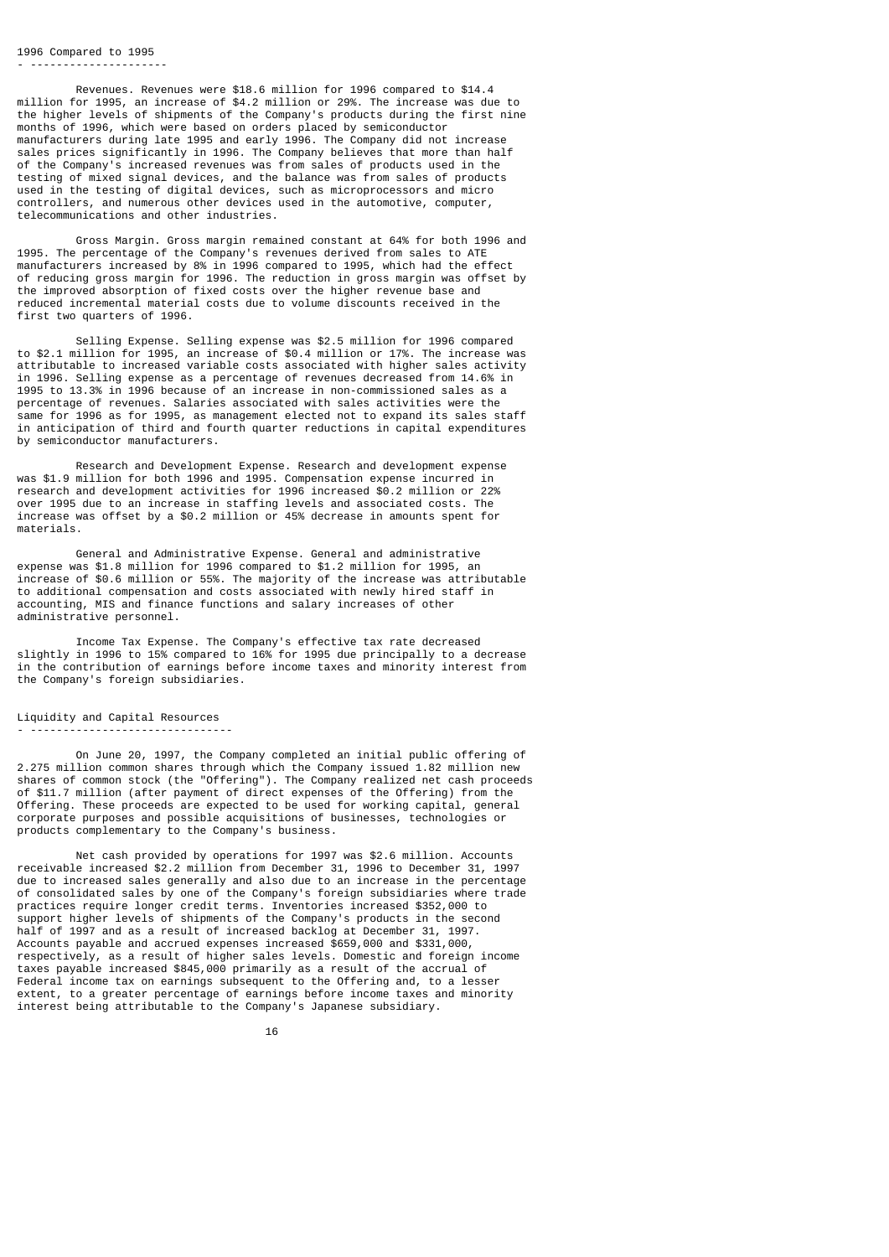#### 1996 Compared to 1995 - ---------------------

 Revenues. Revenues were \$18.6 million for 1996 compared to \$14.4 million for 1995, an increase of \$4.2 million or 29%. The increase was due to the higher levels of shipments of the Company's products during the first nine months of 1996, which were based on orders placed by semiconductor manufacturers during late 1995 and early 1996. The Company did not increase sales prices significantly in 1996. The Company believes that more than half of the Company's increased revenues was from sales of products used in the testing of mixed signal devices, and the balance was from sales of products used in the testing of digital devices, such as microprocessors and micro controllers, and numerous other devices used in the automotive, computer, telecommunications and other industries.

 Gross Margin. Gross margin remained constant at 64% for both 1996 and 1995. The percentage of the Company's revenues derived from sales to ATE manufacturers increased by 8% in 1996 compared to 1995, which had the effect of reducing gross margin for 1996. The reduction in gross margin was offset by the improved absorption of fixed costs over the higher revenue base and reduced incremental material costs due to volume discounts received in the first two quarters of 1996.

 Selling Expense. Selling expense was \$2.5 million for 1996 compared to \$2.1 million for 1995, an increase of \$0.4 million or 17%. The increase was attributable to increased variable costs associated with higher sales activity in 1996. Selling expense as a percentage of revenues decreased from 14.6% in 1995 to 13.3% in 1996 because of an increase in non-commissioned sales as a percentage of revenues. Salaries associated with sales activities were the same for 1996 as for 1995, as management elected not to expand its sales staff in anticipation of third and fourth quarter reductions in capital expenditures by semiconductor manufacturers.

 Research and Development Expense. Research and development expense was \$1.9 million for both 1996 and 1995. Compensation expense incurred in research and development activities for 1996 increased \$0.2 million or 22% over 1995 due to an increase in staffing levels and associated costs. The increase was offset by a \$0.2 million or 45% decrease in amounts spent for materials.

 General and Administrative Expense. General and administrative expense was \$1.8 million for 1996 compared to \$1.2 million for 1995, an increase of \$0.6 million or 55%. The majority of the increase was attributable to additional compensation and costs associated with newly hired staff in accounting, MIS and finance functions and salary increases of other administrative personnel.

 Income Tax Expense. The Company's effective tax rate decreased slightly in 1996 to 15% compared to 16% for 1995 due principally to a decrease in the contribution of earnings before income taxes and minority interest from the Company's foreign subsidiaries.

### Liquidity and Capital Resources - -------------------------------

 On June 20, 1997, the Company completed an initial public offering of 2.275 million common shares through which the Company issued 1.82 million new shares of common stock (the "Offering"). The Company realized net cash proceeds of \$11.7 million (after payment of direct expenses of the Offering) from the Offering. These proceeds are expected to be used for working capital, general corporate purposes and possible acquisitions of businesses, technologies or products complementary to the Company's business.

 Net cash provided by operations for 1997 was \$2.6 million. Accounts receivable increased \$2.2 million from December 31, 1996 to December 31, 1997 due to increased sales generally and also due to an increase in the percentage of consolidated sales by one of the Company's foreign subsidiaries where trade practices require longer credit terms. Inventories increased \$352,000 to support higher levels of shipments of the Company's products in the second half of 1997 and as a result of increased backlog at December 31, 1997. Accounts payable and accrued expenses increased \$659,000 and \$331,000, respectively, as a result of higher sales levels. Domestic and foreign income taxes payable increased \$845,000 primarily as a result of the accrual of Federal income tax on earnings subsequent to the Offering and, to a lesser extent, to a greater percentage of earnings before income taxes and minority interest being attributable to the Company's Japanese subsidiary.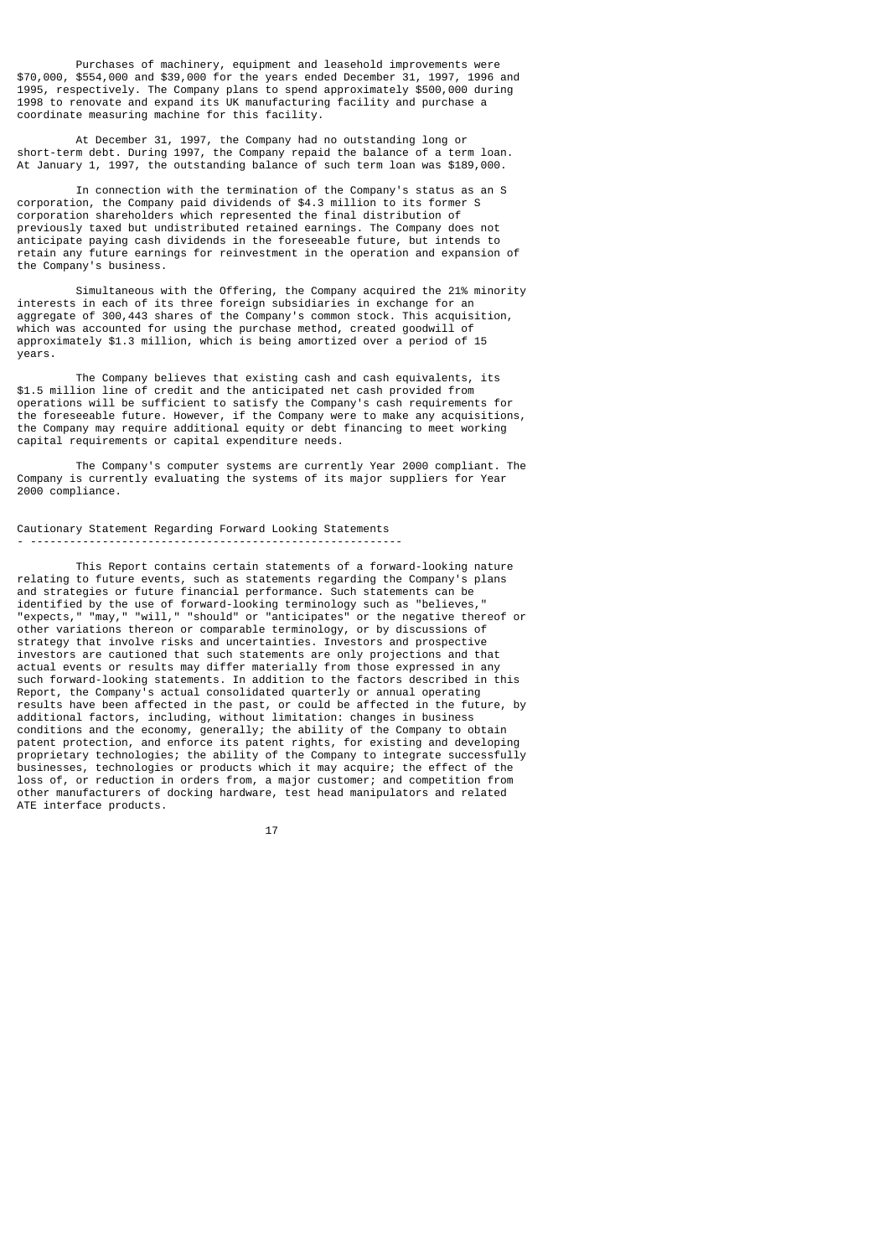Purchases of machinery, equipment and leasehold improvements were \$70,000, \$554,000 and \$39,000 for the years ended December 31, 1997, 1996 and 1995, respectively. The Company plans to spend approximately \$500,000 during 1998 to renovate and expand its UK manufacturing facility and purchase a coordinate measuring machine for this facility.

 At December 31, 1997, the Company had no outstanding long or short-term debt. During 1997, the Company repaid the balance of a term loan. At January 1, 1997, the outstanding balance of such term loan was \$189,000.

 In connection with the termination of the Company's status as an S corporation, the Company paid dividends of \$4.3 million to its former S corporation shareholders which represented the final distribution of previously taxed but undistributed retained earnings. The Company does not anticipate paying cash dividends in the foreseeable future, but intends to retain any future earnings for reinvestment in the operation and expansion of the Company's business.

 Simultaneous with the Offering, the Company acquired the 21% minority interests in each of its three foreign subsidiaries in exchange for an aggregate of 300,443 shares of the Company's common stock. This acquisition, which was accounted for using the purchase method, created goodwill of approximately \$1.3 million, which is being amortized over a period of 15 years.

 The Company believes that existing cash and cash equivalents, its \$1.5 million line of credit and the anticipated net cash provided from operations will be sufficient to satisfy the Company's cash requirements for the foreseeable future. However, if the Company were to make any acquisitions, the Company may require additional equity or debt financing to meet working capital requirements or capital expenditure needs.

 The Company's computer systems are currently Year 2000 compliant. The Company is currently evaluating the systems of its major suppliers for Year 2000 compliance.

## Cautionary Statement Regarding Forward Looking Statements - ---------------------------------------------------------

 This Report contains certain statements of a forward-looking nature relating to future events, such as statements regarding the Company's plans and strategies or future financial performance. Such statements can be identified by the use of forward-looking terminology such as "believes," "expects," "may," "will," "should" or "anticipates" or the negative thereof or other variations thereon or comparable terminology, or by discussions of strategy that involve risks and uncertainties. Investors and prospective investors are cautioned that such statements are only projections and that actual events or results may differ materially from those expressed in any such forward-looking statements. In addition to the factors described in this Report, the Company's actual consolidated quarterly or annual operating results have been affected in the past, or could be affected in the future, by additional factors, including, without limitation: changes in business conditions and the economy, generally; the ability of the Company to obtain patent protection, and enforce its patent rights, for existing and developing proprietary technologies; the ability of the Company to integrate successfully businesses, technologies or products which it may acquire; the effect of the loss of, or reduction in orders from, a major customer; and competition from other manufacturers of docking hardware, test head manipulators and related ATE interface products.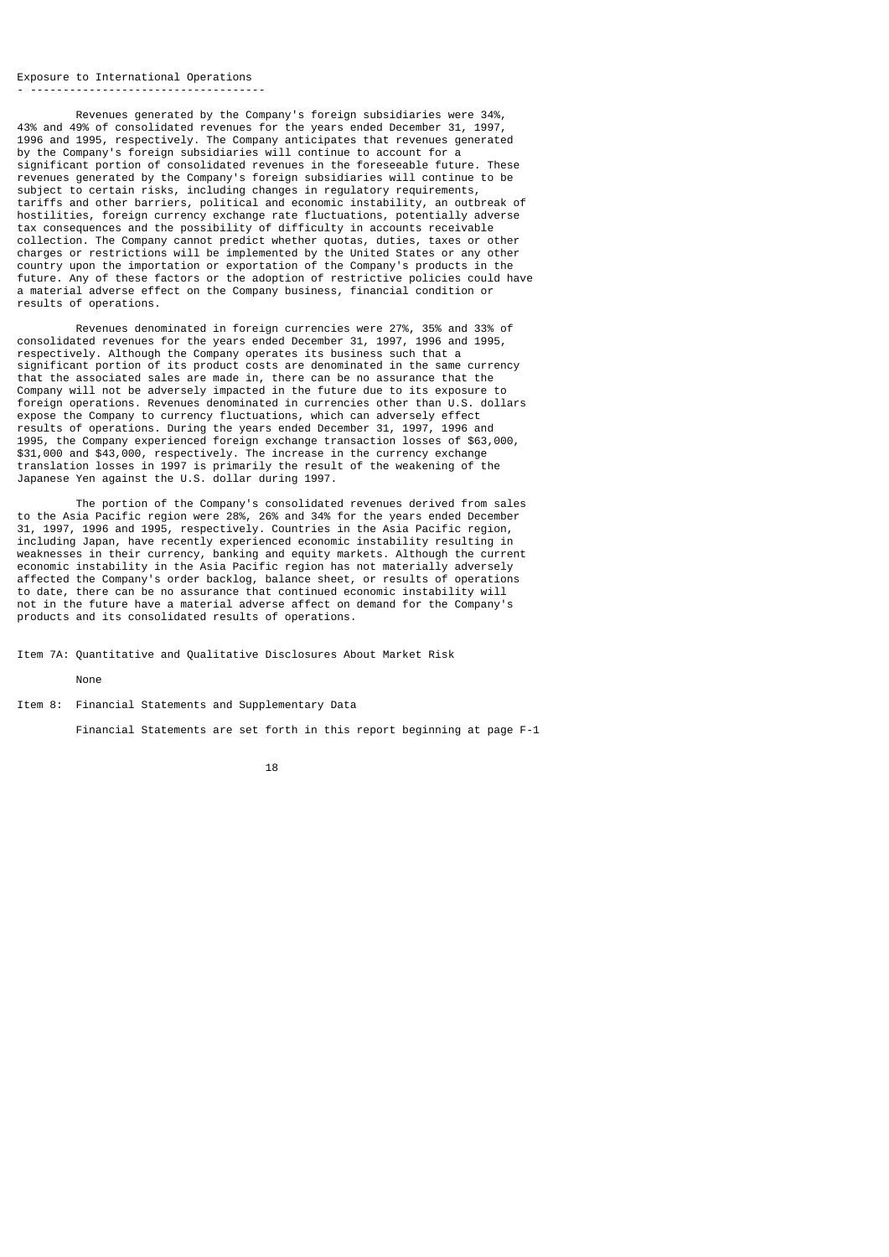#### Exposure to International Operations

- ------------------------------------

 Revenues generated by the Company's foreign subsidiaries were 34%, 43% and 49% of consolidated revenues for the years ended December 31, 1997, 1996 and 1995, respectively. The Company anticipates that revenues generated by the Company's foreign subsidiaries will continue to account for a significant portion of consolidated revenues in the foreseeable future. These revenues generated by the Company's foreign subsidiaries will continue to be subject to certain risks, including changes in regulatory requirements, tariffs and other barriers, political and economic instability, an outbreak of hostilities, foreign currency exchange rate fluctuations, potentially adverse tax consequences and the possibility of difficulty in accounts receivable collection. The Company cannot predict whether quotas, duties, taxes or other charges or restrictions will be implemented by the United States or any other country upon the importation or exportation of the Company's products in the future. Any of these factors or the adoption of restrictive policies could have a material adverse effect on the Company business, financial condition or results of operations.

 Revenues denominated in foreign currencies were 27%, 35% and 33% of consolidated revenues for the years ended December 31, 1997, 1996 and 1995, respectively. Although the Company operates its business such that a significant portion of its product costs are denominated in the same currency that the associated sales are made in, there can be no assurance that the Company will not be adversely impacted in the future due to its exposure to foreign operations. Revenues denominated in currencies other than U.S. dollars expose the Company to currency fluctuations, which can adversely effect results of operations. During the years ended December 31, 1997, 1996 and 1995, the Company experienced foreign exchange transaction losses of \$63,000, \$31,000 and \$43,000, respectively. The increase in the currency exchange translation losses in 1997 is primarily the result of the weakening of the Japanese Yen against the U.S. dollar during 1997.

 The portion of the Company's consolidated revenues derived from sales to the Asia Pacific region were 28%, 26% and 34% for the years ended December 31, 1997, 1996 and 1995, respectively. Countries in the Asia Pacific region, including Japan, have recently experienced economic instability resulting in weaknesses in their currency, banking and equity markets. Although the current economic instability in the Asia Pacific region has not materially adversely affected the Company's order backlog, balance sheet, or results of operations to date, there can be no assurance that continued economic instability will not in the future have a material adverse affect on demand for the Company's products and its consolidated results of operations.

Item 7A: Quantitative and Qualitative Disclosures About Market Risk

None

Item 8: Financial Statements and Supplementary Data

Financial Statements are set forth in this report beginning at page F-1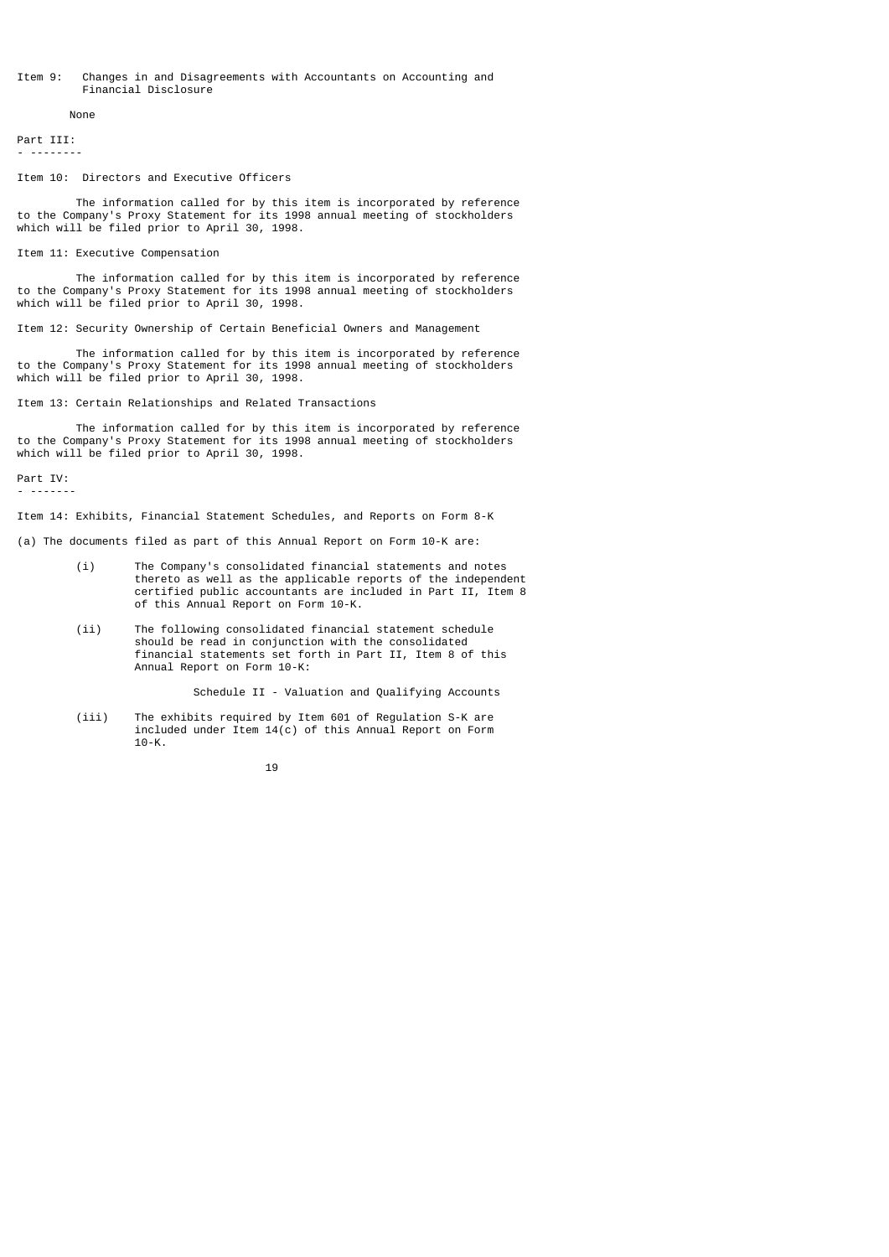### Item 9: Changes in and Disagreements with Accountants on Accounting and Financial Disclosure

None

Part III: - --------

#### Item 10: Directors and Executive Officers

 The information called for by this item is incorporated by reference to the Company's Proxy Statement for its 1998 annual meeting of stockholders which will be filed prior to April 30, 1998.

### Item 11: Executive Compensation

 The information called for by this item is incorporated by reference to the Company's Proxy Statement for its 1998 annual meeting of stockholders which will be filed prior to April 30, 1998.

Item 12: Security Ownership of Certain Beneficial Owners and Management

 The information called for by this item is incorporated by reference to the Company's Proxy Statement for its 1998 annual meeting of stockholders which will be filed prior to April 30, 1998.

Item 13: Certain Relationships and Related Transactions

 The information called for by this item is incorporated by reference to the Company's Proxy Statement for its 1998 annual meeting of stockholders which will be filed prior to April 30, 1998.

Part IV:

- -------

Item 14: Exhibits, Financial Statement Schedules, and Reports on Form 8-K

- (a) The documents filed as part of this Annual Report on Form 10-K are:
	- (i) The Company's consolidated financial statements and notes thereto as well as the applicable reports of the independent certified public accountants are included in Part II, Item 8 of this Annual Report on Form 10-K.
	- (ii) The following consolidated financial statement schedule should be read in conjunction with the consolidated financial statements set forth in Part II, Item 8 of this Annual Report on Form 10-K:

Schedule II - Valuation and Qualifying Accounts

 (iii) The exhibits required by Item 601 of Regulation S-K are included under Item 14(c) of this Annual Report on Form 10-K.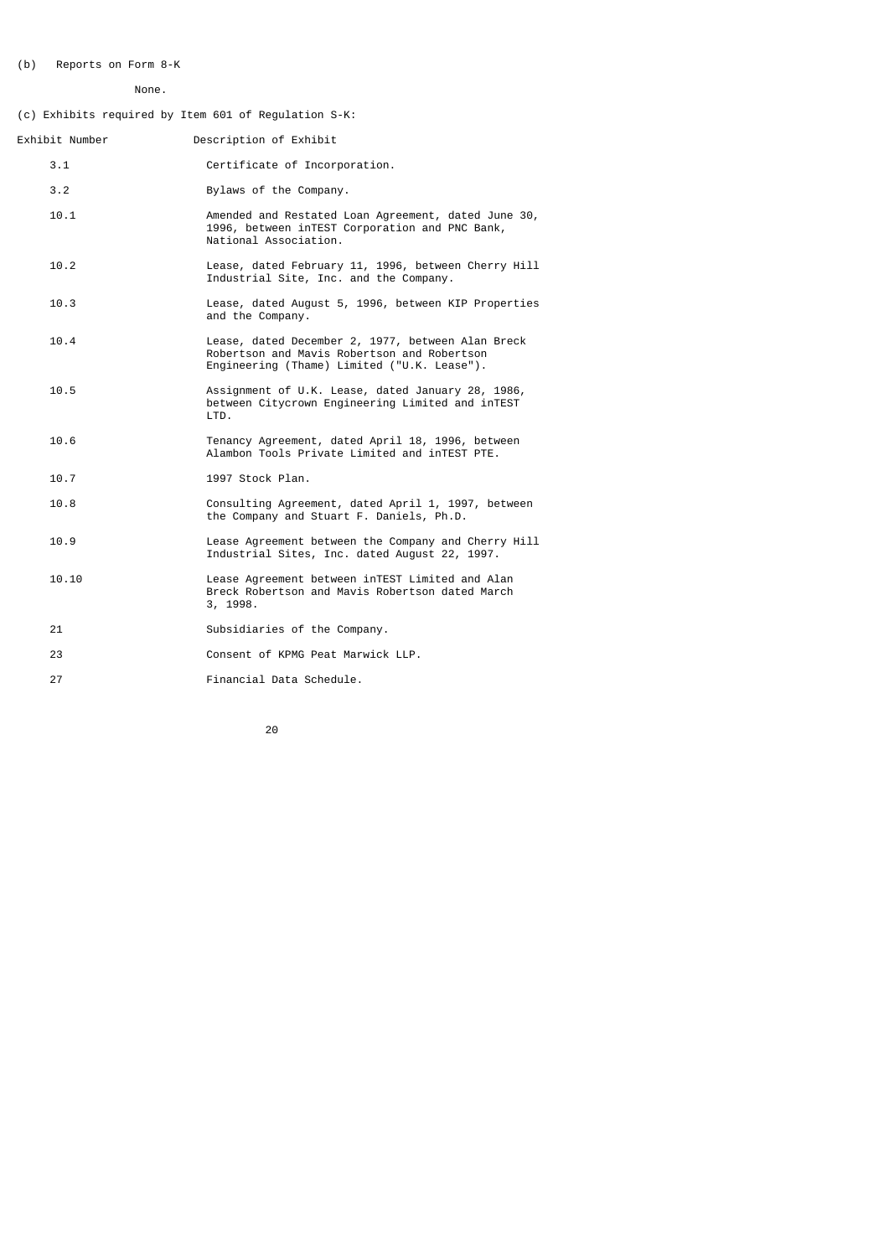# (b) Reports on Form 8-K

# None.

(c) Exhibits required by Item 601 of Regulation S-K:

| Exhibit Number | Description of Exhibit                                                                                                                          |
|----------------|-------------------------------------------------------------------------------------------------------------------------------------------------|
| 3.1            | Certificate of Incorporation.                                                                                                                   |
| 3.2            | Bylaws of the Company.                                                                                                                          |
| 10.1           | Amended and Restated Loan Agreement, dated June 30,<br>1996, between inTEST Corporation and PNC Bank,<br>National Association.                  |
| 10.2           | Lease, dated February 11, 1996, between Cherry Hill<br>Industrial Site, Inc. and the Company.                                                   |
| 10.3           | Lease, dated August 5, 1996, between KIP Properties<br>and the Company.                                                                         |
| 10.4           | Lease, dated December 2, 1977, between Alan Breck<br>Robertson and Mavis Robertson and Robertson<br>Engineering (Thame) Limited ("U.K. Lease"). |
| 10.5           | Assignment of U.K. Lease, dated January 28, 1986,<br>between Citycrown Engineering Limited and inTEST<br>LTD.                                   |
| 10.6           | Tenancy Agreement, dated April 18, 1996, between<br>Alambon Tools Private Limited and inTEST PTE.                                               |
| 10.7           | 1997 Stock Plan.                                                                                                                                |
| 10.8           | Consulting Agreement, dated April 1, 1997, between<br>the Company and Stuart F. Daniels, Ph.D.                                                  |
| 10.9           | Lease Agreement between the Company and Cherry Hill<br>Industrial Sites, Inc. dated August 22, 1997.                                            |
| 10.10          | Lease Agreement between inTEST Limited and Alan<br>Breck Robertson and Mavis Robertson dated March<br>3, 1998.                                  |
| 21             | Subsidiaries of the Company.                                                                                                                    |
| 23             | Consent of KPMG Peat Marwick LLP.                                                                                                               |
| 27             | Financial Data Schedule.                                                                                                                        |
|                |                                                                                                                                                 |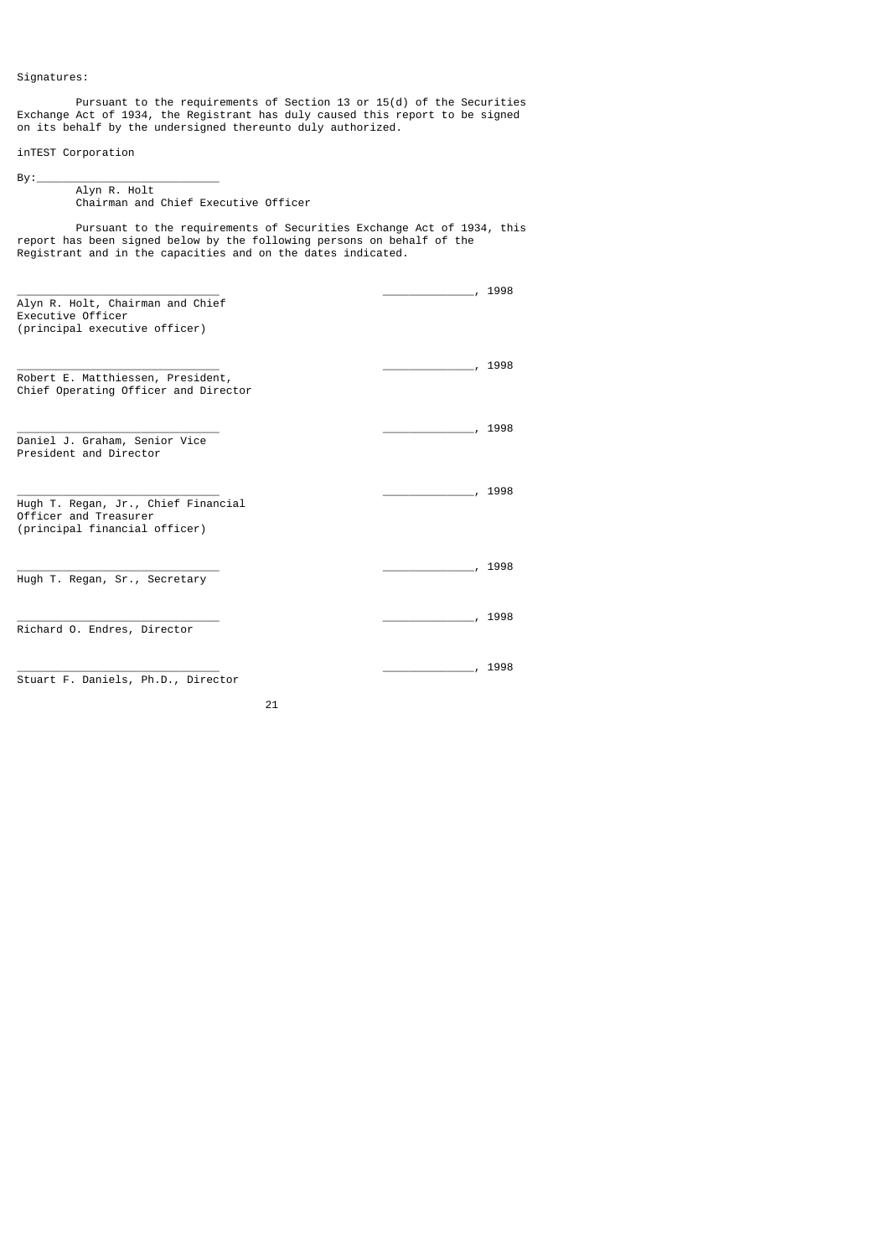Signatures:

 $By:$ 

 Pursuant to the requirements of Section 13 or 15(d) of the Securities Exchange Act of 1934, the Registrant has duly caused this report to be signed on its behalf by the undersigned thereunto duly authorized.

inTEST Corporation

## Alyn R. Holt Chairman and Chief Executive Officer

21

 Pursuant to the requirements of Securities Exchange Act of 1934, this report has been signed below by the following persons on behalf of the Registrant and in the capacities and on the dates indicated.

|                                                                                               | 1998 |
|-----------------------------------------------------------------------------------------------|------|
| Alyn R. Holt, Chairman and Chief<br>Executive Officer<br>(principal executive officer)        |      |
| Robert E. Matthiessen, President,<br>Chief Operating Officer and Director                     | 1998 |
| Daniel J. Graham, Senior Vice<br>President and Director                                       | 1998 |
| Hugh T. Regan, Jr., Chief Financial<br>Officer and Treasurer<br>(principal financial officer) | 1998 |
| Hugh T. Regan, Sr., Secretary                                                                 | 1998 |
| Richard O. Endres, Director                                                                   | 1998 |
| Stuart F. Daniels, Ph.D., Director                                                            | 1998 |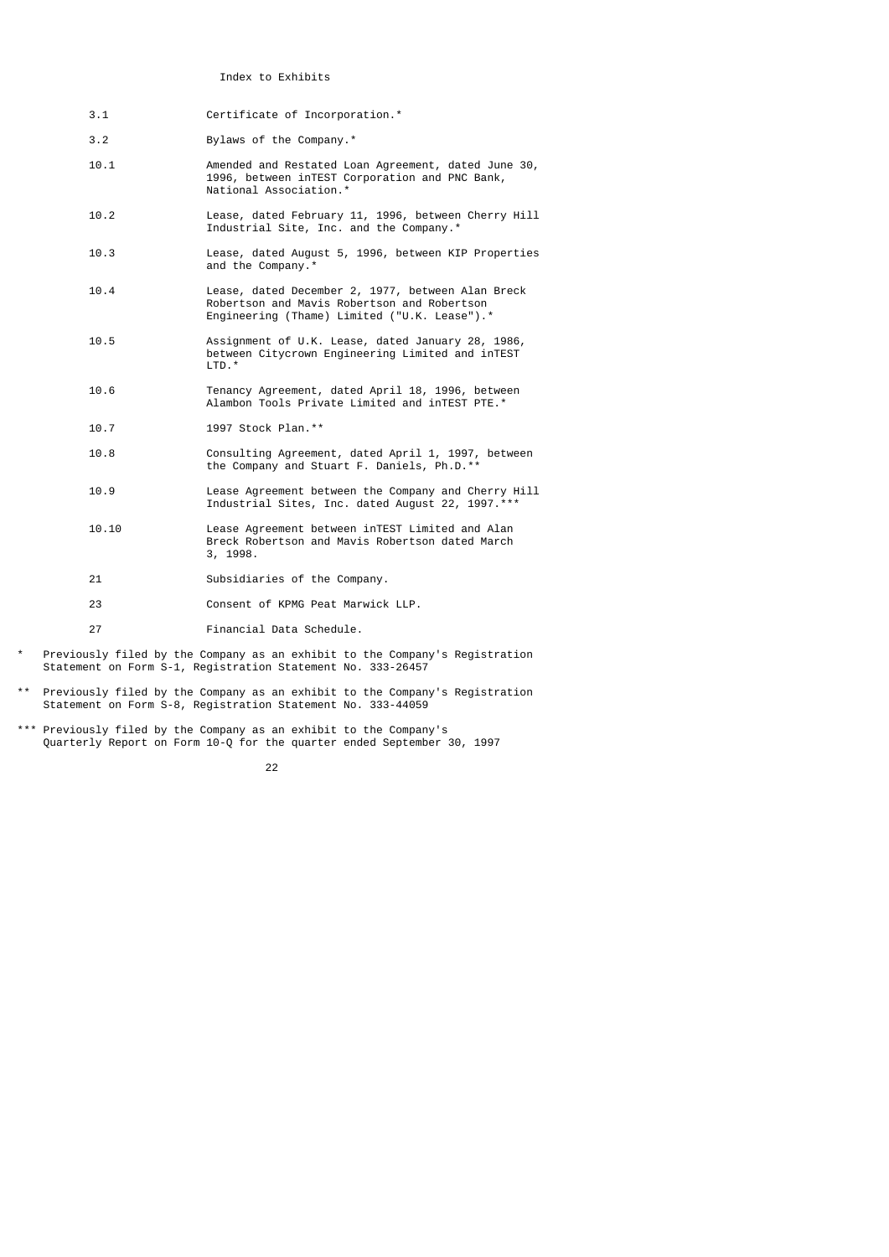Index to Exhibits

- 3.1 Certificate of Incorporation.\*
- 3.2 Bylaws of the Company.\*
- 10.1 Amended and Restated Loan Agreement, dated June 30, 1996, between inTEST Corporation and PNC Bank, National Association.\*
- 10.2 Lease, dated February 11, 1996, between Cherry Hill Industrial Site, Inc. and the Company.\*
	- 10.3 Lease, dated August 5, 1996, between KIP Properties and the Company.<sup>\*</sup>
- 10.4 Lease, dated December 2, 1977, between Alan Breck Robertson and Mavis Robertson and Robertson Engineering (Thame) Limited ("U.K. Lease").\*
- 10.5 Assignment of U.K. Lease, dated January 28, 1986, between Citycrown Engineering Limited and inTEST LTD.<sup>\*</sup>
- 10.6 Tenancy Agreement, dated April 18, 1996, between Alambon Tools Private Limited and inTEST PTE.\*
	- 10.7 1997 Stock Plan.\*\*
- 10.8 Consulting Agreement, dated April 1, 1997, between the Company and Stuart F. Daniels, Ph.D.\*\*
	- 10.9 Lease Agreement between the Company and Cherry Hill Industrial Sites, Inc. dated August 22, 1997.\*\*\*
	- 10.10 Lease Agreement between inTEST Limited and Alan Breck Robertson and Mavis Robertson dated March 3, 1998.
	- 21 Subsidiaries of the Company.
	- 23 Consent of KPMG Peat Marwick LLP.
	- 27 Financial Data Schedule.
- \* Previously filed by the Company as an exhibit to the Company's Registration Statement on Form S-1, Registration Statement No. 333-26457
- \*\* Previously filed by the Company as an exhibit to the Company's Registration Statement on Form S-8, Registration Statement No. 333-44059
- \*\*\* Previously filed by the Company as an exhibit to the Company's Quarterly Report on Form 10-Q for the quarter ended September 30, 1997

<u>22</u>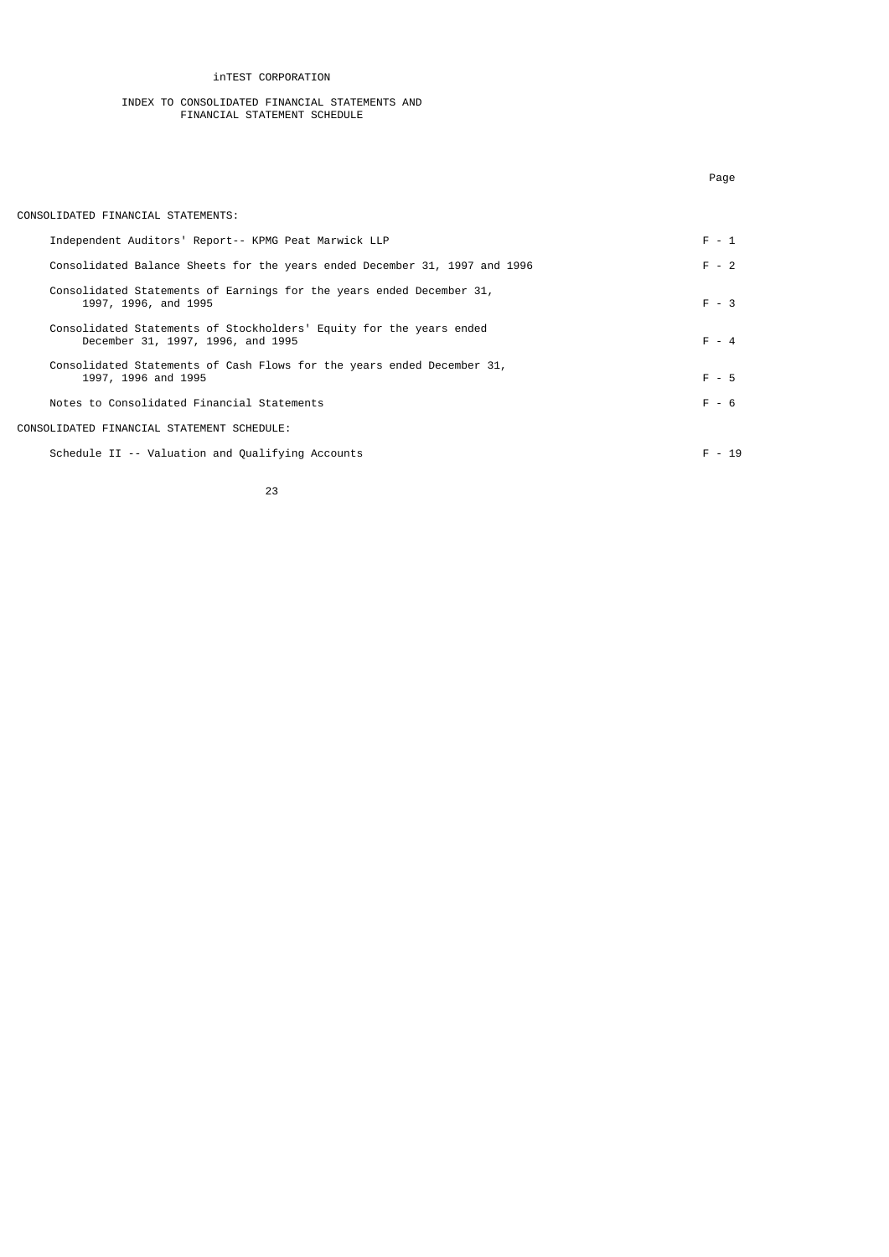inTEST CORPORATION

#### INDEX TO CONSOLIDATED FINANCIAL STATEMENTS AND FINANCIAL STATEMENT SCHEDULE

| CONSOLIDATED FINANCIAL STATEMENTS:                                                                       |          |
|----------------------------------------------------------------------------------------------------------|----------|
| Independent Auditors' Report-- KPMG Peat Marwick LLP                                                     | $F - 1$  |
| Consolidated Balance Sheets for the years ended December 31, 1997 and 1996                               | $F - 2$  |
| Consolidated Statements of Earnings for the years ended December 31,<br>1997, 1996, and 1995             | $F - 3$  |
| Consolidated Statements of Stockholders' Equity for the years ended<br>December 31, 1997, 1996, and 1995 | $F - 4$  |
| Consolidated Statements of Cash Flows for the years ended December 31,<br>1997, 1996 and 1995            | $F - 5$  |
| Notes to Consolidated Financial Statements                                                               | $F - 6$  |
| CONSOLIDATED FINANCIAL STATEMENT SCHEDULE:                                                               |          |
| Schedule II -- Valuation and Qualifying Accounts                                                         | $F - 19$ |

Page of the contract of the contract of the contract of the contract of the contract of the contract of the contract of the contract of the contract of the contract of the contract of the contract of the contract of the co

$$
\begin{array}{c} \hline \text{23} \\ \text{23} \end{array}
$$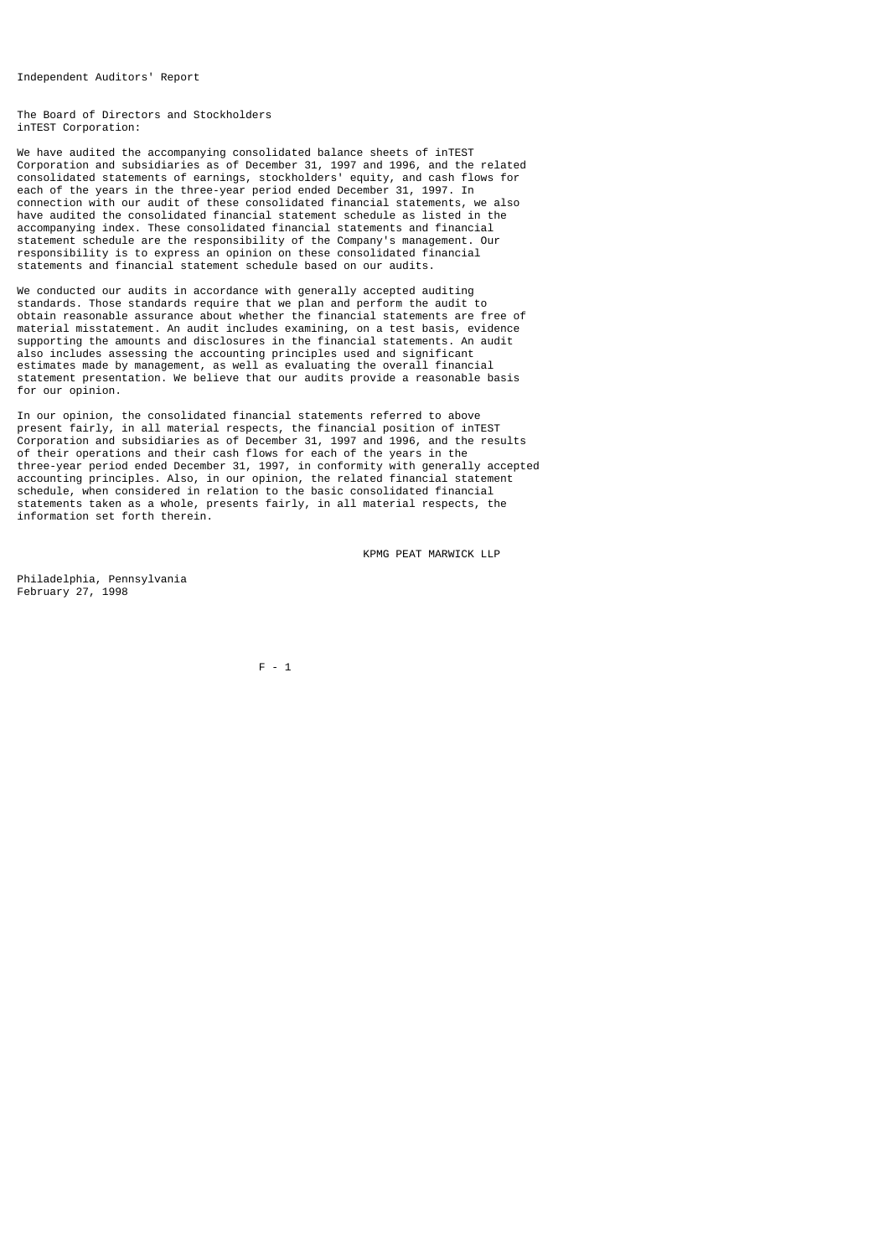Independent Auditors' Report

The Board of Directors and Stockholders inTEST Corporation:

We have audited the accompanying consolidated balance sheets of inTEST Corporation and subsidiaries as of December 31, 1997 and 1996, and the related consolidated statements of earnings, stockholders' equity, and cash flows for each of the years in the three-year period ended December 31, 1997. In connection with our audit of these consolidated financial statements, we also have audited the consolidated financial statement schedule as listed in the accompanying index. These consolidated financial statements and financial statement schedule are the responsibility of the Company's management. Our responsibility is to express an opinion on these consolidated financial statements and financial statement schedule based on our audits.

We conducted our audits in accordance with generally accepted auditing standards. Those standards require that we plan and perform the audit to obtain reasonable assurance about whether the financial statements are free of material misstatement. An audit includes examining, on a test basis, evidence supporting the amounts and disclosures in the financial statements. An audit also includes assessing the accounting principles used and significant estimates made by management, as well as evaluating the overall financial statement presentation. We believe that our audits provide a reasonable basis for our opinion.

In our opinion, the consolidated financial statements referred to above present fairly, in all material respects, the financial position of inTEST Corporation and subsidiaries as of December 31, 1997 and 1996, and the results of their operations and their cash flows for each of the years in the three-year period ended December 31, 1997, in conformity with generally accepted accounting principles. Also, in our opinion, the related financial statement schedule, when considered in relation to the basic consolidated financial statements taken as a whole, presents fairly, in all material respects, the information set forth therein.

KPMG PEAT MARWICK LLP

Philadelphia, Pennsylvania February 27, 1998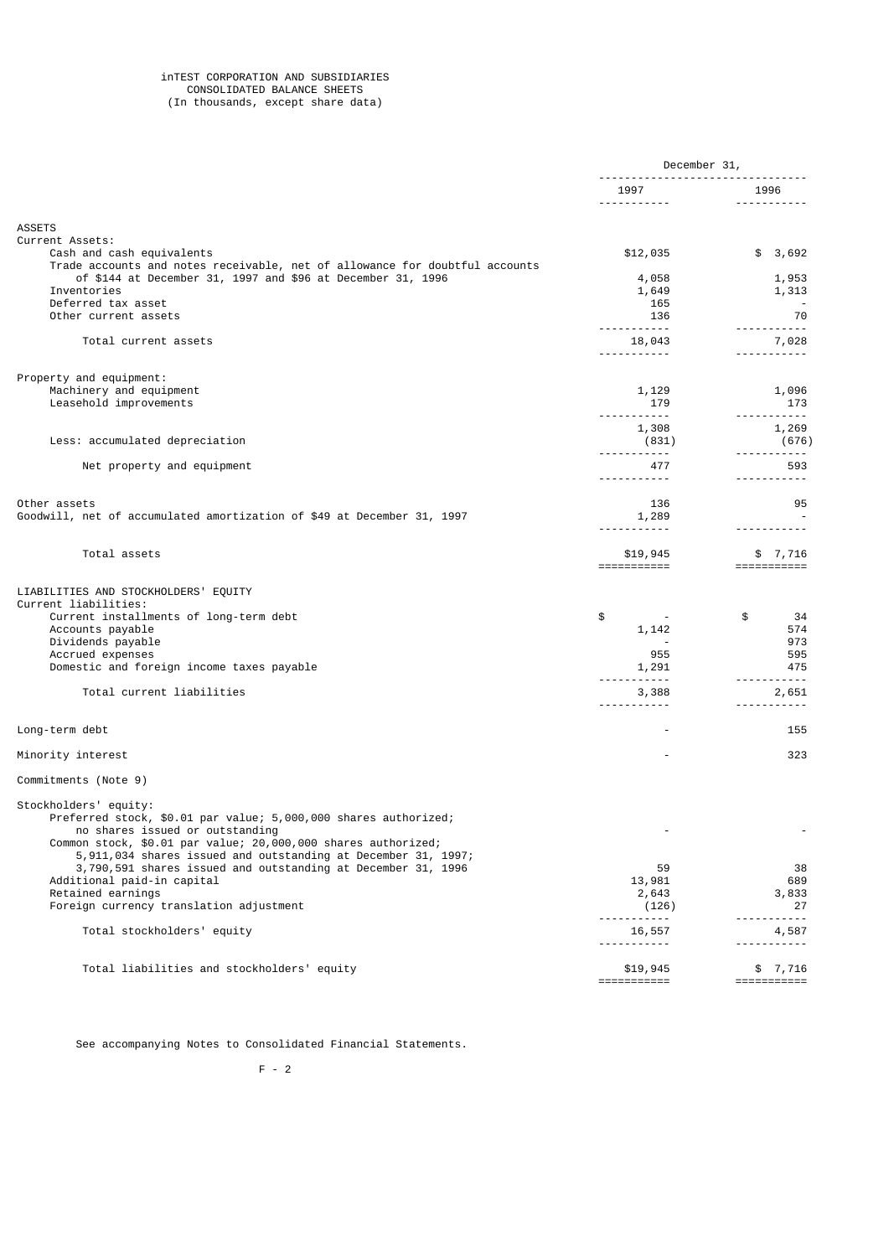#### inTEST CORPORATION AND SUBSIDIARIES CONSOLIDATED BALANCE SHEETS (In thousands, except share data)

|                                                                                                          | December 31,                  |                                       |
|----------------------------------------------------------------------------------------------------------|-------------------------------|---------------------------------------|
|                                                                                                          | 1997                          | 1996<br><u> - - - - - - - - - - -</u> |
|                                                                                                          |                               |                                       |
| <b>ASSETS</b><br>Current Assets:                                                                         |                               |                                       |
| Cash and cash equivalents<br>Trade accounts and notes receivable, net of allowance for doubtful accounts | \$12,035                      | \$3,692                               |
| of \$144 at December 31, 1997 and \$96 at December 31, 1996                                              | 4,058                         | 1,953                                 |
| Inventories                                                                                              | 1,649                         | 1,313                                 |
| Deferred tax asset                                                                                       | 165                           |                                       |
| Other current assets                                                                                     | 136<br>------------           | 70                                    |
| Total current assets                                                                                     | 18,043                        | 7,028                                 |
|                                                                                                          | .                             |                                       |
| Property and equipment:                                                                                  |                               |                                       |
| Machinery and equipment                                                                                  | 1,129                         | 1,096                                 |
| Leasehold improvements                                                                                   | 179                           | 173                                   |
|                                                                                                          | -----------<br>1,308          | -----------<br>1,269                  |
| Less: accumulated depreciation                                                                           | (831)                         | (676)                                 |
|                                                                                                          | ------------                  |                                       |
| Net property and equipment                                                                               | 477                           | 593                                   |
|                                                                                                          | <u> - - - - - - - - - -</u>   | .                                     |
| Other assets                                                                                             | 136                           | 95                                    |
| Goodwill, net of accumulated amortization of \$49 at December 31, 1997                                   | 1,289                         |                                       |
|                                                                                                          | <u> - - - - - - - - - - -</u> |                                       |
| Total assets                                                                                             | \$19,945<br>===========       | \$7,716<br>$=$ ===========            |
| LIABILITIES AND STOCKHOLDERS' EQUITY                                                                     |                               |                                       |
| Current liabilities:                                                                                     |                               |                                       |
| Current installments of long-term debt<br>Accounts payable                                               | \$<br>1,142                   | \$<br>34<br>574                       |
| Dividends payable                                                                                        |                               | 973                                   |
| Accrued expenses                                                                                         | 955                           | 595                                   |
| Domestic and foreign income taxes payable                                                                | 1,291                         | 475                                   |
| Total current liabilities                                                                                | . <u>.</u><br>3,388           |                                       |
|                                                                                                          | -----------                   | 2,651<br><u> - - - - - - - - - -</u>  |
| Long-term debt                                                                                           |                               | 155                                   |
|                                                                                                          |                               |                                       |
| Minority interest                                                                                        |                               | 323                                   |
| Commitments (Note 9)                                                                                     |                               |                                       |
| Stockholders' equity:                                                                                    |                               |                                       |
| Preferred stock, \$0.01 par value; 5,000,000 shares authorized;                                          |                               |                                       |
| no shares issued or outstanding<br>Common stock, \$0.01 par value; 20,000,000 shares authorized;         |                               |                                       |
| 5,911,034 shares issued and outstanding at December 31, 1997;                                            |                               |                                       |
| 3,790,591 shares issued and outstanding at December 31, 1996                                             | 59                            | 38                                    |
| Additional paid-in capital                                                                               | 13,981                        | 689                                   |
| Retained earnings<br>Foreign currency translation adjustment                                             | 2,643<br>(126)                | 3,833<br>27                           |
|                                                                                                          | <u> - - - - - - - - - - -</u> |                                       |
| Total stockholders' equity                                                                               | 16,557<br><u>.</u>            | 4,587<br>--------                     |
|                                                                                                          |                               |                                       |
| Total liabilities and stockholders' equity                                                               | \$19,945                      | \$ 7,716                              |
|                                                                                                          | ===========                   | ===========                           |

See accompanying Notes to Consolidated Financial Statements.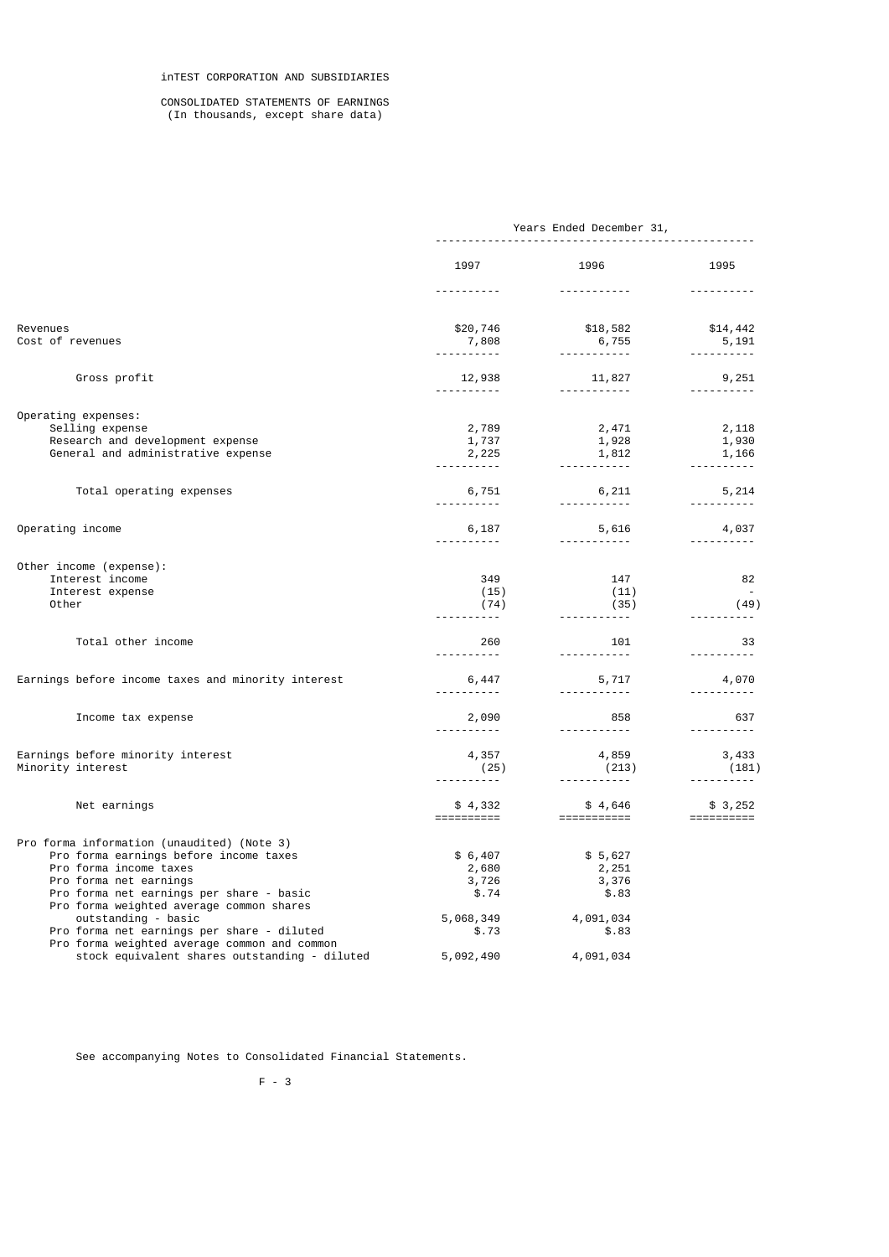#### CONSOLIDATED STATEMENTS OF EARNINGS (In thousands, except share data)

|                                                                    | Years Ended December 31, |                                        |                                      |
|--------------------------------------------------------------------|--------------------------|----------------------------------------|--------------------------------------|
|                                                                    | 1997                     | 1996                                   | 1995                                 |
|                                                                    | <u>.</u> .               |                                        | <u> - - - - - - - - - -</u>          |
| Revenues<br>Cost of revenues                                       | \$20,746<br>7,808        | $$18,582$<br>6,755                     | \$14,442<br>5,191                    |
|                                                                    | <u>.</u>                 |                                        | <u> - - - - - - - - -</u>            |
| Gross profit                                                       | 12,938                   | 11,827                                 | 9,251<br><u>.</u>                    |
|                                                                    |                          |                                        |                                      |
| Operating expenses:<br>Selling expense                             |                          |                                        |                                      |
| Research and development expense                                   | 2,789<br>1,737           | 2,471<br>1,928                         | 2,118<br>1,930                       |
| General and administrative expense                                 | 2,225                    |                                        | 1,166                                |
|                                                                    |                          | 1,812                                  | .                                    |
|                                                                    |                          |                                        |                                      |
| Total operating expenses                                           | 6,751<br><u>.</u>        | 6,211                                  | 5,214<br>----------                  |
|                                                                    |                          |                                        |                                      |
| Operating income                                                   | 6,187                    | 5,616<br><u> - - - - - - - - - - -</u> | 4,037<br><u> - - - - - - - - - -</u> |
|                                                                    |                          |                                        |                                      |
| Other income (expense):<br>Interest income                         | 349                      | 147                                    | 82                                   |
| Interest expense                                                   | (15)                     | (11)                                   |                                      |
| Other                                                              | (74)                     | (35)                                   | (49)                                 |
|                                                                    |                          | ------------                           |                                      |
| Total other income                                                 | 260                      | 101                                    | - 33                                 |
|                                                                    | .                        | <u> - - - - - - - - - - -</u>          | .                                    |
| Earnings before income taxes and minority interest                 | 6,447                    | 5,717 4,070                            |                                      |
|                                                                    | .                        | <u> - - - - - - - - - - -</u>          | <u> - - - - - - - - - -</u>          |
| Income tax expense                                                 | 2,090                    | 858                                    | 637                                  |
|                                                                    |                          |                                        | <u> - - - - - - - - - -</u>          |
| Earnings before minority interest                                  | 4,357                    | 4,859                                  | 3,433                                |
| Minority interest                                                  | (25)                     | (213)                                  | (181)                                |
|                                                                    |                          | ------------                           | <u> - - - - - - - - - -</u>          |
| Net earnings                                                       | $$4,332$<br>===========  | $$4,646$<br>============               | \$3,252                              |
|                                                                    |                          |                                        |                                      |
| Pro forma information (unaudited) (Note 3)                         |                          |                                        |                                      |
| Pro forma earnings before income taxes                             | \$6,407                  | \$5,627                                |                                      |
| Pro forma income taxes                                             | 2,680                    | 2,251                                  |                                      |
| Pro forma net earnings<br>Pro forma net earnings per share - basic | 3,726<br>\$.74           | 3,376<br>\$.83                         |                                      |
| Pro forma weighted average common shares                           |                          |                                        |                                      |
| outstanding - basic                                                | 5,068,349                | 4,091,034                              |                                      |
| Pro forma net earnings per share - diluted                         | \$.73                    | \$.83                                  |                                      |
| Pro forma weighted average common and common                       |                          |                                        |                                      |
| stock equivalent shares outstanding - diluted                      | 5,092,490                | 4,091,034                              |                                      |

See accompanying Notes to Consolidated Financial Statements.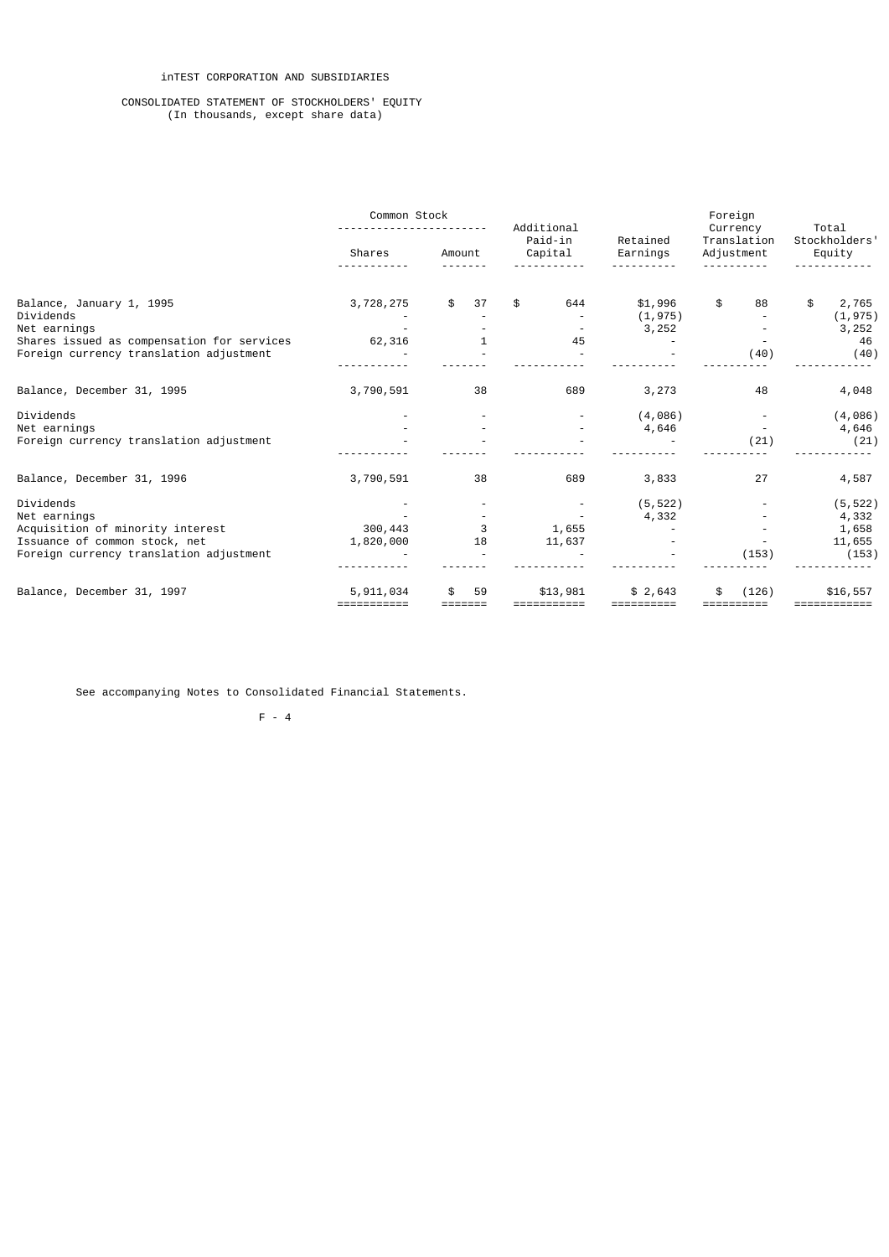# inTEST CORPORATION AND SUBSIDIARIES

#### CONSOLIDATED STATEMENT OF STOCKHOLDERS' EQUITY (In thousands, except share data)

|                                            | Common Stock |          | Additional<br>Paid-in | Retained   | Foreign<br>Currency<br>Translation | Total<br>Stockholders' |  |
|--------------------------------------------|--------------|----------|-----------------------|------------|------------------------------------|------------------------|--|
|                                            | Shares       | Amount   | Capital               | Earnings   | Adjustment                         | Equity                 |  |
|                                            |              |          |                       |            |                                    |                        |  |
| Balance, January 1, 1995                   | 3,728,275    | \$<br>37 | 644<br>\$             | \$1,996    | \$<br>88                           | \$<br>2,765            |  |
| Dividends                                  |              |          |                       | (1, 975)   |                                    | (1, 975)               |  |
| Net earnings                               |              |          |                       | 3,252      |                                    | 3,252                  |  |
| Shares issued as compensation for services | 62,316       |          | 45                    |            |                                    | 46                     |  |
| Foreign currency translation adjustment    |              |          |                       |            | (40)                               | (40)                   |  |
|                                            |              |          |                       |            |                                    |                        |  |
| Balance, December 31, 1995                 | 3,790,591    | 38       | 689                   | 3,273      | 48                                 | 4,048                  |  |
| Dividends                                  |              |          |                       | (4,086)    |                                    | (4,086)                |  |
| Net earnings                               |              |          |                       | 4,646      |                                    | 4,646                  |  |
| Foreign currency translation adjustment    |              |          |                       |            | (21)                               | (21)                   |  |
| Balance, December 31, 1996                 | 3,790,591    | 38       | 689                   | 3,833      | 27                                 | 4,587                  |  |
| Dividends                                  |              |          |                       | (5, 522)   |                                    | (5, 522)               |  |
| Net earnings                               |              |          |                       | 4,332      |                                    | 4,332                  |  |
| Acquisition of minority interest           | 300,443      | 3        | 1,655                 |            |                                    | 1,658                  |  |
| Issuance of common stock, net              | 1,820,000    | 18       | 11,637                |            |                                    | 11,655                 |  |
| Foreign currency translation adjustment    |              |          |                       |            | (153)                              | (153)                  |  |
|                                            |              |          |                       |            |                                    |                        |  |
| Balance, December 31, 1997                 | 5,911,034    | \$<br>59 | \$13,981              | \$2,643    | (126)                              | \$16,557               |  |
|                                            | ===========  |          | ===========           | ========== |                                    | :===========           |  |

See accompanying Notes to Consolidated Financial Statements.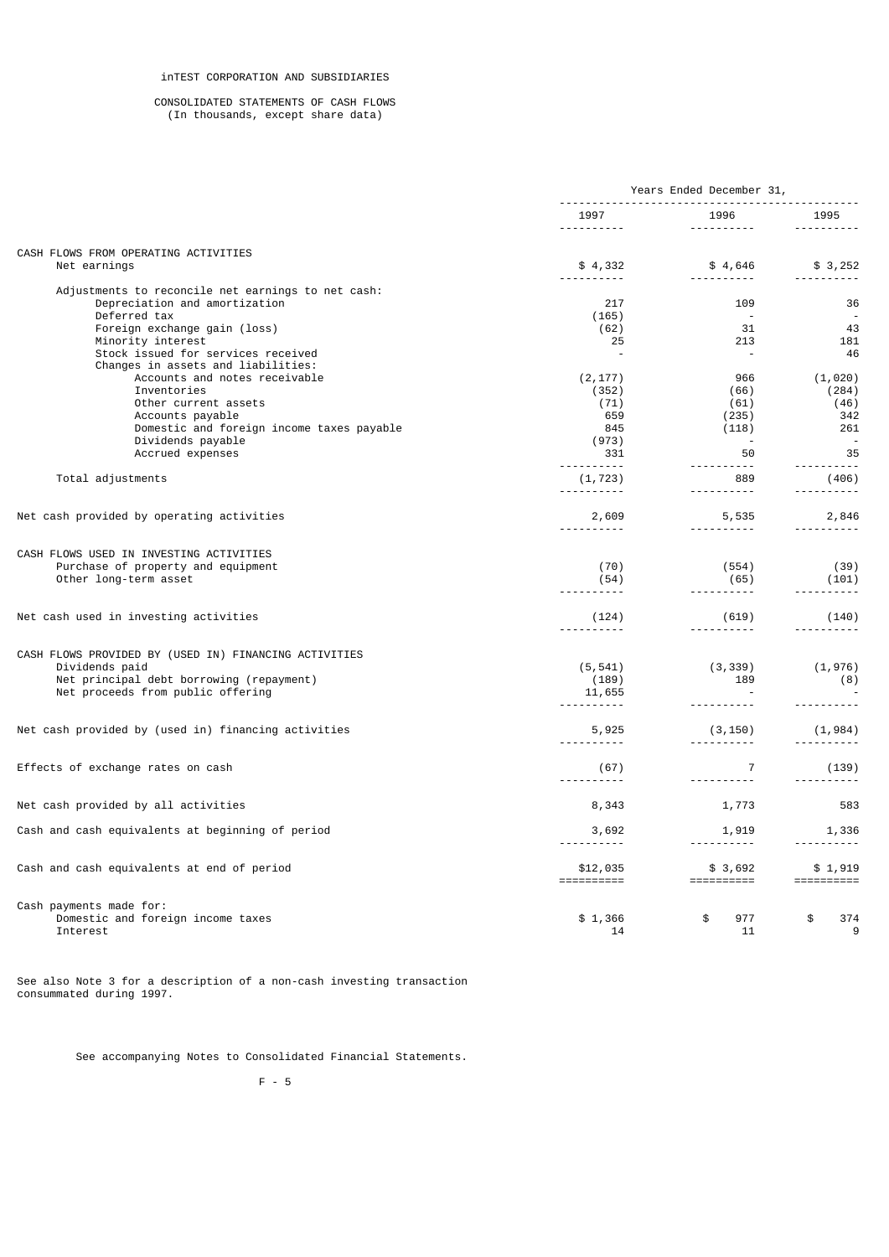#### CONSOLIDATED STATEMENTS OF CASH FLOWS (In thousands, except share data)

|                                                                                                                                                                                                                      | Years Ended December 31,                                |                                                                   |                                                |
|----------------------------------------------------------------------------------------------------------------------------------------------------------------------------------------------------------------------|---------------------------------------------------------|-------------------------------------------------------------------|------------------------------------------------|
|                                                                                                                                                                                                                      | 1997<br>----------                                      | 1996 1996<br>----------                                           | 1995<br><u> - - - - - - - - - -</u>            |
| CASH FLOWS FROM OPERATING ACTIVITIES                                                                                                                                                                                 |                                                         |                                                                   |                                                |
| Net earnings                                                                                                                                                                                                         | \$4,332                                                 | -----------                                                       | $$4,646$ $$3,252$                              |
| Adjustments to reconcile net earnings to net cash:<br>Depreciation and amortization<br>Deferred tax<br>Foreign exchange gain (loss)<br>Minority interest<br>Stock issued for services received                       | 217<br>(165)<br>(62)<br>25<br>$\overline{a}$            | 109<br>$\sim$ $-$<br>31<br>213<br>$\sim$ $-$                      | 36<br>43<br>181<br>46                          |
| Changes in assets and liabilities:<br>Accounts and notes receivable<br>Inventories<br>Other current assets<br>Accounts payable<br>Domestic and foreign income taxes payable<br>Dividends payable<br>Accrued expenses | (2, 177)<br>(352)<br>(71)<br>659<br>845<br>(973)<br>331 | 966<br>(66)<br>(61)<br>(235)<br>(118)<br>50                       | (1, 020)<br>(284)<br>(46)<br>342<br>261<br>35  |
| Total adjustments                                                                                                                                                                                                    | <u> - - - - - - - - - -</u><br>(1, 723)                 | <u> - - - - - - - - - -</u><br>889                                | (406)                                          |
| Net cash provided by operating activities                                                                                                                                                                            | <u>.</u> .<br>2,609<br><u> - - - - - - - - - -</u>      | <u> - - - - - - - - -</u><br>5,535<br><u> - - - - - - - - - -</u> | <u> - - - - - - - - -</u><br>2,846<br><u>.</u> |
| CASH FLOWS USED IN INVESTING ACTIVITIES<br>Purchase of property and equipment<br>Other long-term asset                                                                                                               | (70)<br>(54)<br><u> - - - - - - - - - -</u>             | (554)<br>(65)<br><u> - - - - - - - - - -</u>                      | (39)<br>(101)                                  |
| Net cash used in investing activities                                                                                                                                                                                | (124)                                                   | (619)<br><u> - - - - - - - - - -</u>                              | (140)                                          |
| CASH FLOWS PROVIDED BY (USED IN) FINANCING ACTIVITIES<br>Dividends paid<br>Net principal debt borrowing (repayment)<br>Net proceeds from public offering                                                             | (5, 541)<br>(189)<br>11,655<br><u>.</u>                 | (3, 339)<br>189                                                   | (1,976)<br>(8)<br><u> - - - - - - - - -</u>    |
| Net cash provided by (used in) financing activities                                                                                                                                                                  | 5,925                                                   | (3, 150)<br><u> - - - - - - - - - -</u>                           | (1, 984)                                       |
| Effects of exchange rates on cash                                                                                                                                                                                    | (67)<br><u> - - - - - - - - - -</u>                     | $\overline{7}$<br><u> - - - - - - - - - -</u>                     | (139)<br><u> - - - - - - - - -</u>             |
| Net cash provided by all activities                                                                                                                                                                                  | 8,343                                                   | 1,773                                                             | 583                                            |
| Cash and cash equivalents at beginning of period                                                                                                                                                                     | 3,692<br>.                                              | 1,919<br><u> - - - - - - - - -</u>                                | 1,336<br><u> - - - - - - - - - -</u>           |
| Cash and cash equivalents at end of period                                                                                                                                                                           | \$12,035<br>==========                                  | \$3,692                                                           | \$1,919                                        |
| Cash payments made for:<br>Domestic and foreign income taxes<br>Interest                                                                                                                                             | \$1,366<br>14                                           | 977<br>\$<br>11                                                   | \$<br>374<br>9                                 |

See also Note 3 for a description of a non-cash investing transaction consummated during 1997.

See accompanying Notes to Consolidated Financial Statements.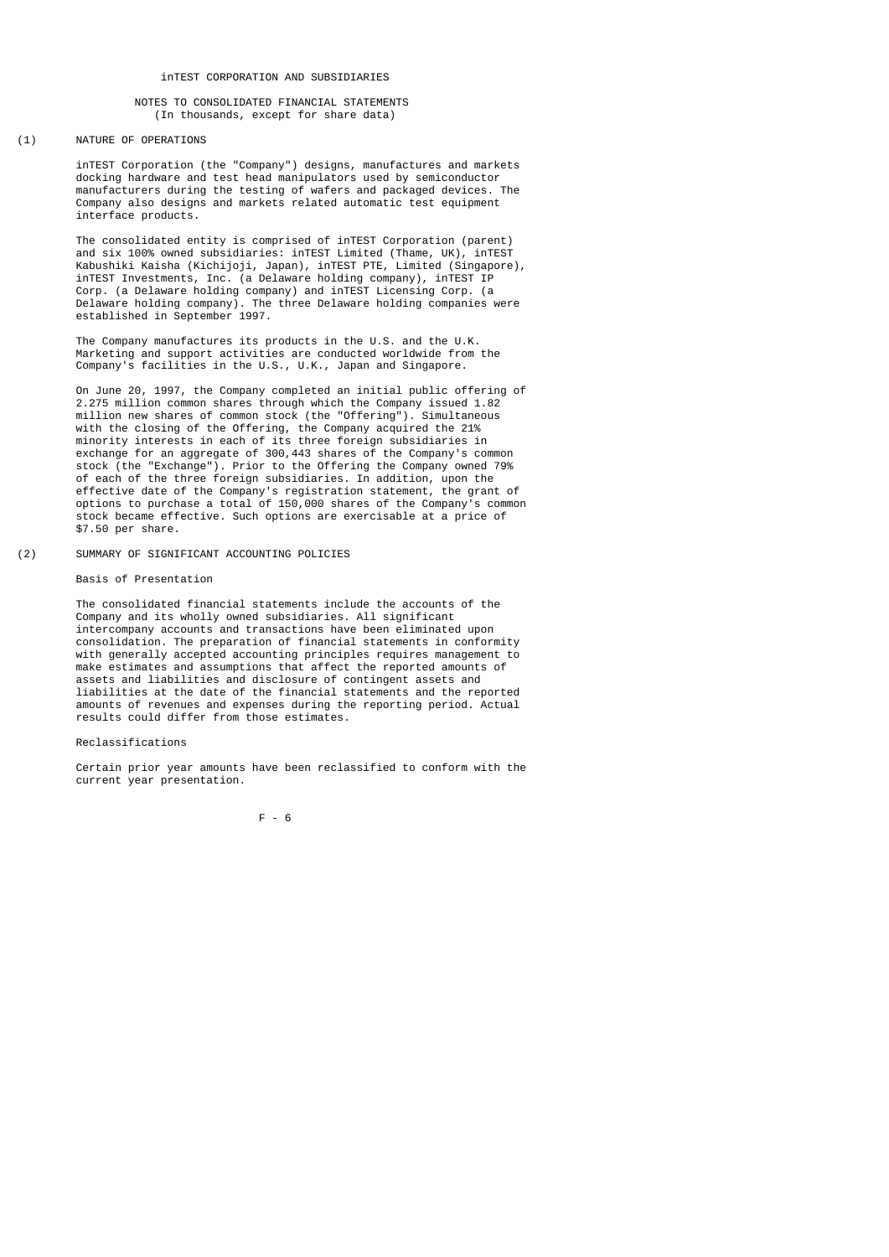## (1) NATURE OF OPERATIONS

 inTEST Corporation (the "Company") designs, manufactures and markets docking hardware and test head manipulators used by semiconductor manufacturers during the testing of wafers and packaged devices. The Company also designs and markets related automatic test equipment interface products.

 The consolidated entity is comprised of inTEST Corporation (parent) and six 100% owned subsidiaries: inTEST Limited (Thame, UK), inTEST Kabushiki Kaisha (Kichijoji, Japan), inTEST PTE, Limited (Singapore), inTEST Investments, Inc. (a Delaware holding company), inTEST IP Corp. (a Delaware holding company) and inTEST Licensing Corp. (a Delaware holding company). The three Delaware holding companies were established in September 1997.

 The Company manufactures its products in the U.S. and the U.K. Marketing and support activities are conducted worldwide from the Company's facilities in the U.S., U.K., Japan and Singapore.

 On June 20, 1997, the Company completed an initial public offering of 2.275 million common shares through which the Company issued 1.82 million new shares of common stock (the "Offering"). Simultaneous with the closing of the Offering, the Company acquired the 21% minority interests in each of its three foreign subsidiaries in exchange for an aggregate of 300,443 shares of the Company's common stock (the "Exchange"). Prior to the Offering the Company owned 79% of each of the three foreign subsidiaries. In addition, upon the effective date of the Company's registration statement, the grant of options to purchase a total of 150,000 shares of the Company's common stock became effective. Such options are exercisable at a price of \$7.50 per share.

(2) SUMMARY OF SIGNIFICANT ACCOUNTING POLICIES

## Basis of Presentation

 The consolidated financial statements include the accounts of the Company and its wholly owned subsidiaries. All significant intercompany accounts and transactions have been eliminated upon consolidation. The preparation of financial statements in conformity with generally accepted accounting principles requires management to make estimates and assumptions that affect the reported amounts of assets and liabilities and disclosure of contingent assets and liabilities at the date of the financial statements and the reported amounts of revenues and expenses during the reporting period. Actual results could differ from those estimates.

### Reclassifications

 Certain prior year amounts have been reclassified to conform with the current year presentation.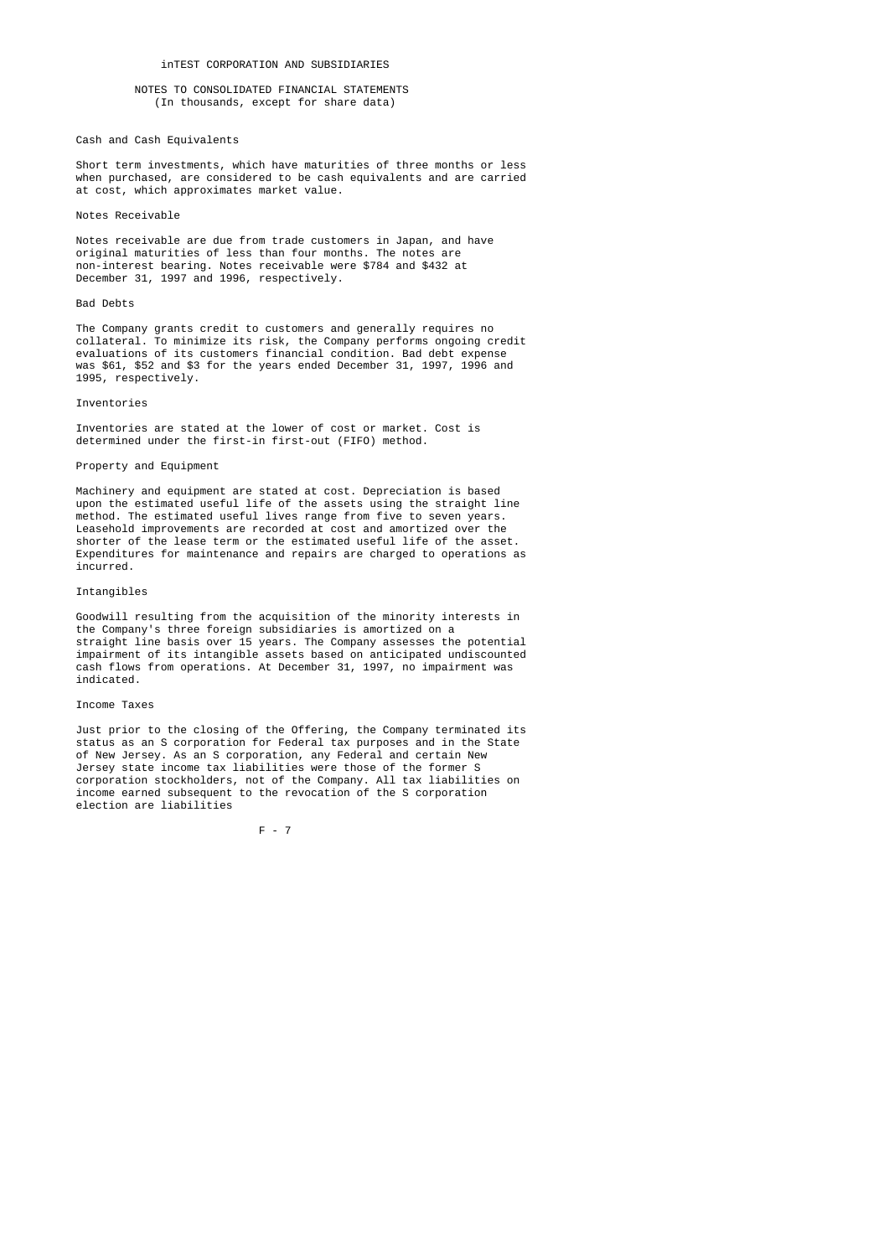## Cash and Cash Equivalents

 Short term investments, which have maturities of three months or less when purchased, are considered to be cash equivalents and are carried at cost, which approximates market value.

#### Notes Receivable

 Notes receivable are due from trade customers in Japan, and have original maturities of less than four months. The notes are non-interest bearing. Notes receivable were \$784 and \$432 at December 31, 1997 and 1996, respectively.

#### Bad Debts

 The Company grants credit to customers and generally requires no collateral. To minimize its risk, the Company performs ongoing credit evaluations of its customers financial condition. Bad debt expense was \$61, \$52 and \$3 for the years ended December 31, 1997, 1996 and 1995, respectively.

#### Inventories

 Inventories are stated at the lower of cost or market. Cost is determined under the first-in first-out (FIFO) method.

### Property and Equipment

 Machinery and equipment are stated at cost. Depreciation is based upon the estimated useful life of the assets using the straight line method. The estimated useful lives range from five to seven years. Leasehold improvements are recorded at cost and amortized over the shorter of the lease term or the estimated useful life of the asset. Expenditures for maintenance and repairs are charged to operations as incurred.

#### Intangibles

 Goodwill resulting from the acquisition of the minority interests in the Company's three foreign subsidiaries is amortized on a straight line basis over 15 years. The Company assesses the potential impairment of its intangible assets based on anticipated undiscounted cash flows from operations. At December 31, 1997, no impairment was indicated.

#### Income Taxes

 Just prior to the closing of the Offering, the Company terminated its status as an S corporation for Federal tax purposes and in the State of New Jersey. As an S corporation, any Federal and certain New Jersey state income tax liabilities were those of the former S corporation stockholders, not of the Company. All tax liabilities on income earned subsequent to the revocation of the S corporation election are liabilities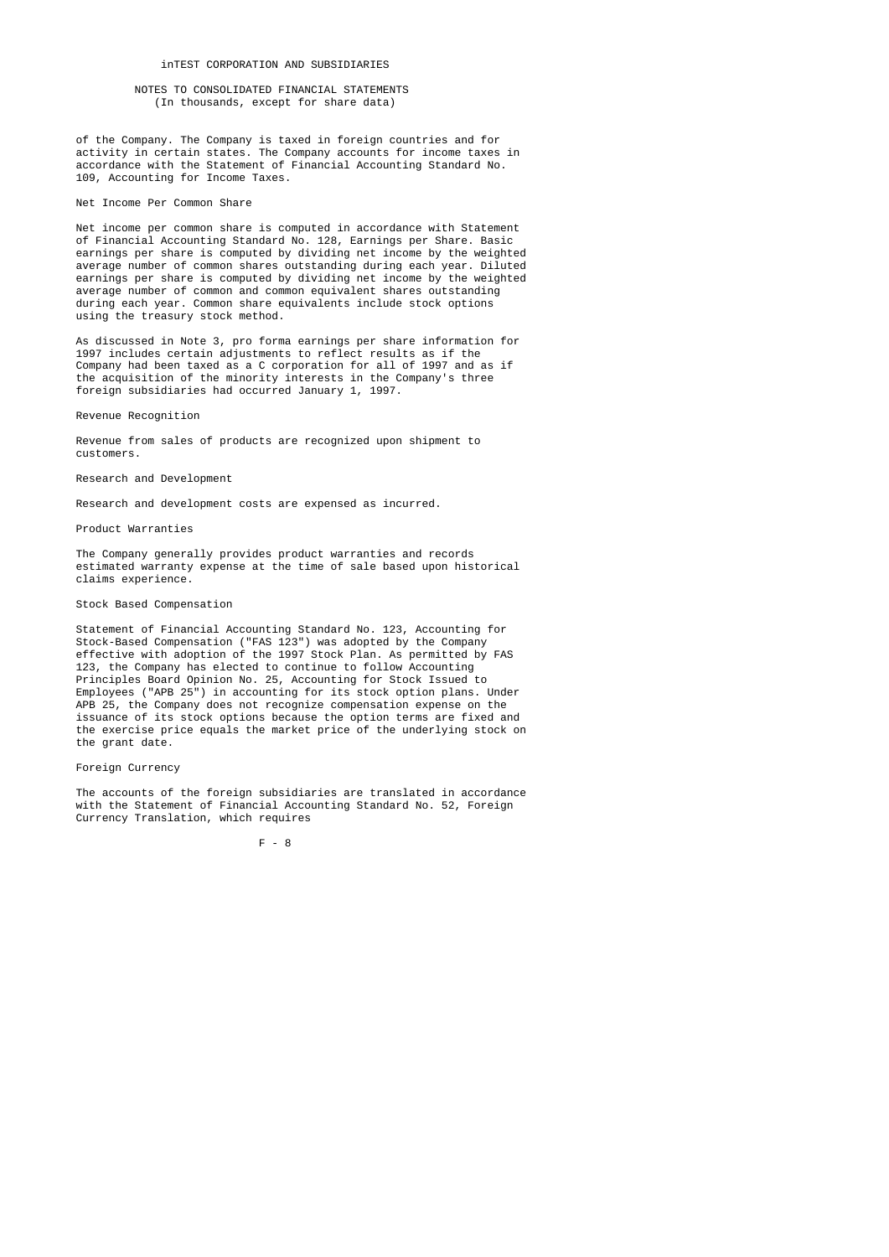of the Company. The Company is taxed in foreign countries and for activity in certain states. The Company accounts for income taxes in accordance with the Statement of Financial Accounting Standard No. 109, Accounting for Income Taxes.

#### Net Income Per Common Share

 Net income per common share is computed in accordance with Statement of Financial Accounting Standard No. 128, Earnings per Share. Basic earnings per share is computed by dividing net income by the weighted average number of common shares outstanding during each year. Diluted earnings per share is computed by dividing net income by the weighted average number of common and common equivalent shares outstanding during each year. Common share equivalents include stock options using the treasury stock method.

 As discussed in Note 3, pro forma earnings per share information for 1997 includes certain adjustments to reflect results as if the Company had been taxed as a C corporation for all of 1997 and as if the acquisition of the minority interests in the Company's three foreign subsidiaries had occurred January 1, 1997.

Revenue Recognition

 Revenue from sales of products are recognized upon shipment to customers.

### Research and Development

Research and development costs are expensed as incurred.

#### Product Warranties

 The Company generally provides product warranties and records estimated warranty expense at the time of sale based upon historical claims experience.

#### Stock Based Compensation

 Statement of Financial Accounting Standard No. 123, Accounting for Stock-Based Compensation ("FAS 123") was adopted by the Company effective with adoption of the 1997 Stock Plan. As permitted by FAS 123, the Company has elected to continue to follow Accounting Principles Board Opinion No. 25, Accounting for Stock Issued to Employees ("APB 25") in accounting for its stock option plans. Under APB 25, the Company does not recognize compensation expense on the issuance of its stock options because the option terms are fixed and the exercise price equals the market price of the underlying stock on the grant date.

#### Foreign Currency

 The accounts of the foreign subsidiaries are translated in accordance with the Statement of Financial Accounting Standard No. 52, Foreign Currency Translation, which requires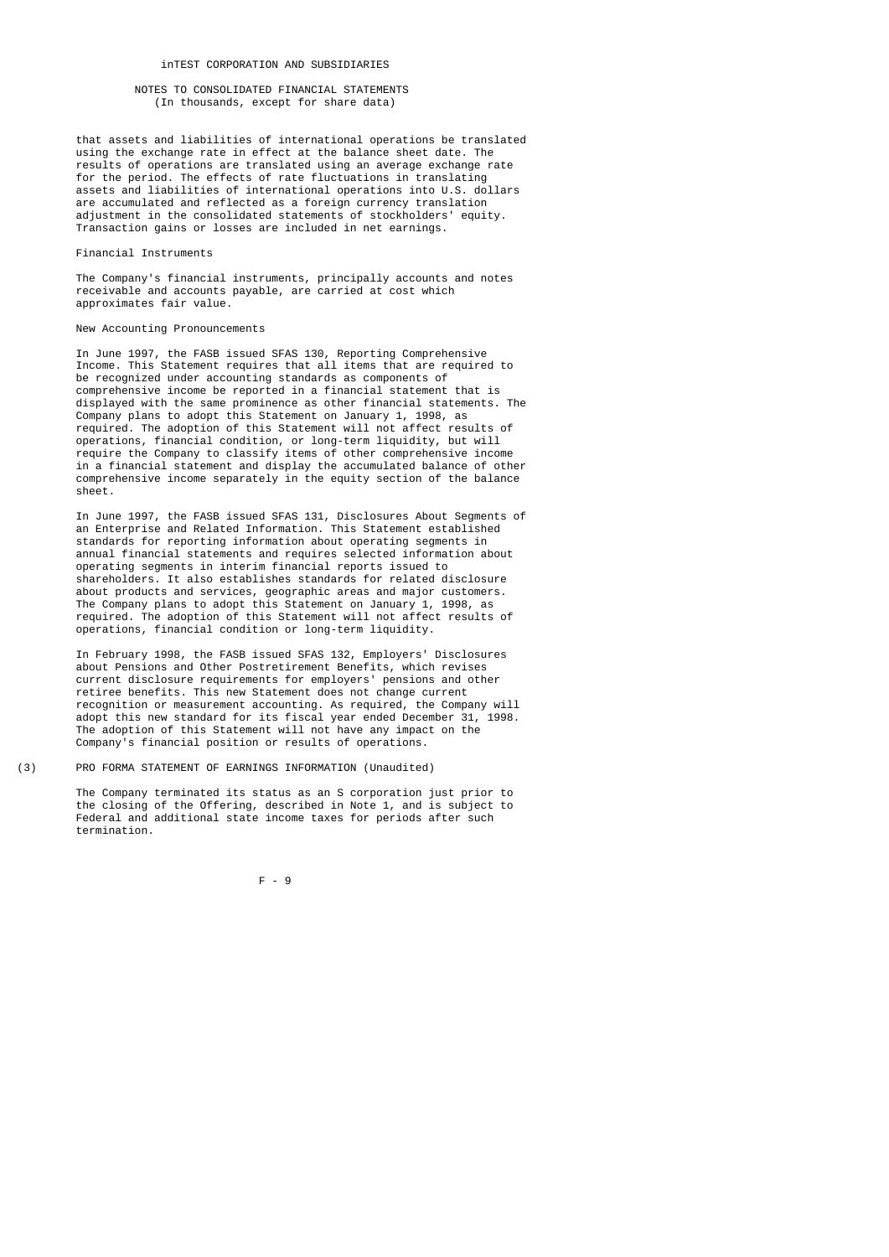## inTEST CORPORATION AND SUBSIDIARIES

## NOTES TO CONSOLIDATED FINANCIAL STATEMENTS (In thousands, except for share data)

 that assets and liabilities of international operations be translated using the exchange rate in effect at the balance sheet date. The results of operations are translated using an average exchange rate for the period. The effects of rate fluctuations in translating assets and liabilities of international operations into U.S. dollars are accumulated and reflected as a foreign currency translation adjustment in the consolidated statements of stockholders' equity. Transaction gains or losses are included in net earnings.

## Financial Instruments

 The Company's financial instruments, principally accounts and notes receivable and accounts payable, are carried at cost which approximates fair value.

#### New Accounting Pronouncements

 In June 1997, the FASB issued SFAS 130, Reporting Comprehensive Income. This Statement requires that all items that are required to be recognized under accounting standards as components of comprehensive income be reported in a financial statement that is displayed with the same prominence as other financial statements. The Company plans to adopt this Statement on January 1, 1998, as required. The adoption of this Statement will not affect results of operations, financial condition, or long-term liquidity, but will require the Company to classify items of other comprehensive income in a financial statement and display the accumulated balance of other comprehensive income separately in the equity section of the balance sheet.

 In June 1997, the FASB issued SFAS 131, Disclosures About Segments of an Enterprise and Related Information. This Statement established standards for reporting information about operating segments in annual financial statements and requires selected information about operating segments in interim financial reports issued to shareholders. It also establishes standards for related disclosure about products and services, geographic areas and major customers. The Company plans to adopt this Statement on January 1, 1998, as required. The adoption of this Statement will not affect results of operations, financial condition or long-term liquidity.

 In February 1998, the FASB issued SFAS 132, Employers' Disclosures about Pensions and Other Postretirement Benefits, which revises current disclosure requirements for employers' pensions and other retiree benefits. This new Statement does not change current recognition or measurement accounting. As required, the Company will adopt this new standard for its fiscal year ended December 31, 1998. The adoption of this Statement will not have any impact on the Company's financial position or results of operations.

(3) PRO FORMA STATEMENT OF EARNINGS INFORMATION (Unaudited)

 The Company terminated its status as an S corporation just prior to the closing of the Offering, described in Note 1, and is subject to Federal and additional state income taxes for periods after such termination.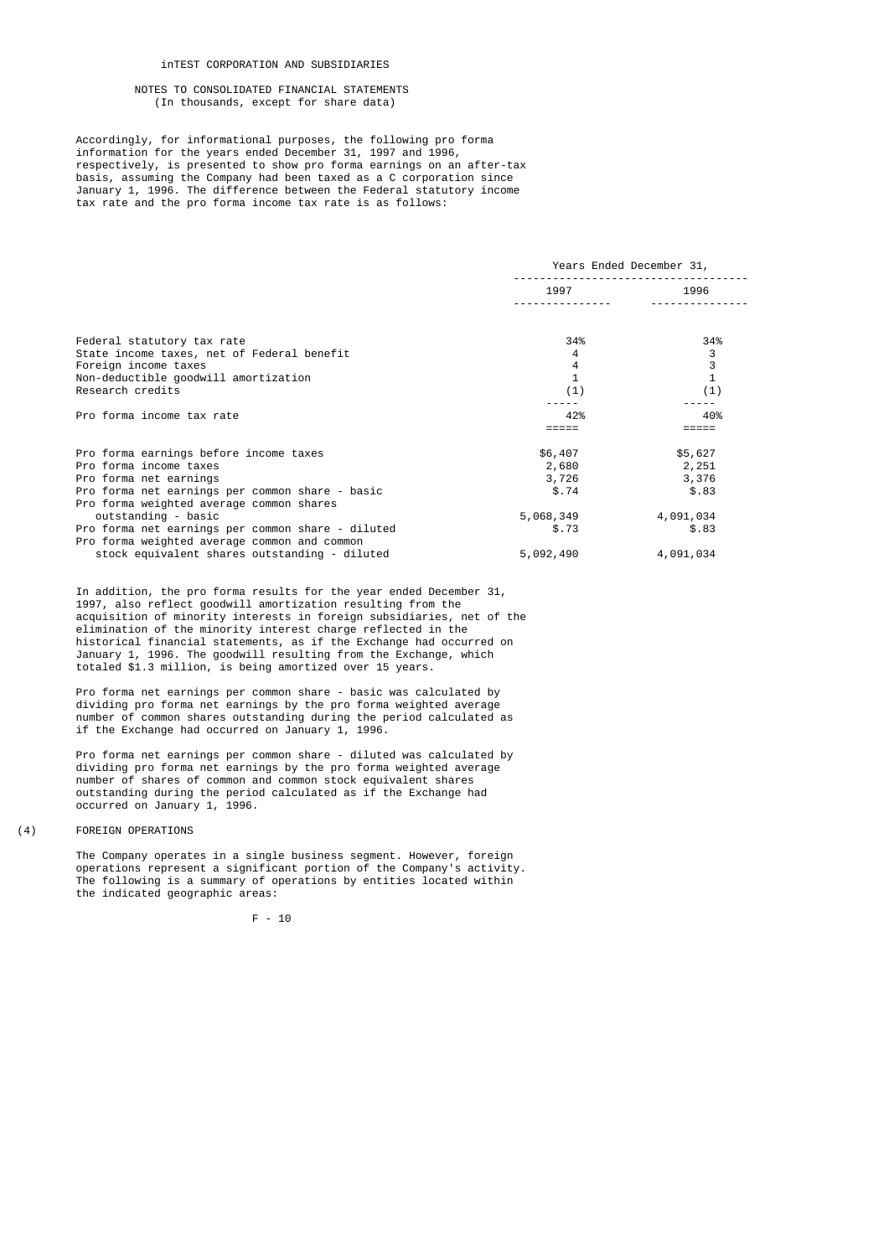## inTEST CORPORATION AND SUBSIDIARIES

## NOTES TO CONSOLIDATED FINANCIAL STATEMENTS (In thousands, except for share data)

 Accordingly, for informational purposes, the following pro forma information for the years ended December 31, 1997 and 1996, respectively, is presented to show pro forma earnings on an after-tax basis, assuming the Company had been taxed as a C corporation since January 1, 1996. The difference between the Federal statutory income tax rate and the pro forma income tax rate is as follows:

|                                                   | Years Ended December 31, |              |  |
|---------------------------------------------------|--------------------------|--------------|--|
|                                                   | 1997                     | 1996         |  |
|                                                   |                          |              |  |
| Federal statutory tax rate                        | 34%                      | 34%          |  |
| State income taxes, net of Federal benefit        | 4                        | 3            |  |
| Foreign income taxes                              | 4                        | 3            |  |
| Non-deductible goodwill amortization              |                          | $\mathbf{1}$ |  |
| Research credits                                  | (1)                      | (1)          |  |
|                                                   |                          |              |  |
| Pro forma income tax rate                         | 42%                      | 40%          |  |
|                                                   |                          |              |  |
| Pro forma earnings before income taxes            | \$6,407                  | \$5,627      |  |
| Pro forma income taxes                            | 2,680                    | 2,251        |  |
| Pro forma net earnings                            | 3,726                    | 3,376        |  |
| Pro forma net earnings per common share - basic   | \$.74                    | \$.83        |  |
| Pro forma weighted average common shares          |                          |              |  |
| outstanding - basic                               | 5,068,349                | 4,091,034    |  |
| Pro forma net earnings per common share - diluted | \$.73                    | \$.83        |  |
| Pro forma weighted average common and common      |                          |              |  |
| stock equivalent shares outstanding - diluted     | 5,092,490                | 4,091,034    |  |

 In addition, the pro forma results for the year ended December 31, 1997, also reflect goodwill amortization resulting from the acquisition of minority interests in foreign subsidiaries, net of the elimination of the minority interest charge reflected in the historical financial statements, as if the Exchange had occurred on January 1, 1996. The goodwill resulting from the Exchange, which totaled \$1.3 million, is being amortized over 15 years.

 Pro forma net earnings per common share - basic was calculated by dividing pro forma net earnings by the pro forma weighted average number of common shares outstanding during the period calculated as if the Exchange had occurred on January 1, 1996.

> Pro forma net earnings per common share - diluted was calculated by dividing pro forma net earnings by the pro forma weighted average number of shares of common and common stock equivalent shares outstanding during the period calculated as if the Exchange had occurred on January 1, 1996.

(4) FOREIGN OPERATIONS

 The Company operates in a single business segment. However, foreign operations represent a significant portion of the Company's activity. The following is a summary of operations by entities located within the indicated geographic areas: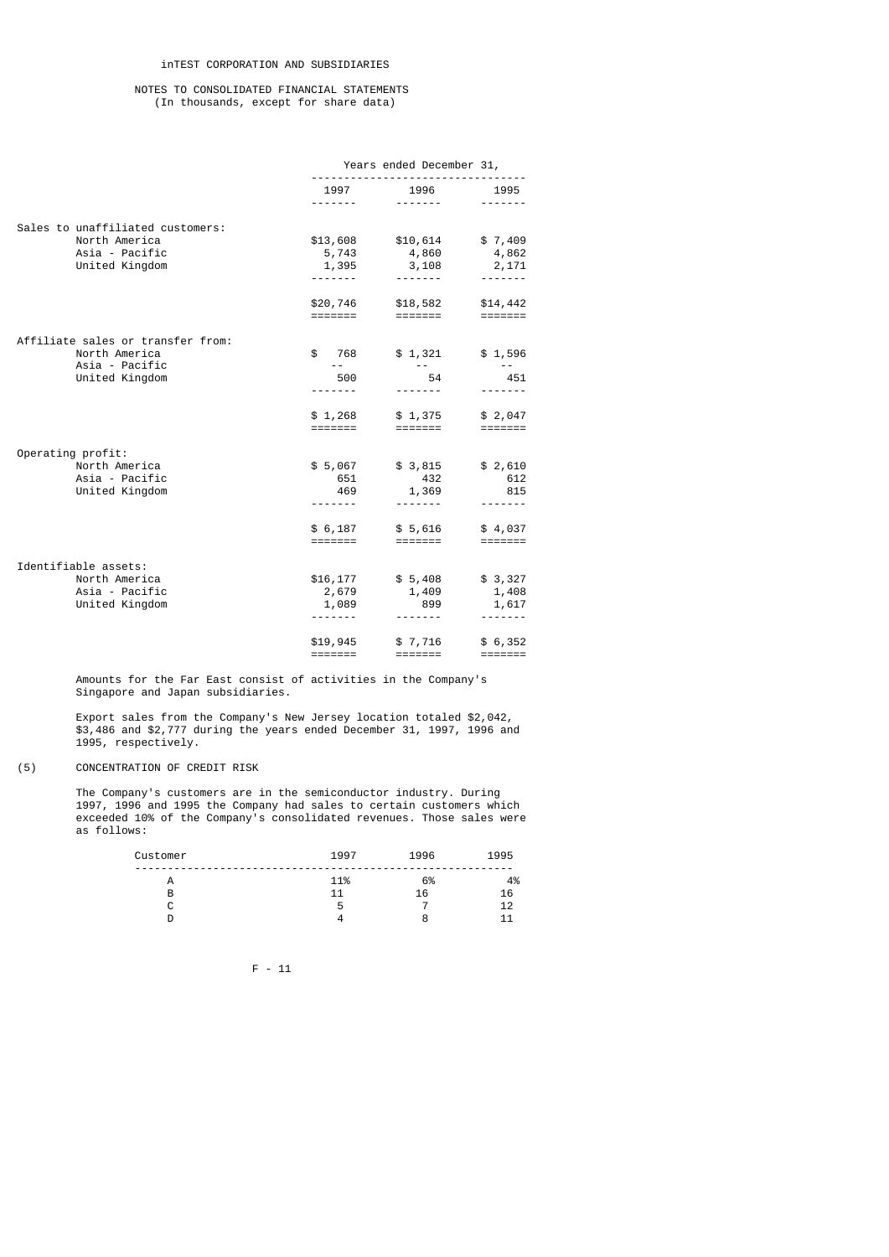|                                                    | Years ended December 31,                                         |                             |                                         |
|----------------------------------------------------|------------------------------------------------------------------|-----------------------------|-----------------------------------------|
|                                                    | 1997                                                             | 1996                        | 1995                                    |
|                                                    | - - - - - - -                                                    |                             |                                         |
| Sales to unaffiliated customers:                   |                                                                  |                             |                                         |
| North America                                      | \$13,608                                                         | \$10,614                    | \$7,409                                 |
| Asia - Pacific                                     | 5,743                                                            | 4,860                       | 4,862                                   |
| United Kingdom                                     | 1,395<br>.                                                       | 3,108                       | 2,171                                   |
|                                                    |                                                                  |                             |                                         |
|                                                    | \$20,746<br>=======                                              | \$18,582<br>=======         | \$14,442<br>$=$ $=$ $=$ $=$ $=$ $=$ $=$ |
|                                                    |                                                                  |                             |                                         |
| Affiliate sales or transfer from:<br>North America | \$ 768                                                           | \$1,321                     | \$1,596                                 |
| Asia - Pacific                                     | $ -$                                                             |                             | $\sim$ $-$                              |
| United Kingdom                                     | 500                                                              | 54                          | 451                                     |
|                                                    | .                                                                |                             |                                         |
|                                                    | \$1,268                                                          | \$1,375                     | \$2,047                                 |
|                                                    | =======                                                          | =======                     |                                         |
| Operating profit:                                  |                                                                  |                             |                                         |
| North America                                      | \$5,067                                                          | \$3,815                     | \$2,610                                 |
| Asia - Pacific                                     | 651                                                              | 432                         | 612                                     |
| United Kingdom                                     | 469                                                              | 1,369                       | 815                                     |
|                                                    |                                                                  | -------                     |                                         |
|                                                    | \$6,187                                                          | \$5,616                     | \$4,037                                 |
|                                                    | =======                                                          | $=$ $=$ $=$ $=$ $=$ $=$ $=$ |                                         |
| Identifiable assets:                               |                                                                  |                             |                                         |
| North America                                      | \$16,177                                                         | \$5,408                     | \$3,327                                 |
| Asia - Pacific                                     | 2,679                                                            | 1,409                       | 1,408                                   |
| United Kingdom                                     | 1,089<br>-------                                                 | 899<br>-------              | 1,617<br>-------                        |
|                                                    |                                                                  |                             |                                         |
|                                                    | \$19,945                                                         | \$7,716                     | \$6,352                                 |
|                                                    | $\qquad \qquad \equiv \equiv \equiv \equiv \equiv \equiv \equiv$ |                             |                                         |

 Amounts for the Far East consist of activities in the Company's Singapore and Japan subsidiaries.

 Export sales from the Company's New Jersey location totaled \$2,042, \$3,486 and \$2,777 during the years ended December 31, 1997, 1996 and 1995, respectively.

(5) CONCENTRATION OF CREDIT RISK

 The Company's customers are in the semiconductor industry. During 1997, 1996 and 1995 the Company had sales to certain customers which exceeded 10% of the Company's consolidated revenues. Those sales were as follows:

| Customer | 1997 | 1996 | 1995 |
|----------|------|------|------|
| A        | 11%  | 6%   | 4%   |
| B        | 11   | 16   | 16   |
| ⌒<br>ີ   | 5    |      | 12   |
|          |      | 8    | -11  |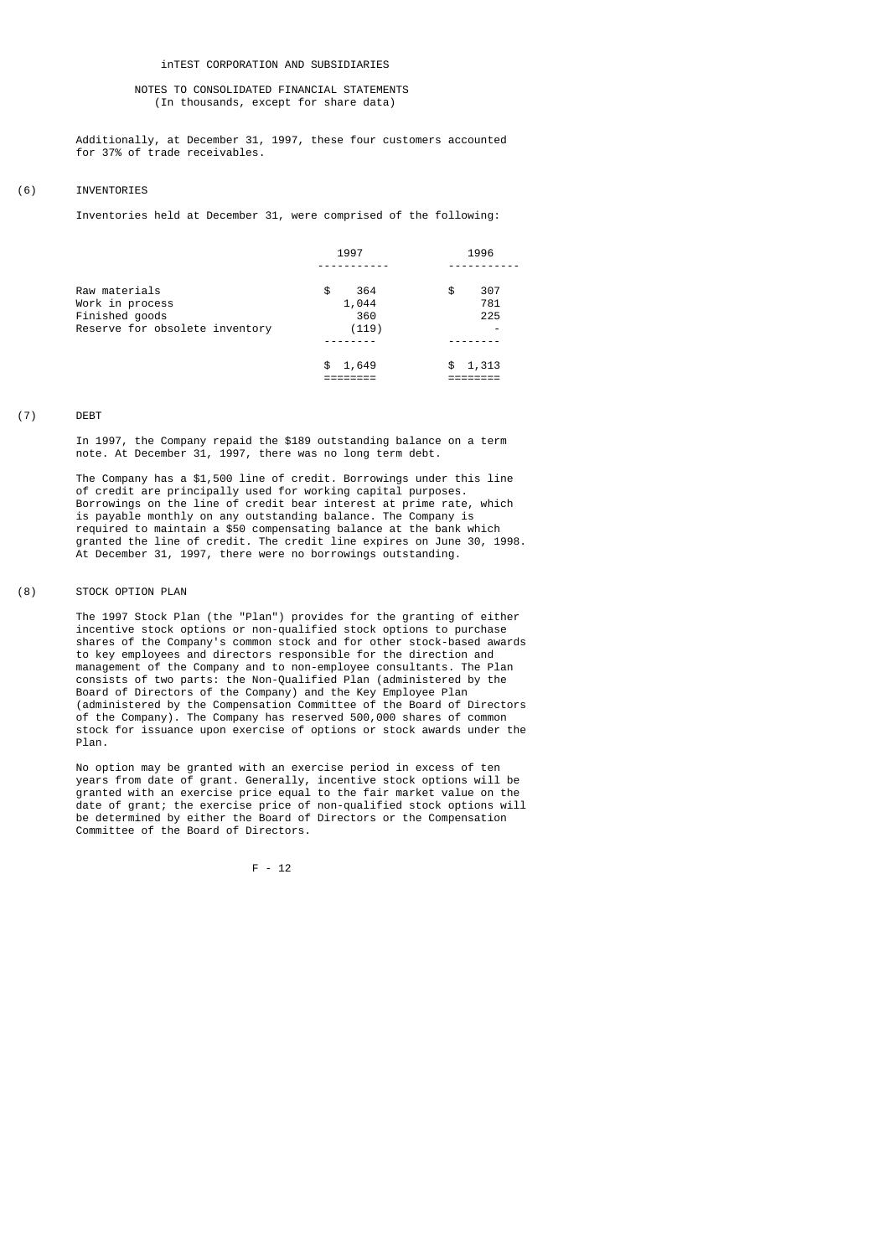Additionally, at December 31, 1997, these four customers accounted for 37% of trade receivables.

# (6) INVENTORIES

Inventories held at December 31, were comprised of the following:

|                                                                                      | 1997                               | 1996                         |  |
|--------------------------------------------------------------------------------------|------------------------------------|------------------------------|--|
| Raw materials<br>Work in process<br>Finished goods<br>Reserve for obsolete inventory | 364<br>\$<br>1,044<br>360<br>(119) | \$<br>307<br>781<br>225<br>- |  |
|                                                                                      | \$1,649                            | 1,313<br>\$                  |  |
|                                                                                      |                                    |                              |  |

## (7) DEBT

 In 1997, the Company repaid the \$189 outstanding balance on a term note. At December 31, 1997, there was no long term debt.

 The Company has a \$1,500 line of credit. Borrowings under this line of credit are principally used for working capital purposes. Borrowings on the line of credit bear interest at prime rate, which is payable monthly on any outstanding balance. The Company is required to maintain a \$50 compensating balance at the bank which granted the line of credit. The credit line expires on June 30, 1998. At December 31, 1997, there were no borrowings outstanding.

### (8) STOCK OPTION PLAN

 The 1997 Stock Plan (the "Plan") provides for the granting of either incentive stock options or non-qualified stock options to purchase shares of the Company's common stock and for other stock-based awards to key employees and directors responsible for the direction and management of the Company and to non-employee consultants. The Plan consists of two parts: the Non-Qualified Plan (administered by the Board of Directors of the Company) and the Key Employee Plan (administered by the Compensation Committee of the Board of Directors of the Company). The Company has reserved 500,000 shares of common stock for issuance upon exercise of options or stock awards under the Plan.

 No option may be granted with an exercise period in excess of ten years from date of grant. Generally, incentive stock options will be granted with an exercise price equal to the fair market value on the date of grant; the exercise price of non-qualified stock options will be determined by either the Board of Directors or the Compensation Committee of the Board of Directors.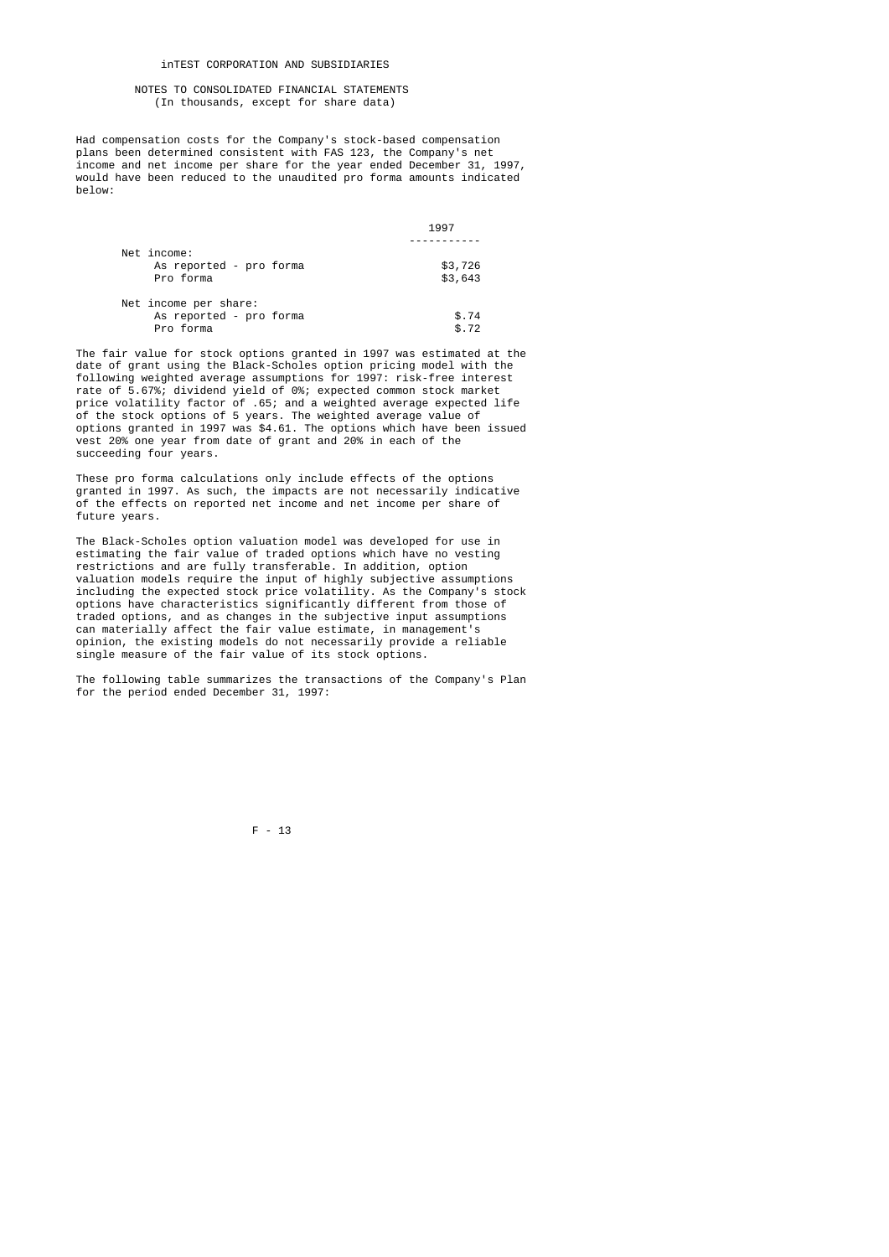## inTEST CORPORATION AND SUBSIDIARIES

## NOTES TO CONSOLIDATED FINANCIAL STATEMENTS (In thousands, except for share data)

 Had compensation costs for the Company's stock-based compensation plans been determined consistent with FAS 123, the Company's net income and net income per share for the year ended December 31, 1997, would have been reduced to the unaudited pro forma amounts indicated below:

|                         | 1997    |
|-------------------------|---------|
|                         |         |
| Net income:             |         |
| As reported - pro forma | \$3,726 |
| Pro forma               | \$3,643 |
| Net income per share:   |         |
| As reported - pro forma | \$.74   |
| Pro forma               | \$.72   |

 The fair value for stock options granted in 1997 was estimated at the date of grant using the Black-Scholes option pricing model with the following weighted average assumptions for 1997: risk-free interest rate of 5.67%; dividend yield of 0%; expected common stock market price volatility factor of .65; and a weighted average expected life of the stock options of 5 years. The weighted average value of options granted in 1997 was \$4.61. The options which have been issued vest 20% one year from date of grant and 20% in each of the succeeding four years.

> These pro forma calculations only include effects of the options granted in 1997. As such, the impacts are not necessarily indicative of the effects on reported net income and net income per share of future years.

 The Black-Scholes option valuation model was developed for use in estimating the fair value of traded options which have no vesting restrictions and are fully transferable. In addition, option valuation models require the input of highly subjective assumptions including the expected stock price volatility. As the Company's stock options have characteristics significantly different from those of traded options, and as changes in the subjective input assumptions can materially affect the fair value estimate, in management's opinion, the existing models do not necessarily provide a reliable single measure of the fair value of its stock options.

 The following table summarizes the transactions of the Company's Plan for the period ended December 31, 1997: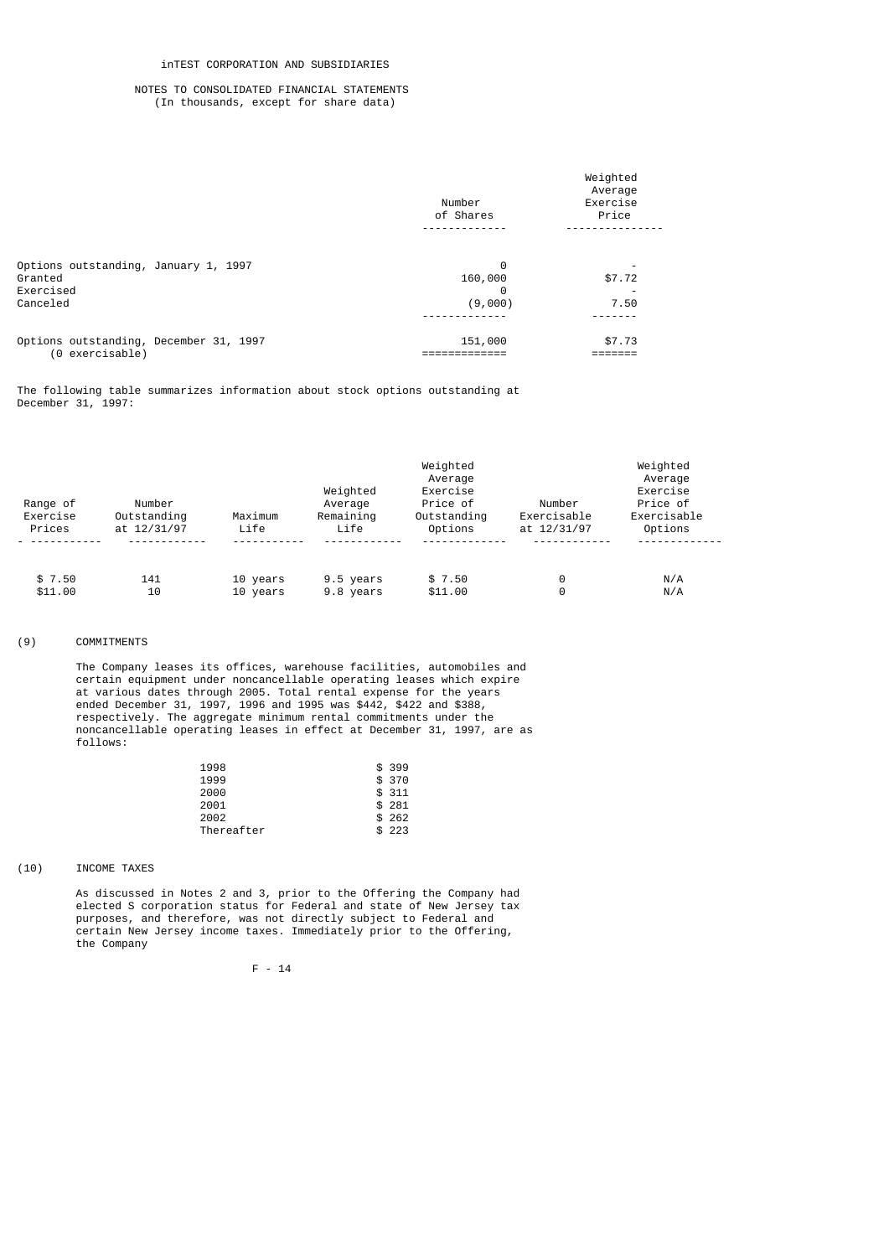|                                                                          | Number<br>of Shares          | Weighted<br>Average<br>Exercise<br>Price |
|--------------------------------------------------------------------------|------------------------------|------------------------------------------|
| Options outstanding, January 1, 1997<br>Granted<br>Exercised<br>Canceled | 0<br>160,000<br>0<br>(9,000) | \$7.72<br>7.50                           |
| Options outstanding, December 31, 1997<br>(0 exercisable)                | 151,000                      | \$7.73                                   |

The following table summarizes information about stock options outstanding at December 31, 1997:

|                      |                       |          | Weighted<br>Average              |                                     |                       |                                                |  |
|----------------------|-----------------------|----------|----------------------------------|-------------------------------------|-----------------------|------------------------------------------------|--|
| Range of<br>Exercise | Number<br>Outstanding | Maximum  | Weighted<br>Average<br>Remaining | Exercise<br>Price of<br>Outstanding | Number<br>Exercisable | Average<br>Exercise<br>Price of<br>Exercisable |  |
| Prices               | at 12/31/97           | Life     | Life                             | Options                             | at 12/31/97           | Options                                        |  |
| \$7.50               | 141                   | 10 years | 9.5 years                        | \$7.50                              | 0                     | N/A                                            |  |
| \$11.00              | 10                    | 10 years | 9.8 years                        | \$11.00                             | 0                     | N/A                                            |  |

# (9) COMMITMENTS

 The Company leases its offices, warehouse facilities, automobiles and certain equipment under noncancellable operating leases which expire at various dates through 2005. Total rental expense for the years ended December 31, 1997, 1996 and 1995 was \$442, \$422 and \$388, respectively. The aggregate minimum rental commitments under the noncancellable operating leases in effect at December 31, 1997, are as follows:

| 1998       | \$399  |
|------------|--------|
| 1999       | \$ 370 |
| 2000       | \$311  |
| 2001       | \$281  |
| 2002       | \$262  |
| Thereafter | \$223  |

# (10) INCOME TAXES

 As discussed in Notes 2 and 3, prior to the Offering the Company had elected S corporation status for Federal and state of New Jersey tax purposes, and therefore, was not directly subject to Federal and certain New Jersey income taxes. Immediately prior to the Offering, the Company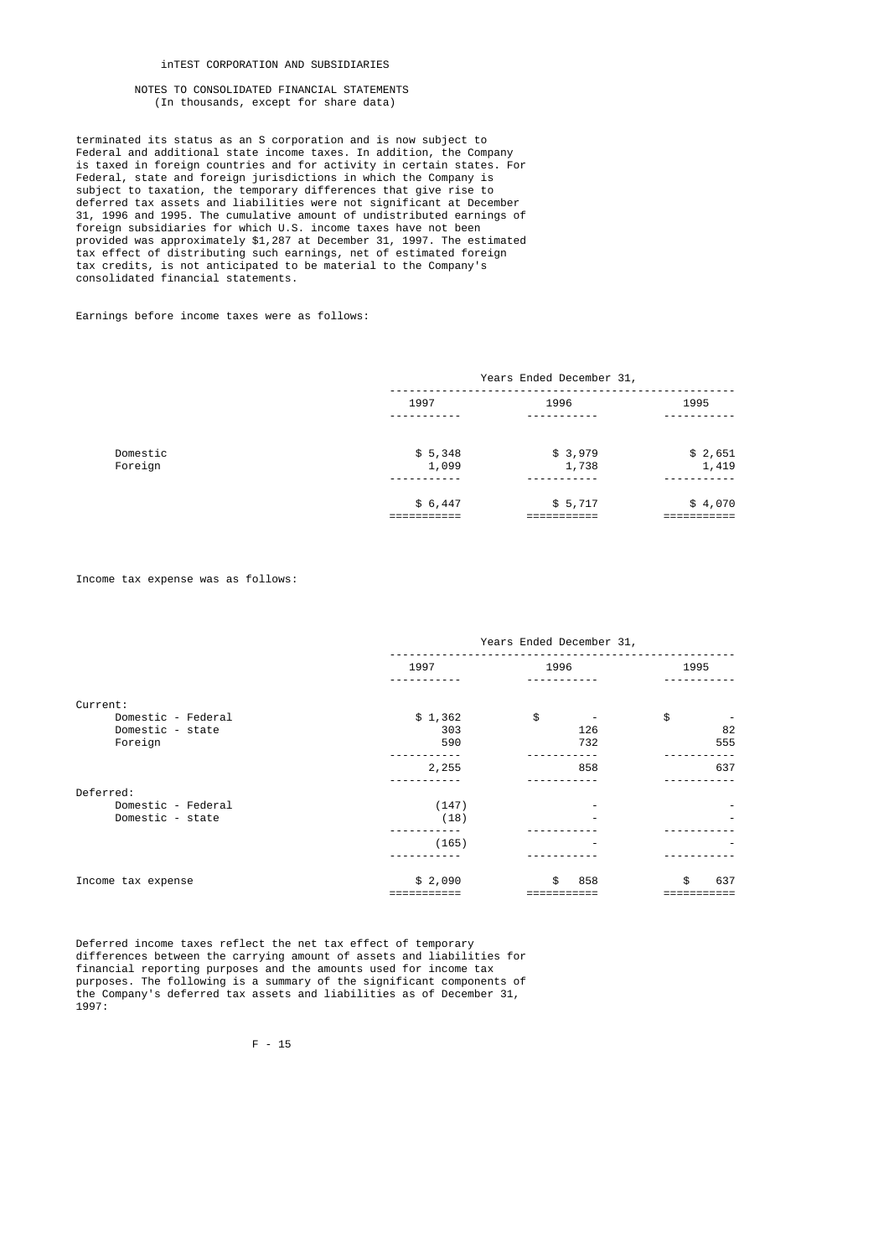## inTEST CORPORATION AND SUBSIDIARIES

## NOTES TO CONSOLIDATED FINANCIAL STATEMENTS (In thousands, except for share data)

 terminated its status as an S corporation and is now subject to Federal and additional state income taxes. In addition, the Company is taxed in foreign countries and for activity in certain states. For Federal, state and foreign jurisdictions in which the Company is subject to taxation, the temporary differences that give rise to deferred tax assets and liabilities were not significant at December 31, 1996 and 1995. The cumulative amount of undistributed earnings of foreign subsidiaries for which U.S. income taxes have not been provided was approximately \$1,287 at December 31, 1997. The estimated tax effect of distributing such earnings, net of estimated foreign tax credits, is not anticipated to be material to the Company's consolidated financial statements.

Earnings before income taxes were as follows:

|                     | Years Ended December 31, |                  |                  |
|---------------------|--------------------------|------------------|------------------|
|                     | 1997                     | 1996             | 1995             |
| Domestic<br>Foreign | \$5,348<br>1,099         | \$3,979<br>1,738 | \$2,651<br>1,419 |
|                     | \$6,447                  | \$5,717          | \$4,070          |

Income tax expense was as follows:

|                    | Years Ended December 31, |           |            |  |
|--------------------|--------------------------|-----------|------------|--|
|                    | 1997                     | 1996      | 1995       |  |
|                    |                          |           |            |  |
| Current:           |                          |           |            |  |
| Domestic - Federal | \$1,362                  | \$        | \$         |  |
| Domestic - state   | 303                      | 126       | 82         |  |
| Foreign            | 590                      | 732       | 555        |  |
|                    | 2,255                    | 858       | 637        |  |
| Deferred:          |                          |           |            |  |
| Domestic - Federal | (147)                    |           |            |  |
| Domestic - state   | (18)                     |           |            |  |
|                    | (165)                    |           |            |  |
|                    |                          |           |            |  |
| Income tax expense | \$2,090                  | 858<br>\$ | \$.<br>637 |  |
|                    |                          |           |            |  |

 Deferred income taxes reflect the net tax effect of temporary differences between the carrying amount of assets and liabilities for financial reporting purposes and the amounts used for income tax purposes. The following is a summary of the significant components of the Company's deferred tax assets and liabilities as of December 31, 1997: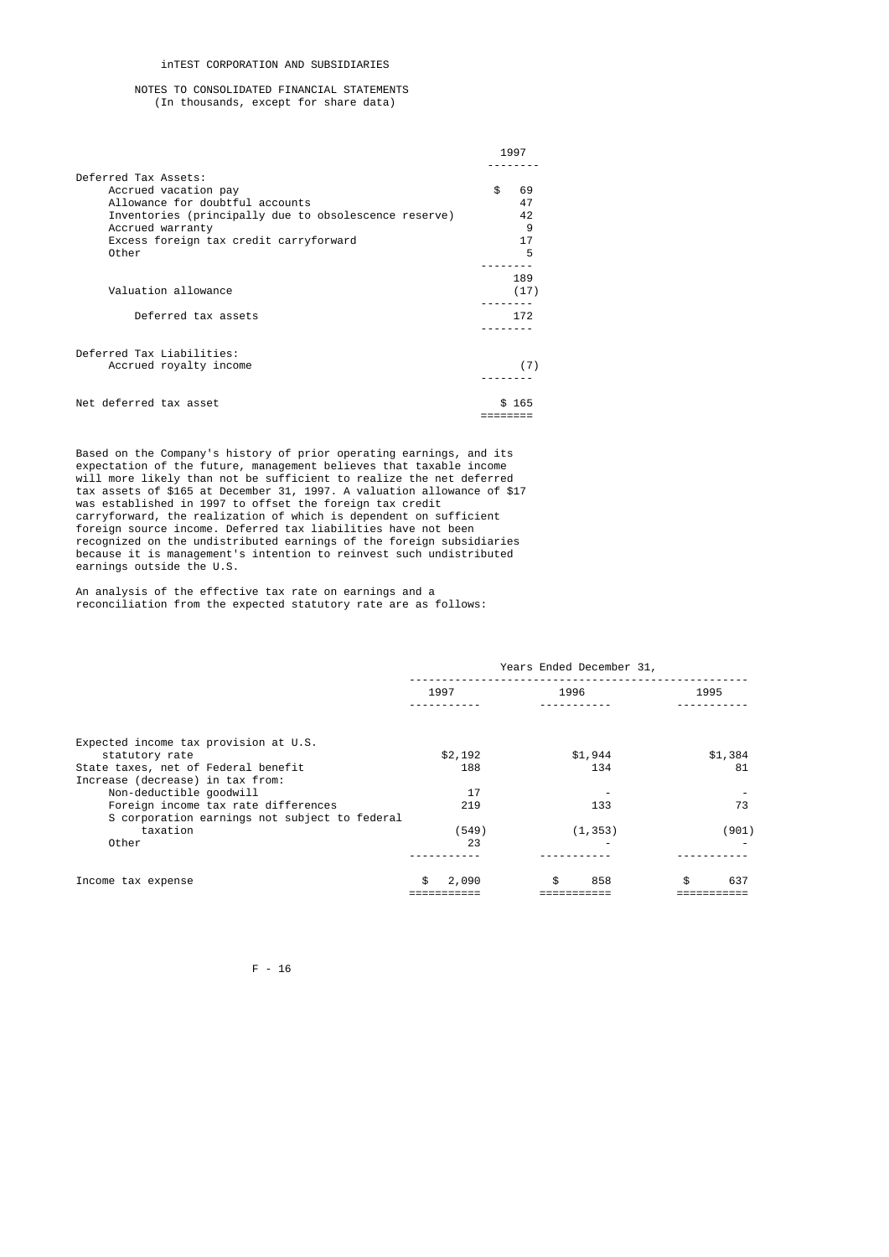## inTEST CORPORATION AND SUBSIDIARIES

# NOTES TO CONSOLIDATED FINANCIAL STATEMENTS (In thousands, except for share data)

|                                                       | 1997     |  |
|-------------------------------------------------------|----------|--|
| Deferred Tax Assets:                                  |          |  |
| Accrued vacation pay                                  | \$<br>69 |  |
| Allowance for doubtful accounts                       | 47       |  |
| Inventories (principally due to obsolescence reserve) | 42       |  |
| Accrued warranty                                      | 9        |  |
| Excess foreign tax credit carryforward                | 17       |  |
| Other                                                 | 5        |  |
|                                                       | 189      |  |
| Valuation allowance                                   | (17)     |  |
|                                                       |          |  |
| Deferred tax assets                                   | 172      |  |
|                                                       |          |  |
| Deferred Tax Liabilities:                             |          |  |
| Accrued royalty income                                | (7)      |  |
|                                                       |          |  |
| Net deferred tax asset                                | \$165    |  |
|                                                       |          |  |

 Based on the Company's history of prior operating earnings, and its expectation of the future, management believes that taxable income will more likely than not be sufficient to realize the net deferred tax assets of \$165 at December 31, 1997. A valuation allowance of \$17 was established in 1997 to offset the foreign tax credit carryforward, the realization of which is dependent on sufficient foreign source income. Deferred tax liabilities have not been recognized on the undistributed earnings of the foreign subsidiaries because it is management's intention to reinvest such undistributed earnings outside the U.S.

 An analysis of the effective tax rate on earnings and a reconciliation from the expected statutory rate are as follows:

|                                               |             | Years Ended December 31, |           |  |  |  |  |
|-----------------------------------------------|-------------|--------------------------|-----------|--|--|--|--|
|                                               | 1997        | 1996                     | 1995      |  |  |  |  |
|                                               |             |                          |           |  |  |  |  |
| Expected income tax provision at U.S.         |             |                          |           |  |  |  |  |
| statutory rate                                | \$2,192     | \$1,944                  | \$1,384   |  |  |  |  |
| State taxes, net of Federal benefit           | 188         | 134                      | 81        |  |  |  |  |
| Increase (decrease) in tax from:              |             |                          |           |  |  |  |  |
| Non-deductible goodwill                       | 17          |                          |           |  |  |  |  |
| Foreign income tax rate differences           | 219         | 133                      | 73        |  |  |  |  |
| S corporation earnings not subject to federal |             |                          |           |  |  |  |  |
| taxation                                      | (549)       | (1, 353)                 | (901)     |  |  |  |  |
| Other                                         | 23          |                          |           |  |  |  |  |
|                                               |             |                          |           |  |  |  |  |
| Income tax expense                            | \$<br>2,090 | \$<br>858                | \$<br>637 |  |  |  |  |
|                                               |             |                          |           |  |  |  |  |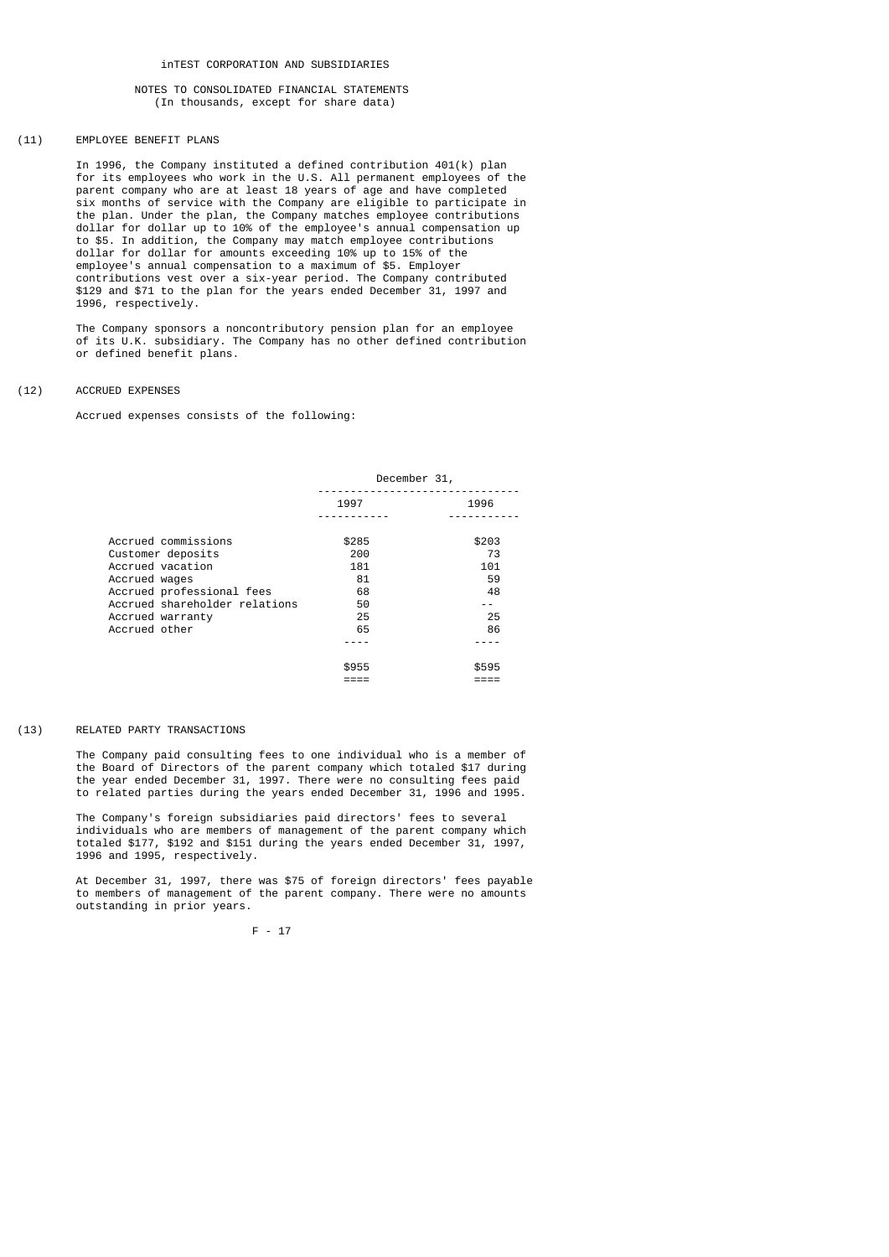# (11) EMPLOYEE BENEFIT PLANS

 In 1996, the Company instituted a defined contribution 401(k) plan for its employees who work in the U.S. All permanent employees of the parent company who are at least 18 years of age and have completed six months of service with the Company are eligible to participate in the plan. Under the plan, the Company matches employee contributions dollar for dollar up to 10% of the employee's annual compensation up to \$5. In addition, the Company may match employee contributions dollar for dollar for amounts exceeding 10% up to 15% of the employee's annual compensation to a maximum of \$5. Employer contributions vest over a six-year period. The Company contributed \$129 and \$71 to the plan for the years ended December 31, 1997 and 1996, respectively.

 The Company sponsors a noncontributory pension plan for an employee of its U.K. subsidiary. The Company has no other defined contribution or defined benefit plans.

## (12) ACCRUED EXPENSES

Accrued expenses consists of the following:

|                               | December 31, |       |  |
|-------------------------------|--------------|-------|--|
|                               | 1997         | 1996  |  |
|                               |              |       |  |
| Accrued commissions           | \$285        | \$203 |  |
| Customer deposits             | 200          | 73    |  |
| Accrued vacation              | 181          | 101   |  |
| Accrued wages                 | 81           | 59    |  |
| Accrued professional fees     | 68           | 48    |  |
| Accrued shareholder relations | 50           | - -   |  |
| Accrued warranty              | 25           | 25    |  |
| Accrued other                 | 65           | 86    |  |
|                               |              |       |  |
|                               | \$955        | \$595 |  |
|                               |              |       |  |

### (13) RELATED PARTY TRANSACTIONS

 The Company paid consulting fees to one individual who is a member of the Board of Directors of the parent company which totaled \$17 during the year ended December 31, 1997. There were no consulting fees paid to related parties during the years ended December 31, 1996 and 1995.

 The Company's foreign subsidiaries paid directors' fees to several individuals who are members of management of the parent company which totaled \$177, \$192 and \$151 during the years ended December 31, 1997, 1996 and 1995, respectively.

 At December 31, 1997, there was \$75 of foreign directors' fees payable to members of management of the parent company. There were no amounts outstanding in prior years.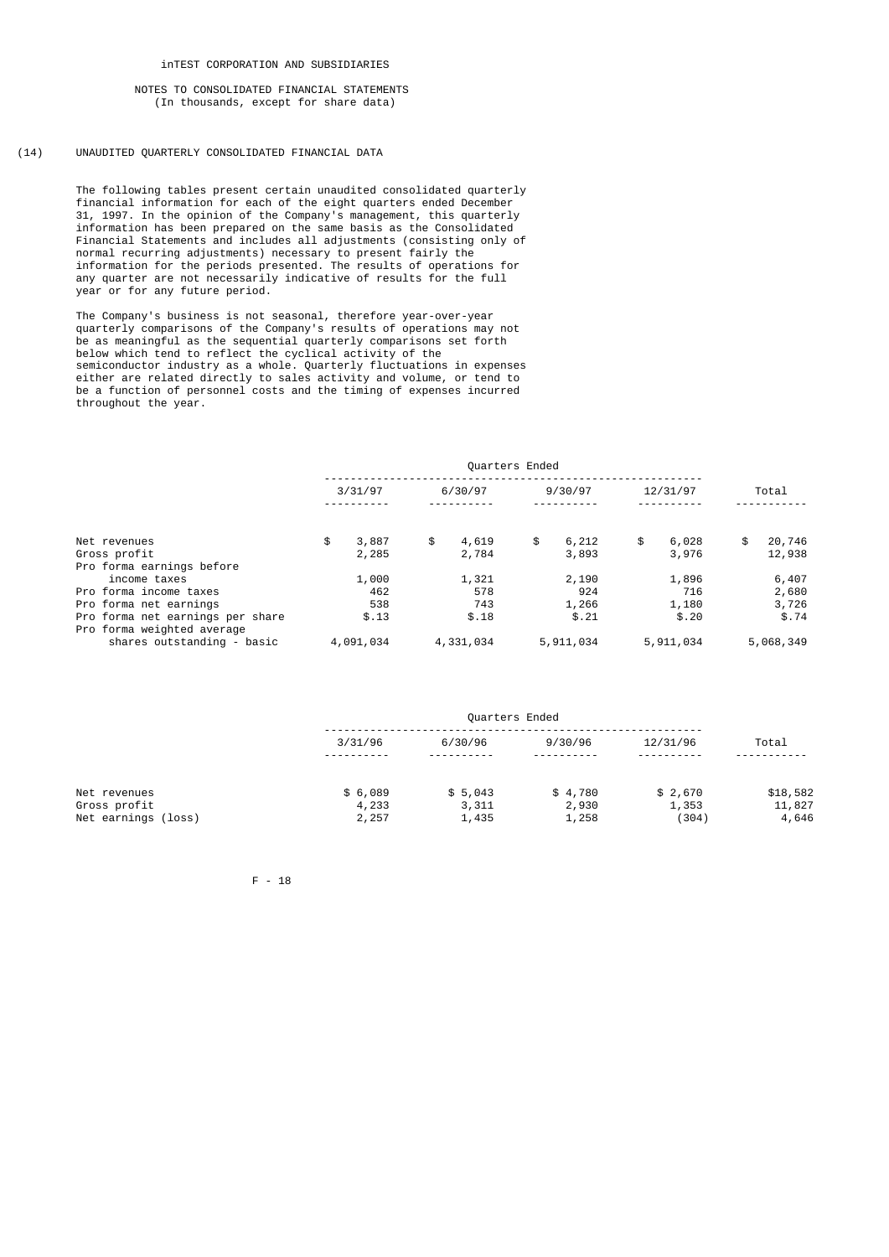## (14) UNAUDITED QUARTERLY CONSOLIDATED FINANCIAL DATA

 The following tables present certain unaudited consolidated quarterly financial information for each of the eight quarters ended December 31, 1997. In the opinion of the Company's management, this quarterly information has been prepared on the same basis as the Consolidated Financial Statements and includes all adjustments (consisting only of normal recurring adjustments) necessary to present fairly the information for the periods presented. The results of operations for any quarter are not necessarily indicative of results for the full year or for any future period.

 The Company's business is not seasonal, therefore year-over-year quarterly comparisons of the Company's results of operations may not be as meaningful as the sequential quarterly comparisons set forth below which tend to reflect the cyclical activity of the semiconductor industry as a whole. Quarterly fluctuations in expenses either are related directly to sales activity and volume, or tend to be a function of personnel costs and the timing of expenses incurred throughout the year.

|                                                            | Quarters Ended |    |              |    |                |                |                |
|------------------------------------------------------------|----------------|----|--------------|----|----------------|----------------|----------------|
|                                                            | 3/31/97        |    | 6/30/97      |    | 9/30/97        | 12/31/97       | Total          |
| Net revenues                                               | \$<br>3,887    | \$ | 4,619        | \$ | 6,212          | \$<br>6,028    | \$<br>20,746   |
| Gross profit<br>Pro forma earnings before                  | 2,285          |    | 2,784        |    | 3,893          | 3,976          | 12,938         |
| income taxes<br>Pro forma income taxes                     | 1,000<br>462   |    | 1,321<br>578 |    | 2,190<br>924   | 1,896<br>716   | 6,407<br>2,680 |
| Pro forma net earnings<br>Pro forma net earnings per share | 538<br>\$.13   |    | 743<br>\$.18 |    | 1,266<br>\$.21 | 1,180<br>\$.20 | 3,726<br>\$.74 |
| Pro forma weighted average<br>shares outstanding - basic   | 4,091,034      |    | 4,331,034    |    | 5,911,034      | 5,911,034      | 5,068,349      |

|                                     |                | Quarters Ended     |                   |                  |                 |  |
|-------------------------------------|----------------|--------------------|-------------------|------------------|-----------------|--|
|                                     | 3/31/96<br>.   | 6/30/96<br>------- | 9/30/96<br>------ | 12/31/96<br>---- | Total           |  |
| Net revenues                        | \$6,089        | \$5,043            | \$4,780           | \$2,670          | \$18,582        |  |
| Gross profit<br>Net earnings (loss) | 4,233<br>2,257 | 3,311<br>1,435     | 2,930<br>1,258    | 1,353<br>(304)   | 11,827<br>4,646 |  |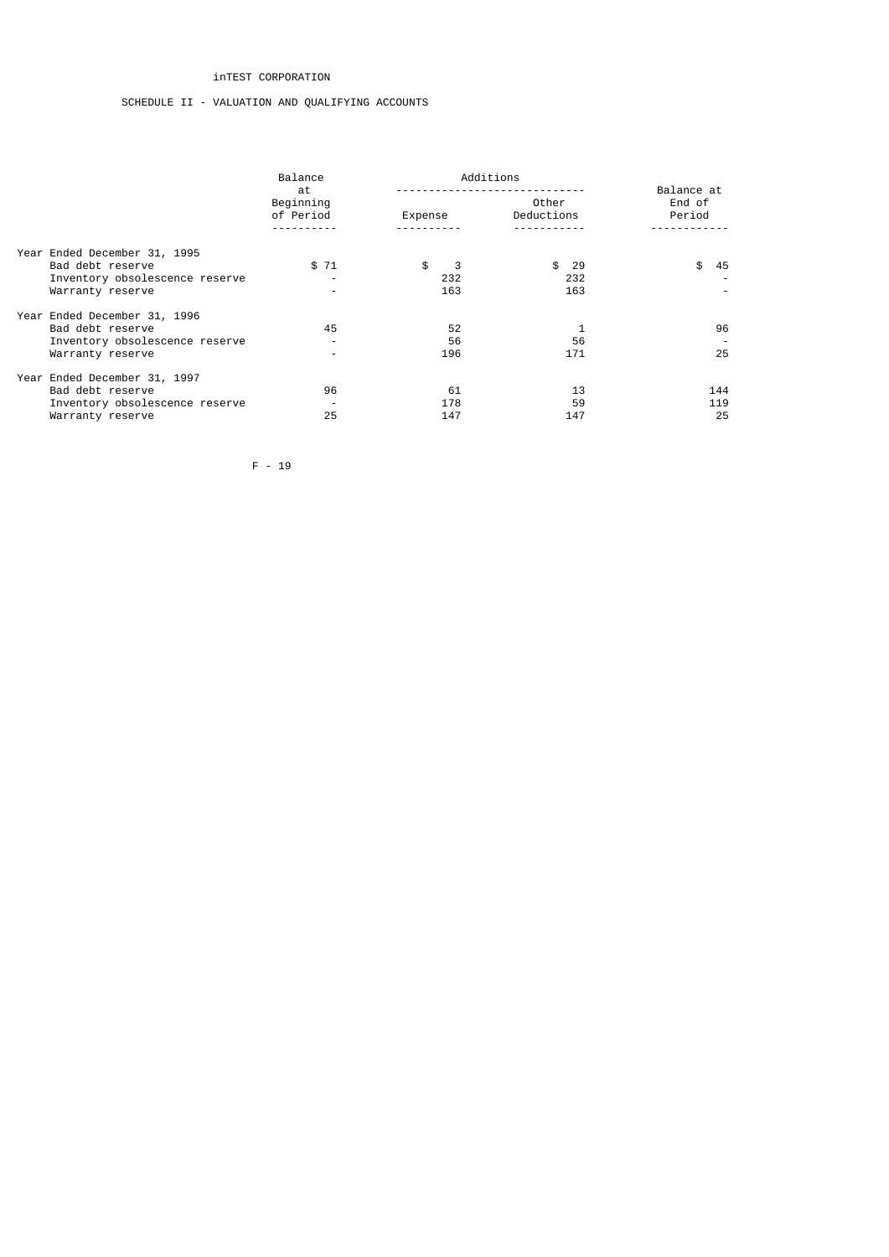# inTEST CORPORATION

# SCHEDULE II - VALUATION AND QUALIFYING ACCOUNTS

|  |                                | Balance<br>at            |         | Balance at |                      |                  |  |
|--|--------------------------------|--------------------------|---------|------------|----------------------|------------------|--|
|  |                                | Beginning<br>of Period   | Expense |            | Other<br>Deductions  | End of<br>Period |  |
|  | Year Ended December 31, 1995   |                          |         |            |                      |                  |  |
|  | Bad debt reserve               | \$71                     | \$      | 3          | - 29<br>$\mathbf{f}$ | \$<br>45         |  |
|  | Inventory obsolescence reserve | ٠                        |         | 232        | 232                  |                  |  |
|  | Warranty reserve               | $\overline{\phantom{a}}$ |         | 163        | 163                  |                  |  |
|  | Year Ended December 31, 1996   |                          |         |            |                      |                  |  |
|  | Bad debt reserve               | 45                       |         | 52         |                      | 96               |  |
|  | Inventory obsolescence reserve | $\overline{\phantom{0}}$ |         | 56         | 56                   |                  |  |
|  | Warranty reserve               | $\overline{\phantom{0}}$ |         | 196        | 171                  | 25               |  |
|  | Year Ended December 31, 1997   |                          |         |            |                      |                  |  |
|  | Bad debt reserve               | 96                       |         | 61         | 13                   | 144              |  |
|  | Inventory obsolescence reserve |                          |         | 178        | 59                   | 119              |  |
|  | Warranty reserve               | 25                       |         | 147        | 147                  | 25               |  |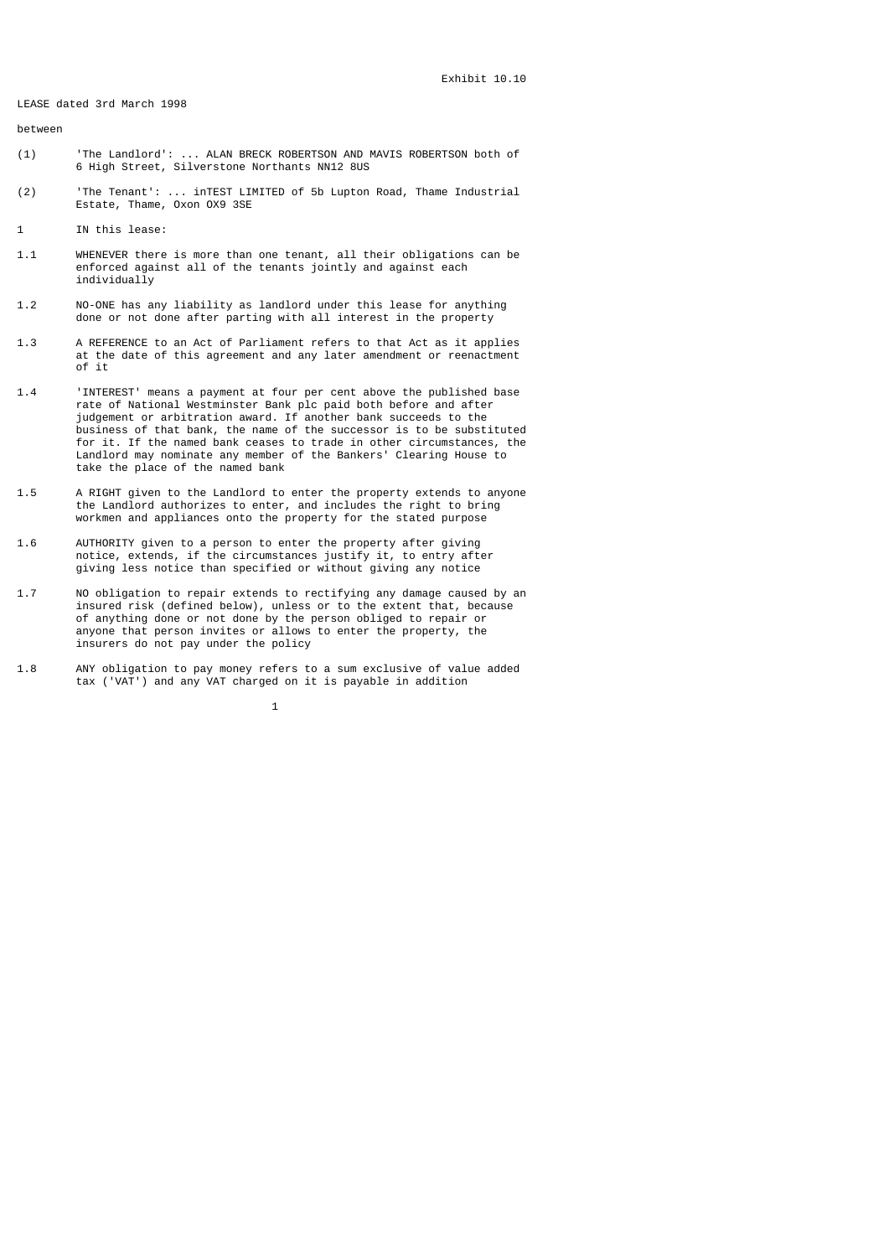LEASE dated 3rd March 1998

between

- (1) 'The Landlord': ... ALAN BRECK ROBERTSON AND MAVIS ROBERTSON both of 6 High Street, Silverstone Northants NN12 8US
- (2) 'The Tenant': ... inTEST LIMITED of 5b Lupton Road, Thame Industrial Estate, Thame, Oxon OX9 3SE
- 1 IN this lease:
- 1.1 WHENEVER there is more than one tenant, all their obligations can be enforced against all of the tenants jointly and against each individually
- 1.2 NO-ONE has any liability as landlord under this lease for anything done or not done after parting with all interest in the property
- 1.3 A REFERENCE to an Act of Parliament refers to that Act as it applies at the date of this agreement and any later amendment or reenactment of it
- 1.4 'INTEREST' means a payment at four per cent above the published base rate of National Westminster Bank plc paid both before and after judgement or arbitration award. If another bank succeeds to the business of that bank, the name of the successor is to be substituted for it. If the named bank ceases to trade in other circumstances, the Landlord may nominate any member of the Bankers' Clearing House to take the place of the named bank
- 1.5 A RIGHT given to the Landlord to enter the property extends to anyone the Landlord authorizes to enter, and includes the right to bring workmen and appliances onto the property for the stated purpose
- 1.6 AUTHORITY given to a person to enter the property after giving notice, extends, if the circumstances justify it, to entry after giving less notice than specified or without giving any notice
- 1.7 NO obligation to repair extends to rectifying any damage caused by an insured risk (defined below), unless or to the extent that, because of anything done or not done by the person obliged to repair or anyone that person invites or allows to enter the property, the insurers do not pay under the policy
- 1.8 ANY obligation to pay money refers to a sum exclusive of value added tax ('VAT') and any VAT charged on it is payable in addition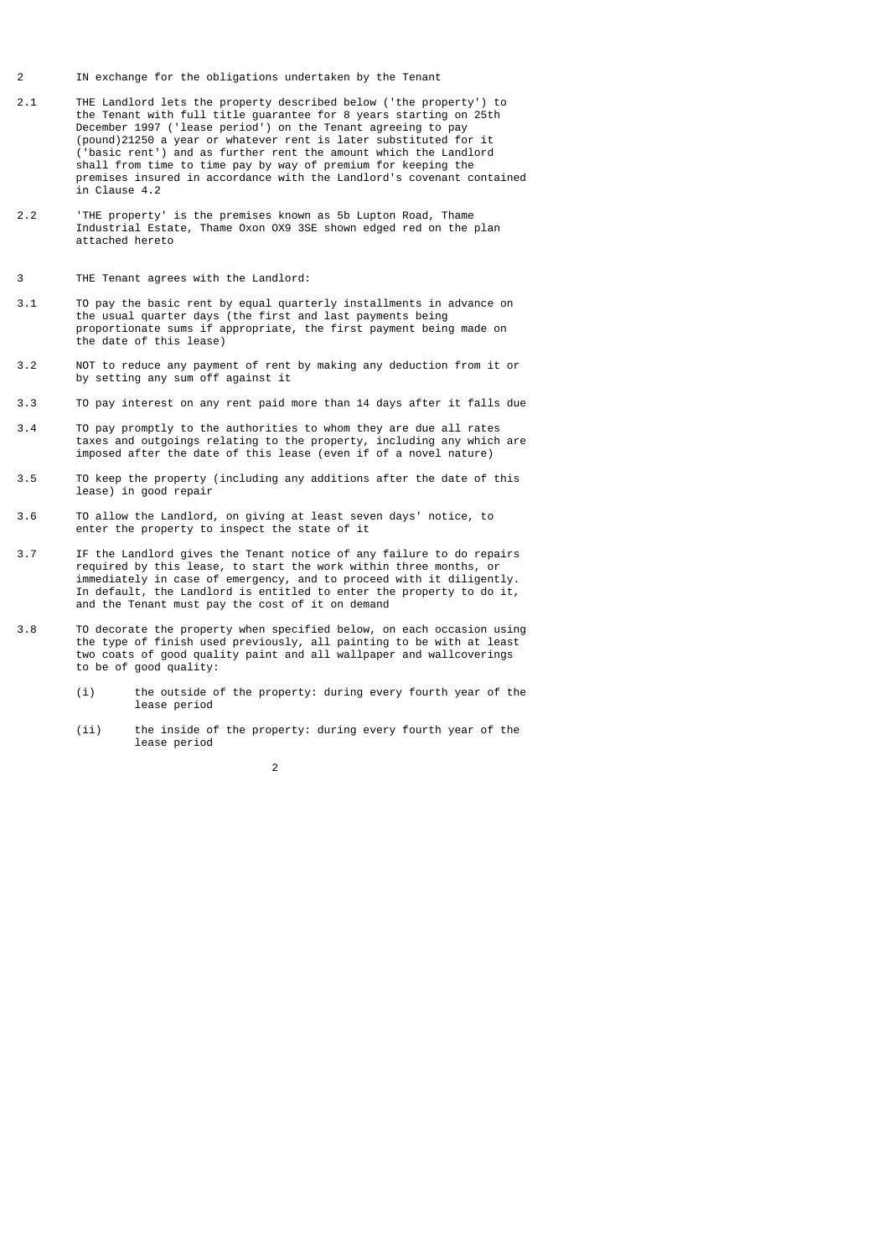- 2 IN exchange for the obligations undertaken by the Tenant
- 2.1 THE Landlord lets the property described below ('the property') to the Tenant with full title guarantee for 8 years starting on 25th December 1997 ('lease period') on the Tenant agreeing to pay (pound)21250 a year or whatever rent is later substituted for it ('basic rent') and as further rent the amount which the Landlord shall from time to time pay by way of premium for keeping the premises insured in accordance with the Landlord's covenant contained in Clause 4.2
- 2.2 'THE property' is the premises known as 5b Lupton Road, Thame Industrial Estate, Thame Oxon OX9 3SE shown edged red on the plan attached hereto
- 3 THE Tenant agrees with the Landlord:
- 3.1 TO pay the basic rent by equal quarterly installments in advance on the usual quarter days (the first and last payments being proportionate sums if appropriate, the first payment being made on the date of this lease)
- 3.2 NOT to reduce any payment of rent by making any deduction from it or by setting any sum off against it
- 3.3 TO pay interest on any rent paid more than 14 days after it falls due
- 3.4 TO pay promptly to the authorities to whom they are due all rates taxes and outgoings relating to the property, including any which are imposed after the date of this lease (even if of a novel nature)
- 3.5 TO keep the property (including any additions after the date of this lease) in good repair
- 3.6 TO allow the Landlord, on giving at least seven days' notice, to enter the property to inspect the state of it
- 3.7 IF the Landlord gives the Tenant notice of any failure to do repairs required by this lease, to start the work within three months, or immediately in case of emergency, and to proceed with it diligently. In default, the Landlord is entitled to enter the property to do it, and the Tenant must pay the cost of it on demand
- 3.8 TO decorate the property when specified below, on each occasion using the type of finish used previously, all painting to be with at least two coats of good quality paint and all wallpaper and wallcoverings to be of good quality:
	- (i) the outside of the property: during every fourth year of the lease period
	- (ii) the inside of the property: during every fourth year of the lease period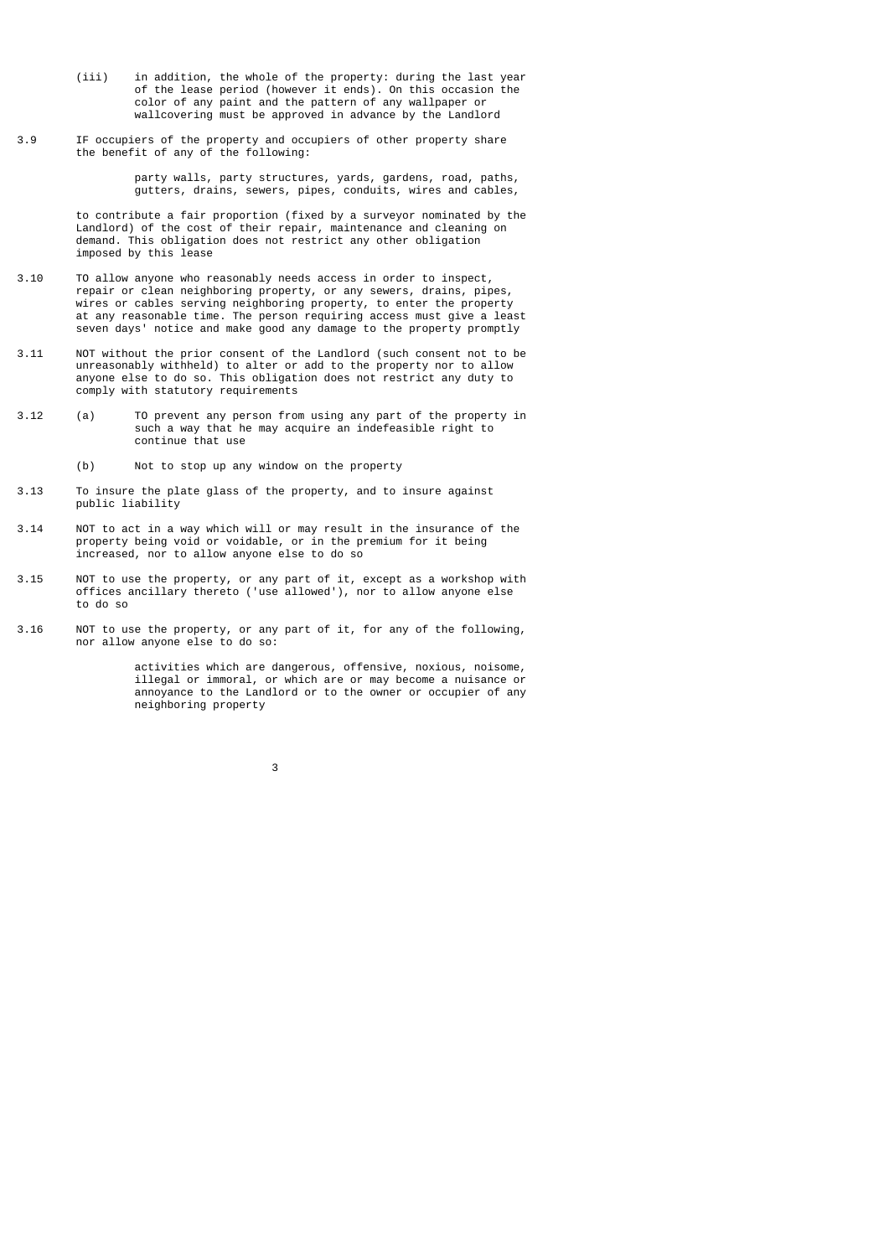- (iii) in addition, the whole of the property: during the last year of the lease period (however it ends). On this occasion the color of any paint and the pattern of any wallpaper or wallcovering must be approved in advance by the Landlord
- 3.9 IF occupiers of the property and occupiers of other property share the benefit of any of the following:

 party walls, party structures, yards, gardens, road, paths, gutters, drains, sewers, pipes, conduits, wires and cables,

 to contribute a fair proportion (fixed by a surveyor nominated by the Landlord) of the cost of their repair, maintenance and cleaning on demand. This obligation does not restrict any other obligation imposed by this lease

- 3.10 TO allow anyone who reasonably needs access in order to inspect, repair or clean neighboring property, or any sewers, drains, pipes, wires or cables serving neighboring property, to enter the property at any reasonable time. The person requiring access must give a least seven days' notice and make good any damage to the property promptly
- 3.11 NOT without the prior consent of the Landlord (such consent not to be unreasonably withheld) to alter or add to the property nor to allow anyone else to do so. This obligation does not restrict any duty to comply with statutory requirements
- 3.12 (a) TO prevent any person from using any part of the property in such a way that he may acquire an indefeasible right to continue that use
	- (b) Not to stop up any window on the property
- 3.13 To insure the plate glass of the property, and to insure against public liability
- 3.14 NOT to act in a way which will or may result in the insurance of the property being void or voidable, or in the premium for it being increased, nor to allow anyone else to do so
- 3.15 NOT to use the property, or any part of it, except as a workshop with offices ancillary thereto ('use allowed'), nor to allow anyone else to do so
- 3.16 NOT to use the property, or any part of it, for any of the following, nor allow anyone else to do so:

 activities which are dangerous, offensive, noxious, noisome, illegal or immoral, or which are or may become a nuisance or annoyance to the Landlord or to the owner or occupier of any neighboring property

 $\sim$  3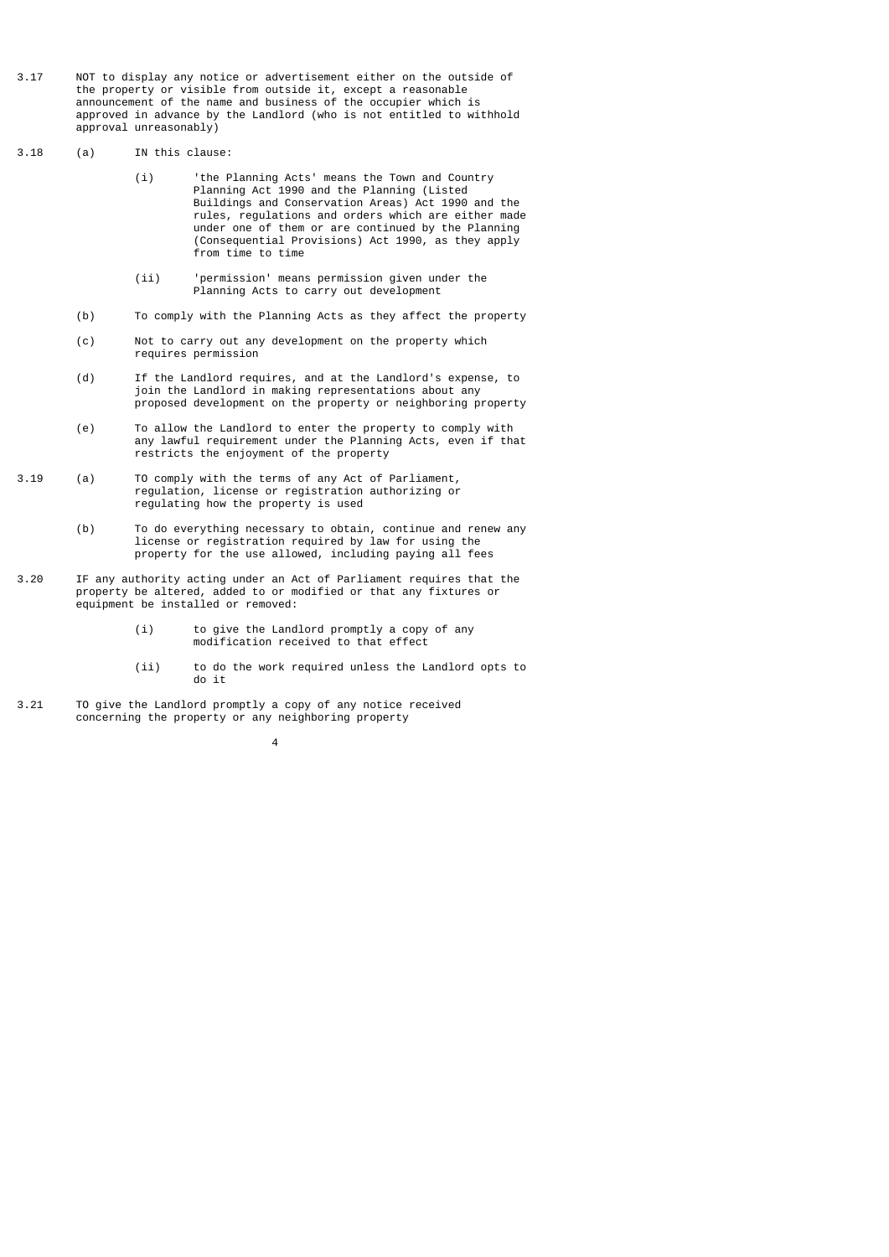- 3.17 NOT to display any notice or advertisement either on the outside of the property or visible from outside it, except a reasonable announcement of the name and business of the occupier which is approved in advance by the Landlord (who is not entitled to withhold approval unreasonably)
- 3.18 (a) IN this clause:
- (i) 'the Planning Acts' means the Town and Country Planning Act 1990 and the Planning (Listed Buildings and Conservation Areas) Act 1990 and the rules, regulations and orders which are either made under one of them or are continued by the Planning (Consequential Provisions) Act 1990, as they apply from time to time
- (ii) 'permission' means permission given under the Planning Acts to carry out development
	- (b) To comply with the Planning Acts as they affect the property
	- (c) Not to carry out any development on the property which requires permission
	- (d) If the Landlord requires, and at the Landlord's expense, to join the Landlord in making representations about any proposed development on the property or neighboring property
	- (e) To allow the Landlord to enter the property to comply with any lawful requirement under the Planning Acts, even if that restricts the enjoyment of the property
- 3.19 (a) TO comply with the terms of any Act of Parliament, regulation, license or registration authorizing or regulating how the property is used
	- (b) To do everything necessary to obtain, continue and renew any license or registration required by law for using the property for the use allowed, including paying all fees
- 3.20 IF any authority acting under an Act of Parliament requires that the property be altered, added to or modified or that any fixtures or equipment be installed or removed:
- (i) to give the Landlord promptly a copy of any modification received to that effect
	- (ii) to do the work required unless the Landlord opts to do it
- 3.21 TO give the Landlord promptly a copy of any notice received concerning the property or any neighboring property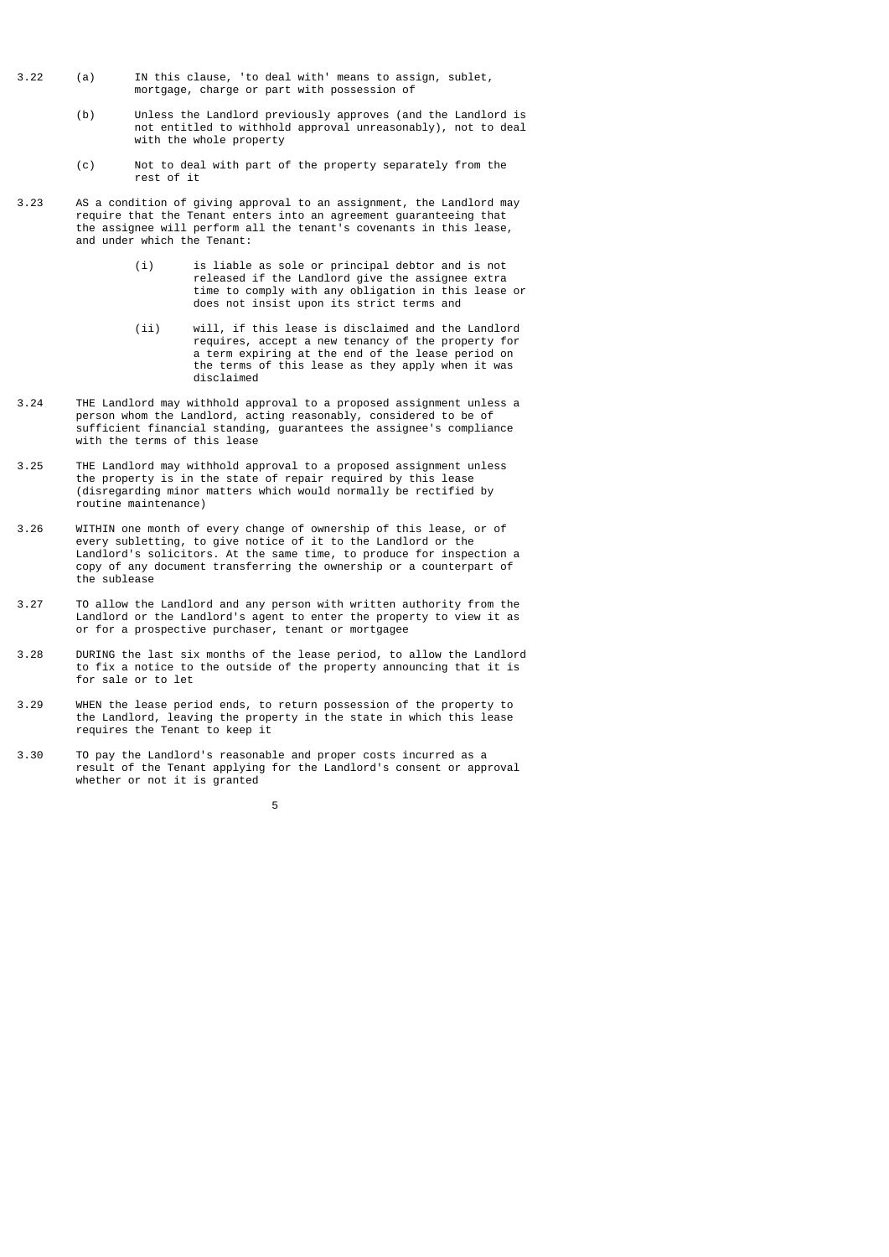- 3.22 (a) IN this clause, 'to deal with' means to assign, sublet, mortgage, charge or part with possession of
- (b) Unless the Landlord previously approves (and the Landlord is not entitled to withhold approval unreasonably), not to deal with the whole property
	- (c) Not to deal with part of the property separately from the rest of it
- 3.23 AS a condition of giving approval to an assignment, the Landlord may require that the Tenant enters into an agreement guaranteeing that the assignee will perform all the tenant's covenants in this lease, and under which the Tenant:
	- (i) is liable as sole or principal debtor and is not released if the Landlord give the assignee extra time to comply with any obligation in this lease or does not insist upon its strict terms and
- (ii) will, if this lease is disclaimed and the Landlord requires, accept a new tenancy of the property for a term expiring at the end of the lease period on the terms of this lease as they apply when it was disclaimed
- 3.24 THE Landlord may withhold approval to a proposed assignment unless a person whom the Landlord, acting reasonably, considered to be of sufficient financial standing, guarantees the assignee's compliance with the terms of this lease
- 3.25 THE Landlord may withhold approval to a proposed assignment unless the property is in the state of repair required by this lease (disregarding minor matters which would normally be rectified by routine maintenance)
- 3.26 WITHIN one month of every change of ownership of this lease, or of every subletting, to give notice of it to the Landlord or the Landlord's solicitors. At the same time, to produce for inspection a copy of any document transferring the ownership or a counterpart of the sublease
- 3.27 TO allow the Landlord and any person with written authority from the Landlord or the Landlord's agent to enter the property to view it as or for a prospective purchaser, tenant or mortgagee
- 3.28 DURING the last six months of the lease period, to allow the Landlord to fix a notice to the outside of the property announcing that it is for sale or to let
- 3.29 WHEN the lease period ends, to return possession of the property to the Landlord, leaving the property in the state in which this lease requires the Tenant to keep it
- 3.30 TO pay the Landlord's reasonable and proper costs incurred as a result of the Tenant applying for the Landlord's consent or approval whether or not it is granted

the contract of the contract of the contract of the contract of the contract of the contract of the contract o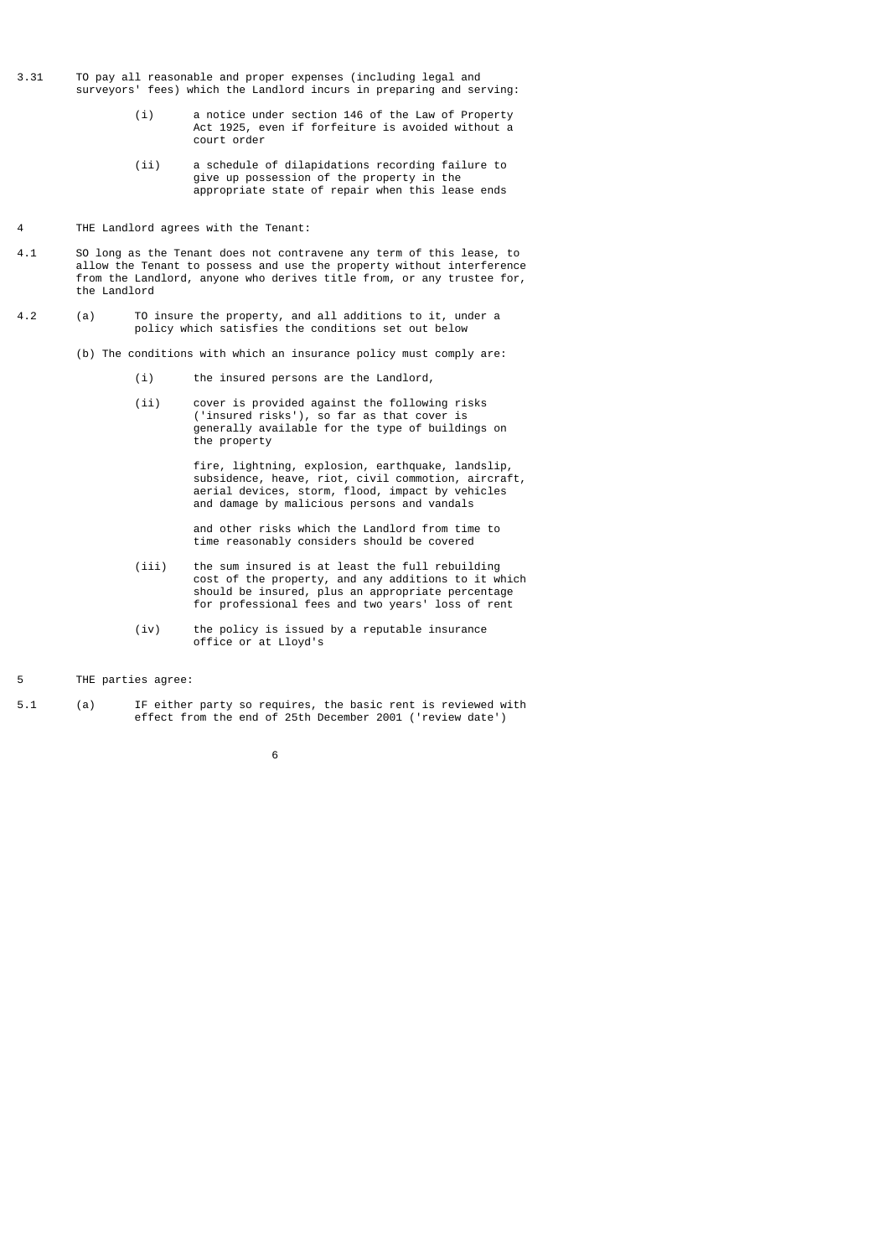- 3.31 TO pay all reasonable and proper expenses (including legal and surveyors' fees) which the Landlord incurs in preparing and serving:
- (i) a notice under section 146 of the Law of Property Act 1925, even if forfeiture is avoided without a court order
- (ii) a schedule of dilapidations recording failure to give up possession of the property in the appropriate state of repair when this lease ends
- 4 THE Landlord agrees with the Tenant:
- 4.1 SO long as the Tenant does not contravene any term of this lease, to allow the Tenant to possess and use the property without interference from the Landlord, anyone who derives title from, or any trustee for, the Landlord
- 4.2 (a) TO insure the property, and all additions to it, under a policy which satisfies the conditions set out below
	- (b) The conditions with which an insurance policy must comply are:
		- (i) the insured persons are the Landlord,
- (ii) cover is provided against the following risks ('insured risks'), so far as that cover is generally available for the type of buildings on the property

 fire, lightning, explosion, earthquake, landslip, subsidence, heave, riot, civil commotion, aircraft, aerial devices, storm, flood, impact by vehicles and damage by malicious persons and vandals

> and other risks which the Landlord from time to time reasonably considers should be covered

- (iii) the sum insured is at least the full rebuilding cost of the property, and any additions to it which should be insured, plus an appropriate percentage for professional fees and two years' loss of rent
- (iv) the policy is issued by a reputable insurance office or at Lloyd's
- 5 THE parties agree:
- 5.1 (a) IF either party so requires, the basic rent is reviewed with effect from the end of 25th December 2001 ('review date')
- $\sim$  6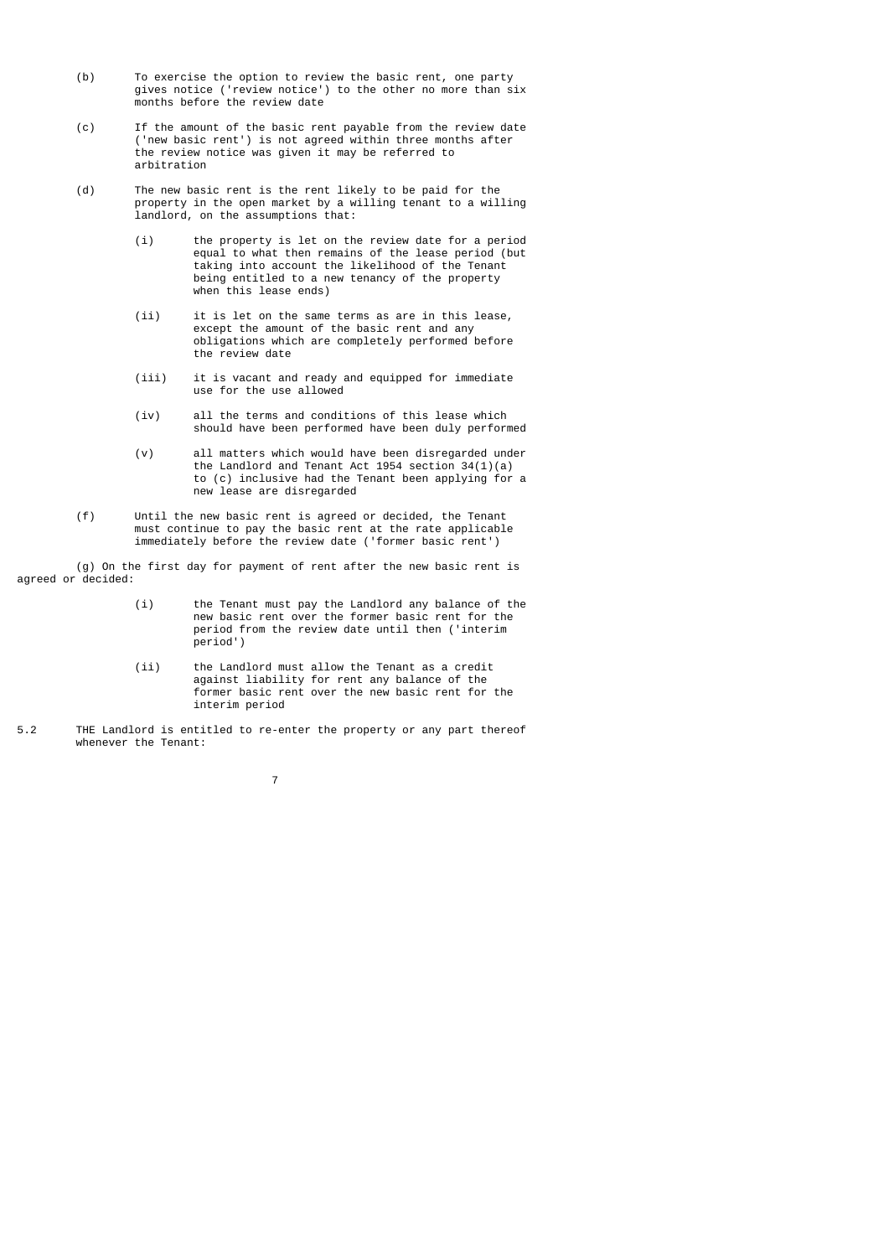- (b) To exercise the option to review the basic rent, one party gives notice ('review notice') to the other no more than six months before the review date
- (c) If the amount of the basic rent payable from the review date ('new basic rent') is not agreed within three months after the review notice was given it may be referred to arbitration
	- (d) The new basic rent is the rent likely to be paid for the property in the open market by a willing tenant to a willing landlord, on the assumptions that:
- (i) the property is let on the review date for a period equal to what then remains of the lease period (but taking into account the likelihood of the Tenant being entitled to a new tenancy of the property when this lease ends)
	- (ii) it is let on the same terms as are in this lease, except the amount of the basic rent and any obligations which are completely performed before the review date
	- (iii) it is vacant and ready and equipped for immediate use for the use allowed
	- (iv) all the terms and conditions of this lease which should have been performed have been duly performed
- (v) all matters which would have been disregarded under the Landlord and Tenant Act 1954 section 34(1)(a) to (c) inclusive had the Tenant been applying for a new lease are disregarded
- (f) Until the new basic rent is agreed or decided, the Tenant must continue to pay the basic rent at the rate applicable immediately before the review date ('former basic rent')

 (g) On the first day for payment of rent after the new basic rent is agreed or decided:

- (i) the Tenant must pay the Landlord any balance of the new basic rent over the former basic rent for the period from the review date until then ('interim period')
- (ii) the Landlord must allow the Tenant as a credit against liability for rent any balance of the former basic rent over the new basic rent for the interim period
- 5.2 THE Landlord is entitled to re-enter the property or any part thereof whenever the Tenant: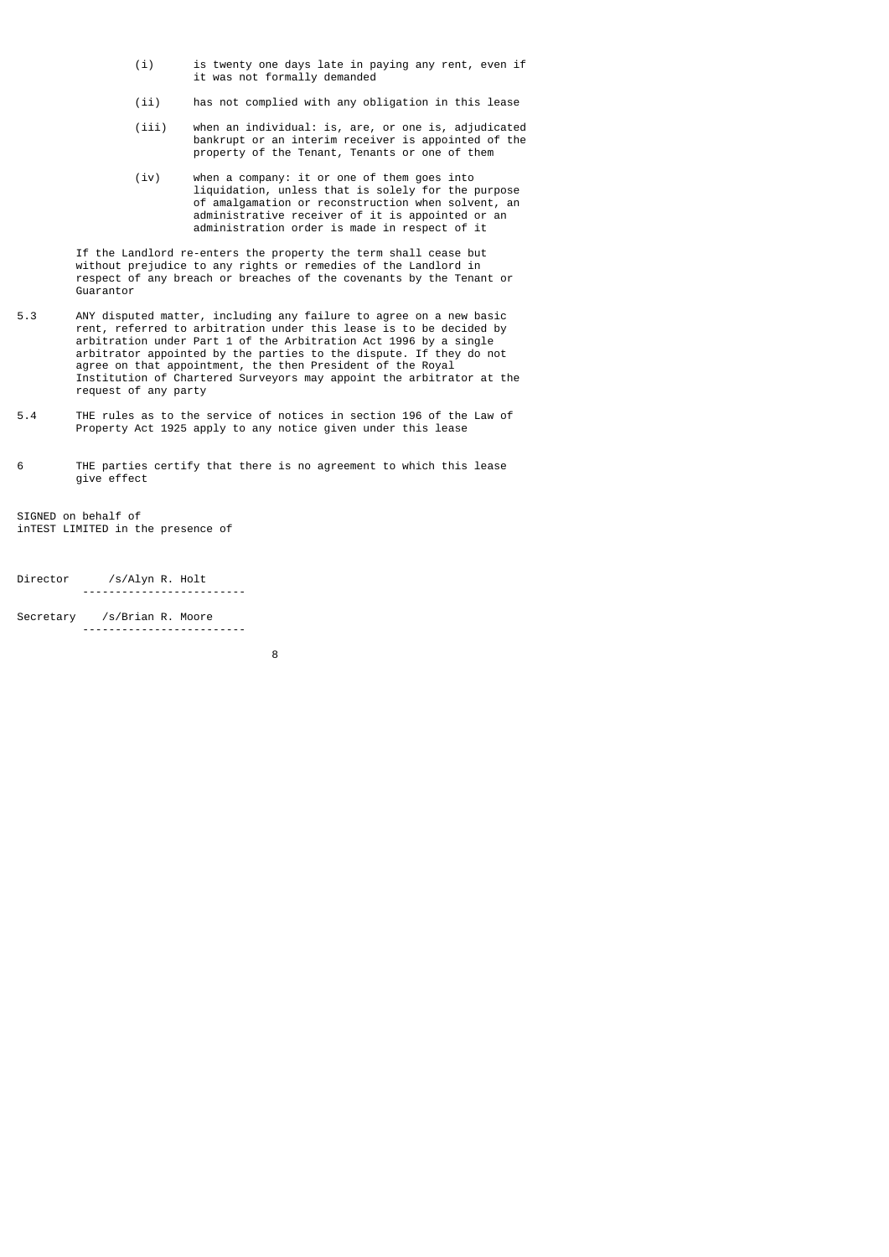- (i) is twenty one days late in paying any rent, even if it was not formally demanded
	- (ii) has not complied with any obligation in this lease
- (iii) when an individual: is, are, or one is, adjudicated bankrupt or an interim receiver is appointed of the property of the Tenant, Tenants or one of them
- (iv) when a company: it or one of them goes into liquidation, unless that is solely for the purpose of amalgamation or reconstruction when solvent, an administrative receiver of it is appointed or an administration order is made in respect of it

 If the Landlord re-enters the property the term shall cease but without prejudice to any rights or remedies of the Landlord in respect of any breach or breaches of the covenants by the Tenant or Guarantor

- 5.3 ANY disputed matter, including any failure to agree on a new basic rent, referred to arbitration under this lease is to be decided by arbitration under Part 1 of the Arbitration Act 1996 by a single arbitrator appointed by the parties to the dispute. If they do not agree on that appointment, the then President of the Royal Institution of Chartered Surveyors may appoint the arbitrator at the request of any party
- 5.4 THE rules as to the service of notices in section 196 of the Law of Property Act 1925 apply to any notice given under this lease

6 THE parties certify that there is no agreement to which this lease give effect

SIGNED on behalf of inTEST LIMITED in the presence of

Director /s/Alyn R. Holt -------------------------

Secretary /s/Brian R. Moore -------------------------

e a construction de la construction de la construction de la construction de la construction de la constructio<br>En 1980, en 1980, en 1980, en 1980, en 1980, en 1980, en 1980, en 1980, en 1980, en 1980, en 1980, en 1980, en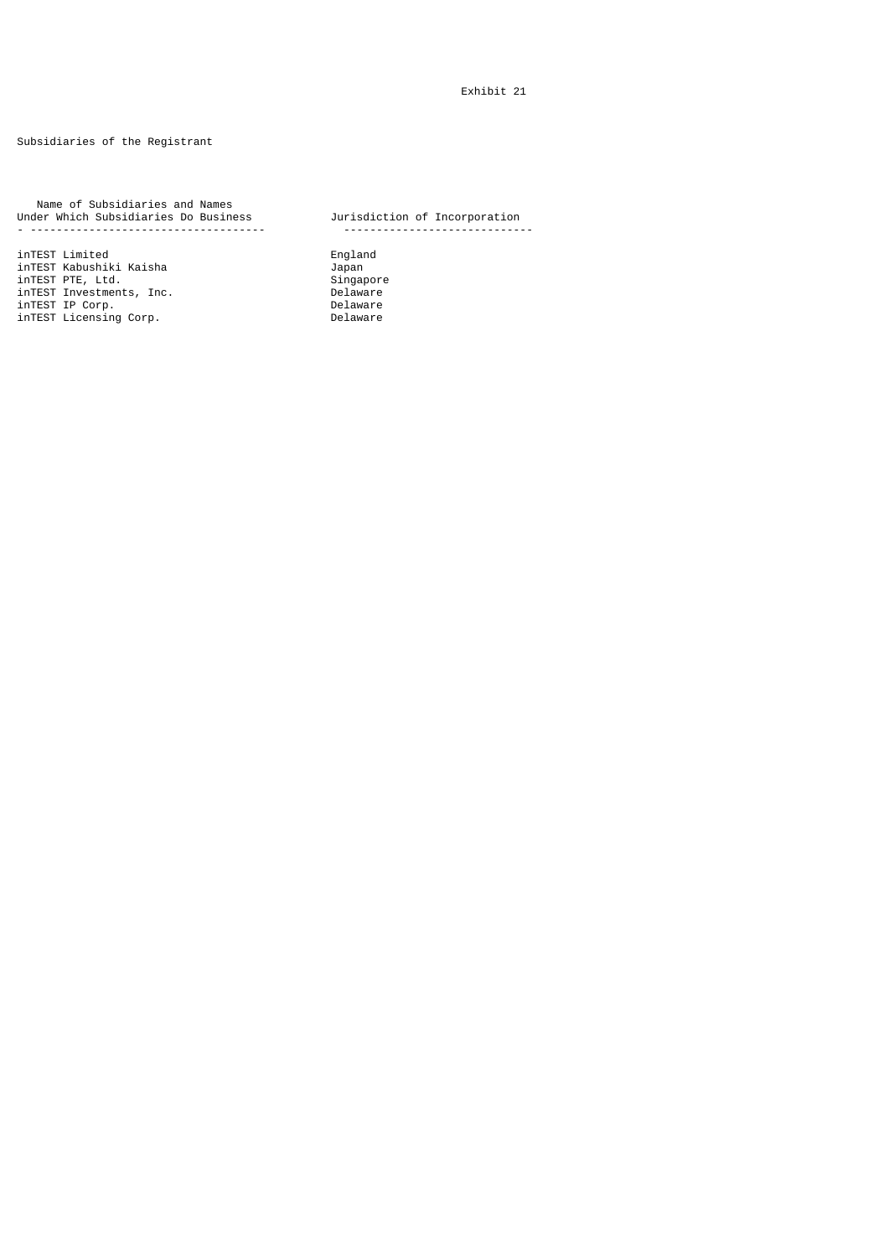Subsidiaries of the Registrant

 Name of Subsidiaries and Names Under Which Subsidiaries Do Business Jurisdiction of Incorporation - ------------------------------------ -----------------------------

inTEST Limited England inTEST Kabushiki Kaisha Japan inTEST PTE, Ltd. Singapore inTEST Investments, Inc. Delaware inTEST IP Corp. Delaware inTEST Licensing Corp. Delaware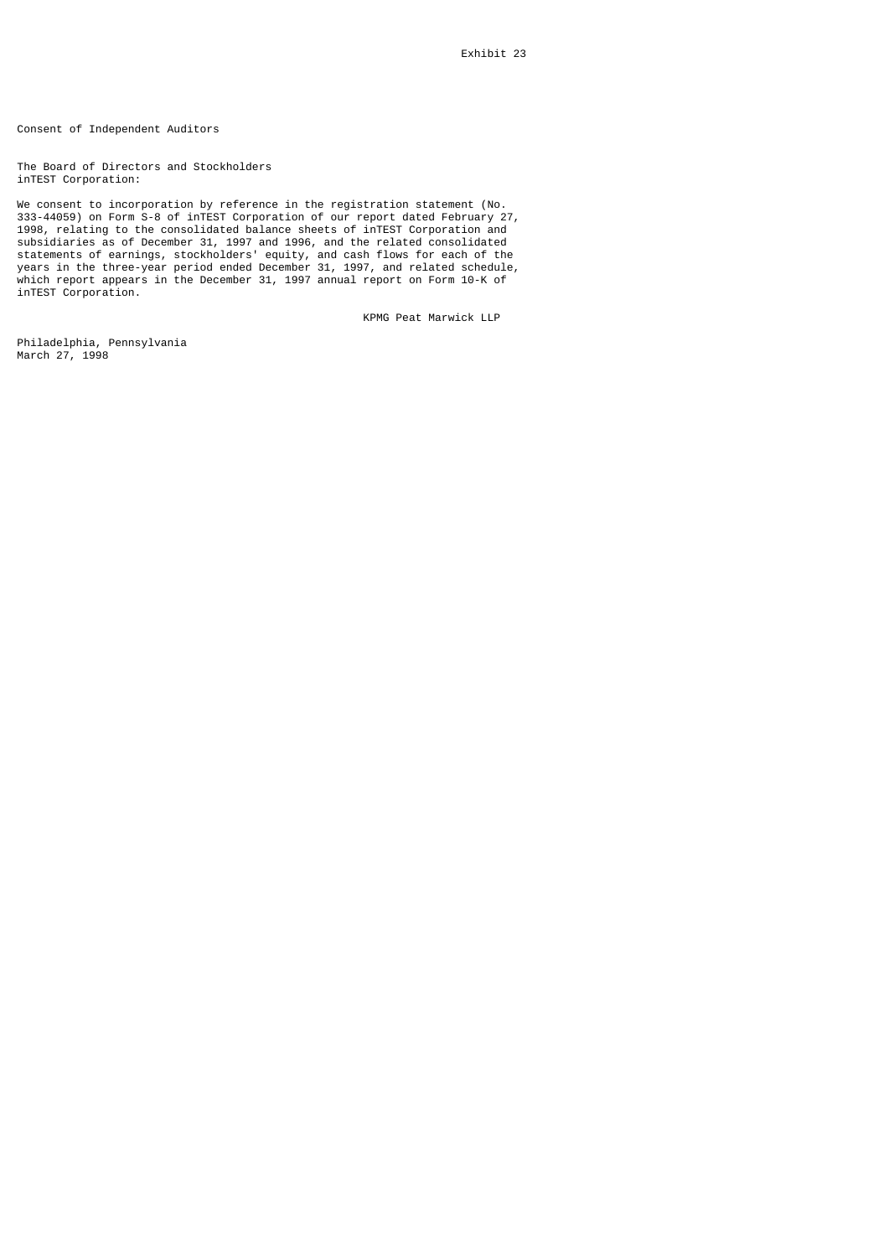Consent of Independent Auditors

The Board of Directors and Stockholders inTEST Corporation:

We consent to incorporation by reference in the registration statement (No. 333-44059) on Form S-8 of inTEST Corporation of our report dated February 27, 1998, relating to the consolidated balance sheets of inTEST Corporation and subsidiaries as of December 31, 1997 and 1996, and the related consolidated statements of earnings, stockholders' equity, and cash flows for each of the years in the three-year period ended December 31, 1997, and related schedule, which report appears in the December 31, 1997 annual report on Form 10-K of inTEST Corporation.

KPMG Peat Marwick LLP

Philadelphia, Pennsylvania March 27, 1998